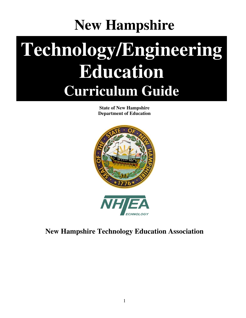# **New Hampshire**

# **Technology/Engineering Education Curriculum Guide**

**State of New Hampshire Department of Education** 



### **New Hampshire Technology Education Association**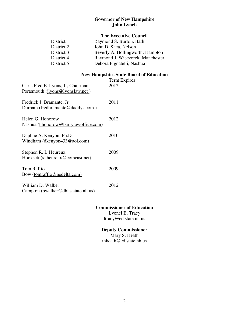#### **Governor of New Hampshire John Lynch**

#### **The Executive Council**

| District 1 | Raymond S. Burton, Bath          |
|------------|----------------------------------|
| District 2 | John D. Shea, Nelson             |
| District 3 | Beverly A. Hollingworth, Hampton |
| District 4 | Raymond J. Wieczorek, Manchester |
| District 5 | Debora Pignatelli, Nashua        |

#### **New Hampshire State Board of Education**

| Chris Fred E. Lyons, Jr, Chairman<br>Portsmouth ( <i>jlyons@lyonslaw.net</i> ) | Term Expires<br>2012 |
|--------------------------------------------------------------------------------|----------------------|
| Fredrick J. Bramante, Jr.<br>Durham (fredbramante@daddys.com)                  | 2011                 |
| Helen G. Honorow<br>Nashua (hhonorow@barrylawoffice.com)                       | 2012                 |
| Daphne A. Kenyon, Ph.D.<br>Windham (dkenyon $433@$ aol.com)                    | 2010                 |
| Stephen R. L'Heureux<br>Hooksett (s.lheureux@comcast.net)                      | 2009                 |
| <b>Tom Raffio</b><br>Bow (tomraffio@nedelta.com)                               | 2009                 |
| William D. Walker<br>Campton (bwalker@dhhs.state.nh.us)                        | 2012                 |

#### **Commissioner of Education**

Lyonel B. Tracy ltracy@ed.state.nh.us

#### **Deputy Commissioner**

Mary S. Heath mheath@ed.state.nh.us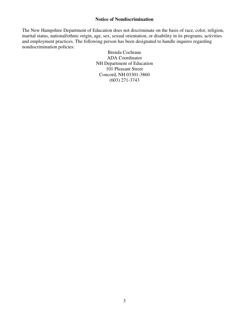#### **Notice of Nondiscrimination**

The New Hampshire Department of Education does not discriminate on the basis of race, color, religion, marital status, national/ethnic origin, age, sex, sexual orientation, or disability in its programs, activities and employment practices. The following person has been designated to handle inquires regarding nondiscrimination policies:

> Brenda Cochrane ADA Coordinator NH Department of Education 101 Pleasant Street Concord, NH 03301-3860 (603) 271-3743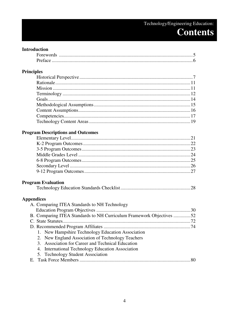### Technology/Engineering Education: **Contents**

### **Introduction**

### Principles

### **Program Descriptions and Outcomes**

### **Program Evaluation**

|--|--|--|

#### **Appendices**

| B. Comparing ITEA Standards to NH Curriculum Framework Objectives 52 |
|----------------------------------------------------------------------|
|                                                                      |
|                                                                      |
|                                                                      |
|                                                                      |
|                                                                      |
|                                                                      |
|                                                                      |
|                                                                      |
|                                                                      |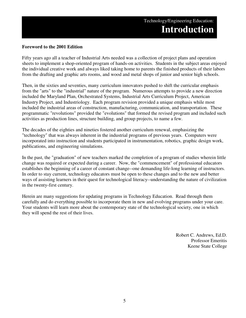#### **Foreword to the 2001 Edition**

Fifty years ago all a teacher of Industrial Arts needed was a collection of project plans and operation sheets to implement a shop-oriented program of hands-on activities. Students in the subject areas enjoyed the individual creative work and always liked taking home to parents the finished products of their labors from the drafting and graphic arts rooms, and wood and metal shops of junior and senior high schools.

Then, in the sixties and seventies, many curriculum innovators pushed to shift the curricular emphasis from the "arts" to the "industrial" nature of the program. Numerous attempts to provide a new direction included the Maryland Plan, Orchestrated Systems, Industrial Arts Curriculum Project, American Industry Project, and Industriology. Each program revision provided a unique emphasis while most included the industrial areas of construction, manufacturing, communication, and transportation. These programmatic "revolutions" provided the "evolutions" that formed the revised program and included such activities as production lines, structure building, and group projects, to name a few.

The decades of the eighties and nineties fostered another curriculum renewal, emphasizing the "technology" that was always inherent in the industrial programs of previous years. Computers were incorporated into instruction and students participated in instrumentation, robotics, graphic design work, publications, and engineering simulations.

In the past, the "graduation" of new teachers marked the completion of a program of studies wherein little change was required or expected during a career. Now, the "commencement" of professional educators establishes the beginning of a career of constant change--one demanding life-long learning of instructors. In order to stay current, technology educators must be open to these changes and to the new and better ways of assisting learners in their quest for technological literacy--understanding the nature of civilization in the twenty-first century.

Herein are many suggestions for updating programs in Technology Education. Read through them carefully and do everything possible to incorporate them in new and evolving programs under your care. Your students will learn more about the contemporary state of the technological society, one in which they will spend the rest of their lives.

> Robert C. Andrews, Ed.D. Professor Emeritis Keene State College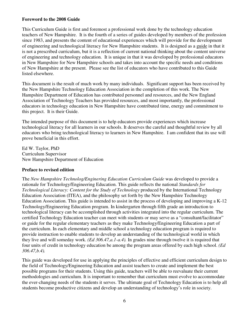#### **Foreword to the 2008 Guide**

This Curriculum Guide is first and foremost a professional work done by the technology education teachers of New Hampshire. It is the fourth of a series of guides developed by members of the profession since 1983, and presents the content of educational experiences which will provide for the development of engineering and technological literacy for New Hampshire students. It is designed as a guide in that it is not a prescribed curriculum, but it is a reflection of current national thinking about the content universe of engineering and technology education. It is unique in that it was developed by professional educators in New Hampshire for New Hampshire schools and takes into account the specific needs and conditions of New Hampshire at the present. Please see the list of educators who have contributed to this Guide listed elsewhere.

This document is the result of much work by many individuals. Significant support has been received by the New Hampshire Technology Education Association in the completion of this work. The New Hampshire Department of Education has contributed personnel and resources, and the New England Association of Technology Teachers has provided resources, and most importantly, the professional educators in technology education in New Hampshire have contributed time, energy and commitment to this project. It is their Guide.

The intended purpose of this document is to help educators provide experiences which increase technological literacy for all learners in our schools. It deserves the careful and thoughtful review by all educators who bring technological literacy to learners in New Hampshire. I am confident that its use will prove beneficial in this effort.

Ed W. Taylor, PhD Curriculum Supervisor New Hampshire Department of Education

#### **Preface to revised edition**

The *New Hampshire Technolog/Enginering Education Curriculum Guide* was developed to provide a rationale for Technology/Engineering Education. This guide reflects the national *Standards for Technological Literacy: Content for the Study of Technology* produced by the International Technology Education Association (ITEA), and the philosophy set forth by the New Hampshire Technology Education Association. This guide is intended to assist in the process of developing and improving a K-12 Technology/Engineering Education program. In kindergarten through fifth grade an introduction to technological literacy can be accomplished through activities integrated into the regular curriculum. The certified Technology Education teacher can meet with students or may serve as a "consultant/facilitator" or guide for the regular elementary teachers as they make Technology/Engineering Education a part of the curriculum. In each elementary and middle school a technology education program is required to provide instruction to enable students to develop an understanding of the technological world in which they live and will someday work. *(Ed 306.47,a.1-a.4).* In grades nine through twelve it is required that four units of credit in technology education be among the program areas offered by each high school. *(Ed 306.47,b.4).*

This guide was developed for use in applying the principles of effective and efficient curriculum design to the field of Technology/Engineering Education and assist teachers to create and implement the best possible programs for their students. Using this guide, teachers will be able to reevaluate their current methodologies and curriculum. It is important to remember that curriculum must evolve to accommodate the ever-changing needs of the students it serves. The ultimate goal of Technology Education is to help all students become productive citizens and develop an understanding of technology's role in society.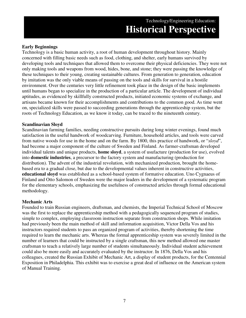#### **Early Beginnings**

Technology is a basic human activity, a root of human development throughout history. Mainly concerned with filling basic needs such as food, clothing, and shelter, early humans survived by developing tools and techniques that allowed them to overcome their physical deficiencies. They were not only making tools and weapons from wood, hides, bone, and stone; they were passing the knowledge of these techniques to their young, creating sustainable cultures. From generation to generation, education by imitation was the only viable means of passing on the tools and skills for survival in a hostile environment. Over the centuries very little refinement took place in the design of the basic implements until humans began to specialize in the production of a particular article. The development of individual aptitudes, as evidenced by skillfully constructed products, initiated economic systems of exchange, and artisans became known for their accomplishments and contributions to the common good. As time went on, specialized skills were passed to succeeding generations through the apprenticeship system, but the roots of Technology Education, as we know it today, can be traced to the nineteenth century.

#### **Scandinavian Sloyd**

Scandinavian farming families, needing constructive pursuits during long winter evenings, found much satisfaction in the useful handwork of woodcarving. Furniture, household articles, and tools were carved from native woods for use in the home and on the farm. By 1800, this practice of handwork, or "*sloyd*", had become a major component of the culture of Sweden and Finland. As farmer-craftsman developed individual talents and unique products, **home sloyd**, a system of usufacture (production for use), evolved into **domestic industries**, a precursor to the factory system and manufacturing (production for distribution). The advent of the industrial revolution, with mechanized production, brought the homebased era to a gradual close, but due to the developmental values inherent in constructive activities, **educational sloyd** was established as a school-based system of formative education. Uno Cygnaeus of Finland and Otto Salomon of Sweden were the major leaders in the development of a systematic program for the elementary schools, emphasizing the usefulness of constructed articles through formal educational methodology.

#### **Mechanic Arts**

Founded to train Russian engineers, draftsman, and chemists, the Imperial Technical School of Moscow was the first to replace the apprenticeship method with a pedagogically sequenced program of studies, simple to complex, employing classroom instruction separate from construction shops. While imitation had previously been the main method of skill and information acquisition, Victor Della Vos and his instructors required students to pass an organized program of activities, thereby shortening the time required to learn the mechanic arts. Whereas the formal apprenticeship system was severely limited in the number of learners that could be instructed by a single craftsman, this new method allowed one master craftsman to teach a relatively large number of students simultaneously. Individual student achievement could also be more easily and accurately evaluated by the instructor. In 1876, Della Vos and his colleagues, created the Russian Exhibit of Mechanic Art, a display of student products, for the Centennial Exposition in Philadelphia. This exhibit was to exercise a great deal of influence on the American system of Manual Training.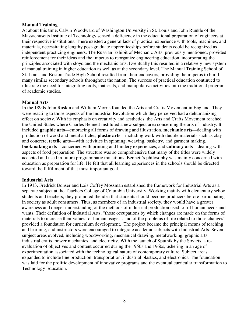#### **Manual Training**

At about this time, Calvin Woodward of Washington University in St. Louis and John Runkle of the Massachusetts Institute of Technology sensed a deficiency in the educational preparation of engineers at their respective institutions. There existed a general lack of practical experience with tools, machines, and materials, necessitating lengthy post-graduate apprenticeships before students could be recognized as independent practicing engineers. The Russian Exhibit of Mechanic Arts, previously mentioned, provided reinforcement for their ideas and the impetus to reorganize engineering education, incorporating the principles associated with sloyd and the mechanic arts. Eventually this resulted in a relatively new system of manual training in higher education as well as at the secondary level. The Manual Training School of St. Louis and Boston Trade High School resulted from their endeavors, providing the impetus to build many similar secondary schools throughout the nation. The success of practical education continued to illustrate the need for integrating tools, materials, and manipulative activities into the traditional program of academic studies.

#### **Manual Arts**

In the 1890s John Ruskin and William Morris founded the Arts and Crafts Movement in England. They were reacting to those aspects of the Industrial Revolution which they perceived had a dehumanizing effect on society. With its emphasis on creativity and aesthetics, the Arts and Crafts Movement reached the United States where Charles Bennett instituted a new subject area concerning the arts of industry. It included **graphic arts**—embracing all forms of drawing and illustration, **mechanic arts**—dealing with production of wood and metal articles, **plastic arts**—including work with ductile materials such as clay and concrete, **textile arts**—with activities in spinning, weaving, basketry, and garment making, **bookmaking arts**—concerned with printing and bindery experiences, and **culinary arts**—dealing with aspects of food preparation. The structure was so comprehensive that many of the titles were widely accepted and used in future programmatic transitions. Bennett's philosophy was mainly concerned with education as preparation for life. He felt that all learning experiences in the schools should be directed toward the fulfillment of that most important goal.

#### **Industrial Arts**

In 1913, Fredrick Bonser and Lois Coffey Mossman established the framework for Industrial Arts as a separate subject at the Teachers College of Columbia University. Working mainly with elementary school students and teachers, they promoted the idea that students should become producers before participating in society as adult consumers. Thus, as members of an industrial society, they would have a greater awareness and deeper understanding of the methods of industrial production used to fill human needs and wants. Their definition of Industrial Arts, "those occupations by which changes are made on the forms of materials to increase their values for human usage… and of the problems of life related to those changes" provided a foundation for curriculum development. The project became the principal means of teaching and learning, and instructors were encouraged to integrate academic subjects with Industrial Arts. Seven subject areas evolved, including woodworking, mechanical drawing, metalworking, graphic arts, industrial crafts, power mechanics, and electricity. With the launch of Sputnik by the Soviets, a reevaluation of objectives and content occurred during the 1950s and 1960s, ushering in an age of experimentation associated with the technological nature of contemporary culture. Subject areas expanded to include line production, transportation, industrial plastics, and electronics. The foundation was laid for the prolific development of innovative programs and the eventual curricular transformation to Technology Education.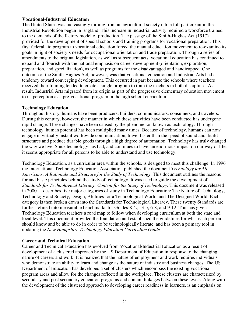#### **Vocational-Industrial Education**

The United States was increasingly turning from an agricultural society into a full participant in the Industrial Revolution begun in England. This increase in industrial activity required a workforce trained to the demands of the factory model of production. The passage of the Smith-Hughes Act (1917) provided for the development of special schools and training programs for vocational preparation. This first federal aid program to vocational education forced the manual education movement to re-examine its goals in light of society's needs for occupational orientation and trade preparation. Through a series of amendments to the original legislation, as well as subsequent acts, vocational education has continued to expand and flourish with the national emphasis on career development (orientation, exploration, preparation, and specialization), as well as programs for the disadvantaged and handicapped. One outcome of the Smith-Hughes Act, however, was that vocational education and Industrial Arts had a tendency toward converging development. This occurred in part because the schools where teachers received their training tended to create a single program to train the teachers in both disciplines. As a result, Industrial Arts migrated from its origin as part of the progressive elementary education movement to its perception as a pre-vocational program in the high school curriculum.

#### **Technology Education**

Throughout history, humans have been producers, builders, communicators, consumers, and travelers. During this century, however, the manner in which these activities have been conducted has undergone rapid change. These changes have been caused by the phenomenon known as technology. Through technology, human potential has been multiplied many times. Because of technology, humans can now engage in virtually instant worldwide communication, travel faster than the speed of sound and, build structures and produce durable goods through a high degree of automation. Technology has truly changed the way we live. Since technology has had, and continues to have, an enormous impact on our way of life, it seems appropriate for all persons to be able to understand and use technology.

Technology Education, as a curricular area within the schools, is designed to meet this challenge. In 1996 the International Technology Education Association published the document *Technology for All Americans: A Rationale and Structure for the Study of Technology*. This document outlines the reasons for and basic principles behind the study of technology. It was used to guide the development of *Standards for Technological Literacy: Content for the Study of Technology.* This document was released in 2000. It describes five major categories of study in Technology Education: The Nature of Technology, Technology and Society, Design, Abilities for a Technological World, and The Designed World. Each category is then broken down into the Standards for Technological Literacy. These twenty Standards are further refined into measurable benchmarks for Grades K-2, 3-5, 6-8, and 9-12. This has given Technology Education teachers a road map to follow when developing curriculum at both the state and local level. This document provided the foundation and established the guidelines for what each person should know and be able to do in order to be technologically literate, and has been a primary tool in updating the *New Hampshire Technology Education Curriculum Guide.* 

#### **Career and Technical Education**

Career and Technical Education has evolved from Vocational/Industrial Education as a result of development of a clustered approach by the US Department of Education in response to the changing nature of careers and work. It is realized that the nature of employment and work requires individuals who demonstrate an ability to learn and change as the nature of industry and business changes. The US Department of Education has developed a set of clusters which encompass the existing vocational program areas and allow for the changes reflected in the workplace. These clusters are characterized by secondary and post secondary education programs and contain linkages between these levels. Along with the development of the clustered approach to developing career readiness in learners, is an emphasis on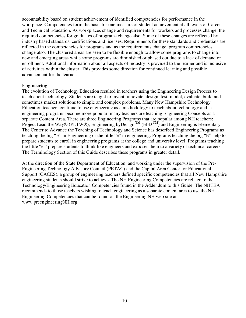accountability based on student achievement of identified competencies for performance in the workplace. Competencies form the basis for one measure of student achievement at all levels of Career and Technical Education. As workplaces change and requirements for workers and processes change, the required competencies for graduates of programs change also. Some of these changes are reflected by industry based standards, certifications and licenses. Requirements for these standards and credentials are reflected in the competencies for programs and as the requirements change, program competencies change also. The clustered areas are seen to be flexible enough to allow some programs to change into new and emerging areas while some programs are diminished or phased out due to a lack of demand or enrollment. Additional information about all aspects of industry is provided to the learner and is inclusive of activities within the cluster. This provides some direction for continued learning and possible advancement for the learner.

#### **Engineering**

The evolution of Technology Education resulted in teachers using the Engineering Design Process to teach about technology. Students are taught to invent, innovate, design, test, model, evaluate, build and sometimes market solutions to simple and complex problems. Many New Hampshire Technology Education teachers continue to use engineering as a methodology to teach about technology and, as engineering programs become more popular, many teachers are teaching Engineering Concepts as a separate Content Area. There are three Engineering Programs that are popular among NH teachers; Project Lead the Way® (PLTW®), Engineering byDesign<sup>TM</sup> (EbD<sup>TM</sup>) and Engineering is Elementary. The Center to Advance the Teaching of Technology and Science has described Engineering Programs as teaching the big "E" in Engineering or the little "e" in engineering. Programs teaching the big "E" help to prepare students to enroll in engineering programs at the college and university level. Programs teaching the little "e," prepare students to think like engineers and exposes them to a variety of technical careers. The Terminology Section of this Guide describes these programs in greater detail.

At the direction of the State Department of Education, and working under the supervision of the Pre-Engineering Technology Advisory Council (PETAC) and the Capital Area Center for Educational Support (CACES), a group of engineering teachers defined specific competencies that all New Hampshire engineering students should strive to achieve. The NH Engineering Competencies are related to the Technology/Engineering Education Competencies found in the Addendum to this Guide. The NHTEA recommends to those teachers wishing to teach engineering as a separate content area to use the NH Engineering Competencies that can be found on the Engineering NH web site at www.preengineeringNH.org .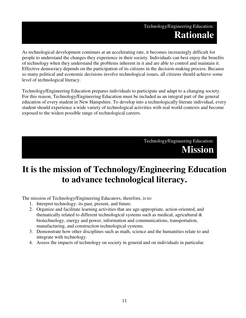### Technology/Engineering Education: **Rationale**

As technological development continues at an accelerating rate, it becomes increasingly difficult for people to understand the changes they experience in their society. Individuals can best enjoy the benefits of technology when they understand the problems inherent in it and are able to control and maintain it. Effective democracy depends on the participation of its citizens in the decision-making process. Because so many political and economic decisions involve technological issues, all citizens should achieve some level of technological literacy.

Technology/Engineering Education prepares individuals to participate and adapt to a changing society. For this reason, Technology/Engineering Education must be included as an integral part of the general education of every student in New Hampshire. To develop into a technologically literate individual, every student should experience a wide variety of technological activities with real world contexts and become exposed to the widest possible range of technological careers.

> Technology/Engineering Education: **Mission**

# **It is the mission of Technology/Engineering Education to advance technological literacy.**

The mission of Technology/Engineering Educators, therefore, is to:

- 1. Interpret technology- its past, present, and future.
- 2. Organize and facilitate learning activities that are age-appropriate, action-oriented, and thematically related to different technological systems such as medical, agricultural  $\&$ biotechnology, energy and power, information and communications, transportation, manufacturing, and construction technological systems.
- 3. Demonstrate how other disciplines such as math, science and the humanities relate to and integrate with technology.
- 4. Assess the impacts of technology on society in general and on individuals in particular.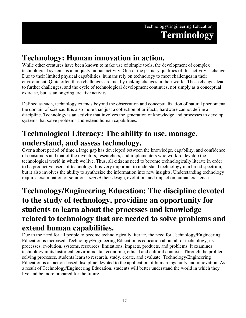# **Technology: Human innovation in action.**

While other creatures have been known to make use of simple tools, the development of complex technological systems is a uniquely human activity. One of the primary qualities of this activity is change. Due to their limited physical capabilities, humans rely on technology to meet challenges in their environment. Quite often these challenges are met by making changes in their world. These changes lead to further challenges, and the cycle of technological development continues, not simply as a conceptual exercise, but as an ongoing creative activity.

Defined as such, technology extends beyond the observation and conceptualization of natural phenomena, the domain of science. It is also more than just a collection of artifacts, hardware cannot define a discipline. Technology is an activity that involves the generation of knowledge and processes to develop systems that solve problems and extend human capabilities.

# **Technological Literacy: The ability to use, manage, understand, and assess technology.**

Over a short period of time a large gap has developed between the knowledge, capability, and confidence of consumers and that of the inventors, researchers, and implementers who work to develop the technological world in which we live. Thus, all citizens need to become technologically literate in order to be productive users of technology. It is very important to understand technology in a broad spectrum, but it also involves the ability to synthesize the information into new insights. Understanding technology requires examination of solutions, *and of* their design, evolution, and impact on human existence.

### **Technology/Engineering Education: The discipline devoted to the study of technology, providing an opportunity for students to learn about the processes and knowledge related to technology that are needed to solve problems and extend human capabilities.**

Due to the need for all people to become technologically literate, the need for Technology/Engineering Education is increased. Technology/Engineering Education is education about all of technology; its processes, evolution, systems, resources, limitations, impacts, products, and problems. It examines technology in its historical, environmental, economic, ethical and cultural contexts. Through the problemsolving processes, students learn to research, study, create, and evaluate. Technology/Engineering Education is an action-based discipline devoted to the application of human ingenuity and innovation. As a result of Technology/Engineering Education, students will better understand the world in which they live and be more prepared for the future.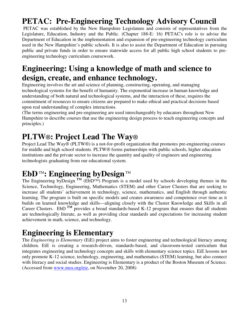# **PETAC: Pre-Engineering Technology Advisory Council**

 PETAC was established by the New Hampshire Legislature and consists of representatives from the Legislature, Education, Industry and the Public. (Chapter 188-E: 16) PETAC's role is to advise the Department of Education in the implementation and expansion of pre-engineering technology curriculum used in the New Hampshire's public schools. It is also to assist the Department of Education in pursuing public and private funds in order to ensure statewide access for all public high school students to preengineering technology curriculum coursework.

### **Engineering: Using a knowledge of math and science to design, create, and enhance technology.**

Engineering involves the art and science of planning, constructing, operating, and managing technological systems for the benefit of humanity. The exponential increase in human knowledge and understanding of both natural and technological systems, and the interaction of these, requires the commitment of resources to ensure citizens are prepared to make ethical and practical decisions based upon real understanding of complex interactions.

(The terms engineering and pre-engineering are used interchangeably by educators throughout New Hampshire to describe courses that use the engineering design process to teach engineering concepts and principles.)

### **PLTW®: Project Lead The Way®**

Project Lead The Way® (PLTW®) is a not-for-profit organization that promotes pre-engineering courses for middle and high school students. PLTW® forms partnerships with public schools, higher education institutions and the private sector to increase the quantity and quality of engineers and engineering technologists graduating from our educational system.

# **EbD**<sup>™</sup>: Engineering byDesign™

The Engineering byDesign<sup>TM</sup> (EbD<sup>TM</sup>) Program is a model used by schools developing themes in the Science, Technology, Engineering, Mathematics (STEM) and other Career Clusters that are seeking to increase all students' achievement in technology, science, mathematics, and English through authentic learning. The program is built on specific models and creates awareness and competence over time as it builds on learned knowledge and skills—aligning closely with the Cluster Knowledge and Skills in all Career Clusters. EbD <sup>TM</sup> provides a broad standards-based K-12 program that ensures that all students are technologically literate, as well as providing clear standards and expectations for increasing student achievement in math, science, and technology.

# **Engineering is Elementary**

The *Engineering is Elementary* (EiE) project aims to foster engineering and technological literacy among children. EiE is creating a research-driven, standards-based, and classroom-tested curriculum that integrates engineering and technology concepts and skills with elementary science topics. EiE lessons not only promote K-12 science, technology, engineering, and mathematics (STEM) learning, but also connect with literacy and social studies. Engineering is Elementary is a product of the Boston Museum of Science. (Accessed from www.mos.org/eie, on November 20, 2008)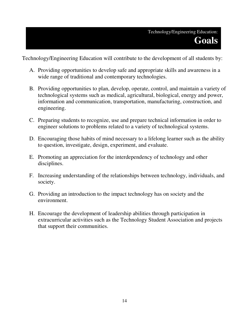Technology/Engineering Education will contribute to the development of all students by:

- A. Providing opportunities to develop safe and appropriate skills and awareness in a wide range of traditional and contemporary technologies.
- B. Providing opportunities to plan, develop, operate, control, and maintain a variety of technological systems such as medical, agricultural, biological, energy and power, information and communication, transportation, manufacturing, construction, and engineering.
- C. Preparing students to recognize, use and prepare technical information in order to engineer solutions to problems related to a variety of technological systems.
- D. Encouraging those habits of mind necessary to a lifelong learner such as the ability to question, investigate, design, experiment, and evaluate.
- E. Promoting an appreciation for the interdependency of technology and other disciplines.
- F. Increasing understanding of the relationships between technology, individuals, and society.
- G. Providing an introduction to the impact technology has on society and the environment.
- H. Encourage the development of leadership abilities through participation in extracurricular activities such as the Technology Student Association and projects that support their communities.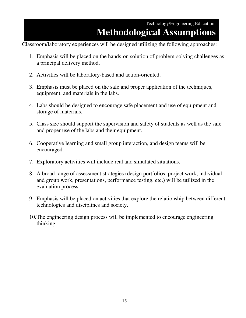### Technology/Engineering Education: **Methodological Assumptions**

Classroom/laboratory experiences will be designed utilizing the following approaches:

- 1. Emphasis will be placed on the hands-on solution of problem-solving challenges as a principal delivery method.
- 2. Activities will be laboratory-based and action-oriented.
- 3. Emphasis must be placed on the safe and proper application of the techniques, equipment, and materials in the labs.
- 4. Labs should be designed to encourage safe placement and use of equipment and storage of materials.
- 5. Class size should support the supervision and safety of students as well as the safe and proper use of the labs and their equipment.
- 6. Cooperative learning and small group interaction, and design teams will be encouraged.
- 7. Exploratory activities will include real and simulated situations.
- 8. A broad range of assessment strategies (design portfolios, project work, individual and group work, presentations, performance testing, etc.) will be utilized in the evaluation process.
- 9. Emphasis will be placed on activities that explore the relationship between different technologies and disciplines and society.
- 10. The engineering design process will be implemented to encourage engineering thinking.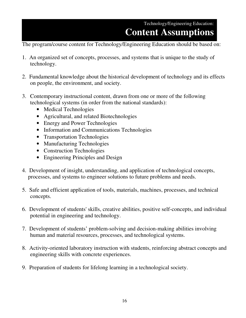### Technology/Engineering Education: **Content Assumptions**

The program/course content for Technology/Engineering Education should be based on:

- 1. An organized set of concepts, processes, and systems that is unique to the study of technology.
- 2. Fundamental knowledge about the historical development of technology and its effects on people, the environment, and society.
- 3. Contemporary instructional content, drawn from one or more of the following technological systems (in order from the national standards):
	- Medical Technologies
	- Agricultural, and related Biotechnologies
	- Energy and Power Technologies
	- Information and Communications Technologies
	- Transportation Technologies
	- Manufacturing Technologies
	- Construction Technologies
	- Engineering Principles and Design
- 4. Development of insight, understanding, and application of technological concepts, processes, and systems to engineer solutions to future problems and needs.
- 5. Safe and efficient application of tools, materials, machines, processes, and technical concepts.
- 6. Development of students' skills, creative abilities, positive self-concepts, and individual potential in engineering and technology.
- 7. Development of students' problem-solving and decision-making abilities involving human and material resources, processes, and technological systems.
- 8. Activity-oriented laboratory instruction with students, reinforcing abstract concepts and engineering skills with concrete experiences.
- 9. Preparation of students for lifelong learning in a technological society.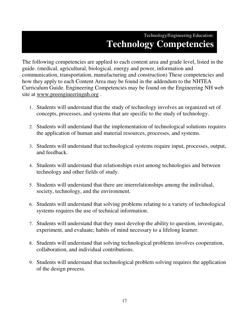### Technology/Engineering Education: **Technology Competencies**

The following competencies are applied to each content area and grade level, listed in the guide. (medical, agricultural, biological, energy and power, information and communication, transportation, manufacturing and construction) These competencies and how they apply to each Content Area may be found in the addendum to the NHTEA Curriculum Guide. Engineering Competencies may be found on the Engineering NH web site at www.preengineeringnh.org .

- 1. Students will understand that the study of technology involves an organized set of concepts, processes, and systems that are specific to the study of technology.
- 2. Students will understand that the implementation of technological solutions requires the application of human and material resources, processes, and systems.
- 3. Students will understand that technological systems require input, processes, output, and feedback.
- 4. Students will understand that relationships exist among technologies and between technology and other fields of study.
- 5. Students will understand that there are interrelationships among the individual, society, technology, and the environment.
- 6. Students will understand that solving problems relating to a variety of technological systems requires the use of technical information.
- 7. Students will understand that they must develop the ability to question, investigate, experiment, and evaluate; habits of mind necessary to a lifelong learner.
- 8. Students will understand that solving technological problems involves cooperation, collaboration, and individual contributions.
- 9. Students will understand that technological problem solving requires the application of the design process.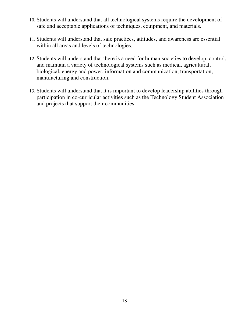- 10. Students will understand that all technological systems require the development of safe and acceptable applications of techniques, equipment, and materials.
- 11. Students will understand that safe practices, attitudes, and awareness are essential within all areas and levels of technologies.
- 12. Students will understand that there is a need for human societies to develop, control, and maintain a variety of technological systems such as medical, agricultural, biological, energy and power, information and communication, transportation, manufacturing and construction.
- 13. Students will understand that it is important to develop leadership abilities through participation in co-curricular activities such as the Technology Student Association and projects that support their communities.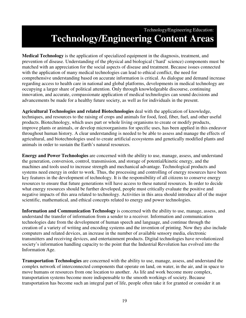### Technology/Engineering Education: **Technology/Engineering Content Areas**

**Medical Technology** is the application of specialized equipment in the diagnosis, treatment, and prevention of disease. Understanding of the physical and biological ('hard' science) components must be matched with an appreciation for the social aspects of disease and treatment. Because issues connected with the application of many medical technologies can lead to ethical conflict, the need for comprehensive understanding based on accurate information is critical. As dialogue and demand increase regarding access to health care in national and global platforms, developments in medical technology are occupying a larger share of political attention. Only through knowledgeable discourse, continuing innovation, and accurate, compassionate application of medical technologies can sound decisions and advancements be made for a healthy future society, as well as for individuals in the present.

**Agricultural Technologies and related Biotechnologies** deal with the application of knowledge, techniques, and resources to the raising of crops and animals for food, feed, fiber, fuel, and other useful products. Biotechnology, which uses part or whole living organisms to create or modify products, improve plants or animals, or develop microorganisms for specific uses, has been applied in this endeavor throughout human history. A clear understanding is needed to be able to assess and manage the effects of agricultural, and biotechnologies used to create artificial ecosystems and genetically modified plants and animals in order to sustain the Earth's natural resources.

**Energy and Power Technologies** are concerned with the ability to use, manage, assess, and understand the generation, conversion, control, transmission, and storage of potential/kinetic energy, and the machines and tools used to increase strength and mechanical advantage. Technological products and systems need energy in order to work. Thus, the processing and controlling of energy resources have been key features in the development of technology. It is the responsibility of all citizens to conserve energy resources to ensure that future generations will have access to these natural resources. In order to decide what energy resources should be further developed, people must critically evaluate the positive and negative impacts of this area related to technology. Activities in this area should introduce all of the major scientific, mathematical, and ethical concepts related to energy and power technologies.

**Information and Communication Technology** is concerned with the ability to use, manage, assess, and understand the transfer of information from a sender to a receiver. Information and communication technologies date from the development of human speech and language, and continue through the creation of a variety of writing and encoding systems and the invention of printing. Now they also include computers and related devices, an increase in the number of available sensory media, electronic transmitters and receiving devices, and entertainment products. Digital technologies have revolutionized society's information handling capacity to the point that the Industrial Revolution has evolved into the Information Age.

**Transportation Technologies** are concerned with the ability to use, manage, assess, and understand the complex network of interconnected components that operate on land, on water, in the air, and in space to move humans or resources from one location to another. As life and work become more complex, transportation systems become more indispensable to the smooth workings of society. Because transportation has become such an integral part of life, people often take it for granted or consider it an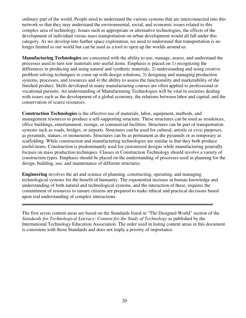ordinary part of the world. People need to understand the various systems that are interconnected into this network so that they may understand the environmental, social, and economic issues related to this complex area of technology. Issues such as appropriate or alternative technologies, the effects of the development of individual versus mass transportation on urban development would all fall under this category. As we develop into further space exploration, we need to understand that transportation is no longer limited to our world but can be used as a tool to open up the worlds around us.

**Manufacturing Technologies** are concerned with the ability to use, manage, assess, and understand the processes used to turn raw materials into useful items. Emphasis is placed on 1) recognizing the differences in producing and using natural and synthetic materials, 2) understanding and using creative problem solving techniques to come up with design solutions, 3) designing and managing production systems, processes, and resources and 4) the ability to assess the functionality and marketability of the finished product. Skills developed in many manufacturing courses are often applied to professional or vocational pursuits. An understanding of Manufacturing Technologies will be vital in societies dealing with issues such as the development of a global economy, the relations between labor and capital, and the conservation of scarce resources.

**Construction Technologies** is the effective use of materials, labor, equipment, methods, and management resources to produce a self-supporting structure. These structures can be used as residences, office buildings, entertainment, storage, or commercial facilities. Structures can be part of transportation systems such as roads, bridges, or airports. Structures can be used for cultural, artistic or civic purposes, as pyramids, statues, or monuments. Structures can be as permanent as the pyramids or as temporary as scaffolding. While construction and manufacturing technologies are similar in that they both produce useful items, Construction is predominantly used for customized designs while manufacturing generally focuses on mass production techniques. Classes in Construction Technology should involve a variety of construction types. Emphasis should be placed on the understanding of processes used in planning for the design, building, use, and maintenance of different structures.

**Engineering** involves the art and science of planning, constructing, operating, and managing technological systems for the benefit of humanity. The exponential increase in human knowledge and understanding of both natural and technological systems, and the interaction of these, requires the commitment of resources to ensure citizens are prepared to make ethical and practical decisions based upon real understanding of complex interactions.

The first seven content areas are based on the Standards listed in "The Designed World" section of the *Standards for Technological Literacy: Content for the Study of Technology* as published by the International Technology Education Association. The order used in listing content areas in this document is consistent with those Standards and does not imply a priority of importance.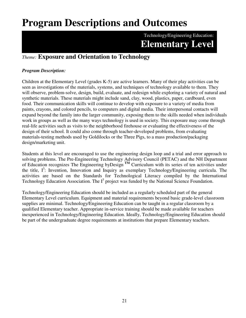# **Program Descriptions and Outcomes**

Technology/Engineering Education: **Elementary Level**

### *Theme:* **Exposure and Orientation to Technology**

### *Program Description:*

Children at the Elementary Level (grades K-5) are active learners. Many of their play activities can be seen as investigations of the materials, systems, and techniques of technology available to them. They will observe, problem-solve, design, build, evaluate, and redesign while exploring a variety of natural and synthetic materials. These materials might include sand, clay, wood, plastics, paper, cardboard, even food. Their communication skills will continue to develop with exposure to a variety of media from paints, crayons, and colored pencils, to computers and digital media. Their interpersonal contacts will expand beyond the family into the larger community, exposing them to the skills needed when individuals work in groups as well as the many ways technology is used in society. This exposure may come through real-life activities such as visits to the neighborhood firehouse or evaluating the effectiveness of the design of their school. It could also come through teacher-developed problems, from evaluating materials-testing methods used by Goldilocks or the Three Pigs, to a mass production/packaging design/marketing unit.

Students at this level are encouraged to use the engineering design loop and a trial and error approach to solving problems. The Pre-Engineering Technology Advisory Council (PETAC) and the NH Department of Education recognizes The Engineering byDesign **TM** Curriculum with its series of ten activities under the title,  $I^3$ : Invention, Innovation and Inquiry as exemplary Technology/Engineering curricula. The activities are based on the Standards for Technological Literacy compiled by the International Technology Education Association. The  $I<sup>3</sup>$  project was funded by the National Science Foundation.

Technology/Engineering Education should be included as a regularly scheduled part of the general Elementary Level curriculum. Equipment and material requirements beyond basic grade-level classroom supplies are minimal. Technology/Engineering Education can be taught in a regular classroom by a qualified Elementary teacher. Appropriate in-service training should be made available for teachers inexperienced in Technology/Engineering Education. Ideally, Technology/Engineering Education should be part of the undergraduate degree requirements at institutions that prepare Elementary teachers.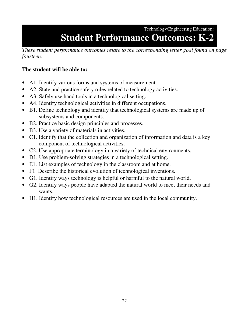### Technology/Engineering Education:

# **Student Performance Outcomes: K-2**

*These student performance outcomes relate to the corresponding letter goal found on page fourteen.*

### **The student will be able to:**

- A1. Identify various forms and systems of measurement.
- A2. State and practice safety rules related to technology activities.
- A3. Safely use hand tools in a technological setting.
- A4. Identify technological activities in different occupations.
- B1. Define technology and identify that technological systems are made up of subsystems and components.
- B2. Practice basic design principles and processes.
- B3. Use a variety of materials in activities.
- C1. Identify that the collection and organization of information and data is a key component of technological activities.
- C2. Use appropriate terminology in a variety of technical environments.
- D1. Use problem-solving strategies in a technological setting.
- E1. List examples of technology in the classroom and at home.
- F1. Describe the historical evolution of technological inventions.
- G1. Identify ways technology is helpful or harmful to the natural world.
- G2. Identify ways people have adapted the natural world to meet their needs and wants.
- H1. Identify how technological resources are used in the local community.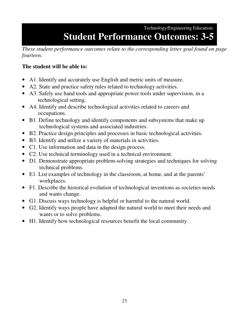Technology/Engineering Education:

# **Student Performance Outcomes: 3-5**

*These student performance outcomes relate to the corresponding letter goal found on page fourteen.*

### **The student will be able to:**

- A1. Identify and accurately use English and metric units of measure.
- A2. State and practice safety rules related to technology activities.
- A3. Safely use hand tools and appropriate power tools under supervision, in a technological setting.
- A4. Identify and describe technological activities related to careers and occupations.
- B1. Define technology and identify components and subsystems that make up technological systems and associated industries.
- B2. Practice design principles and processes in basic technological activities.
- B3. Identify and utilize a variety of materials in activities.
- C1. Use information and data in the design process.
- C2. Use technical terminology used in a technical environment.
- D1. Demonstrate appropriate problem-solving strategies and techniques for solving technical problems.
- E1. List examples of technology in the classroom, at home, and at the parents' workplaces.
- F1. Describe the historical evolution of technological inventions as societies needs and wants change.
- G1. Discuss ways technology is helpful or harmful to the natural world.
- G2. Identify ways people have adapted the natural world to meet their needs and wants or to solve problems.
- H1. Identify how technological resources benefit the local community.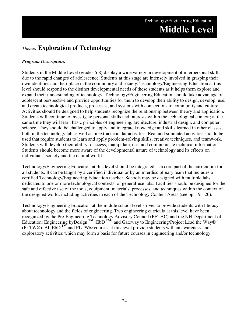### *Theme:* **Exploration of Technology**

#### *Program Description:*

Students in the Middle Level (grades 6-8) display a wide variety in development of interpersonal skills due to the rapid changes of adolescence. Students at this stage are intensely involved in grasping their own identities and their place in the community and society. Technology/Engineering Education at this level should respond to the distinct developmental needs of these students as it helps them explore and expand their understanding of technology. Technology/Engineering Education should take advantage of adolescent perspective and provide opportunities for them to develop their ability to design, develop, use, and create technological products, processes, and systems with connections to community and culture. Activities should be designed to help students recognize the relationship between theory and application. Students will continue to investigate personal skills and interests within the technological context; at the same time they will learn basic principles of engineering, architecture, industrial design, and computer science. They should be challenged to apply and integrate knowledge and skills learned in other classes, both in the technology lab as well as in extracurricular activities. Real and simulated activities should be used that require students to learn and apply problem-solving skills, creative techniques, and teamwork. Students will develop their ability to access, manipulate, use, and communicate technical information. Students should become more aware of the developmental nature of technology and its effects on individuals, society and the natural world.

Technology/Engineering Education at this level should be integrated as a core part of the curriculum for all students. It can be taught by a certified individual or by an interdisciplinary team that includes a certified Technology/Engineering Education teacher. Schools may be designed with multiple labs dedicated to one or more technological contexts, or general-use labs. Facilities should be designed for the safe and effective use of the tools, equipment, materials, processes, and techniques within the context of the designed world, including activities in each of the Technology Content Areas (see pp. 19 - 20).

Technology/Engineering Education at the middle school level strives to provide students with literacy about technology and the fields of engineering. Two engineering curricula at this level have been recognized by the Pre-Engineering Technology Advisory Council (PETAC) and the NH Department of Education: Engineering byDesign<sup>TM</sup> (EbD<sup>TM</sup>) and Gateway to Engineering/Project Lead the Way® (PLTW®). All EbD **TM** and PLTW® courses at this level provide students with an awareness and exploratory activities which may form a basis for future courses in engineering and/or technology.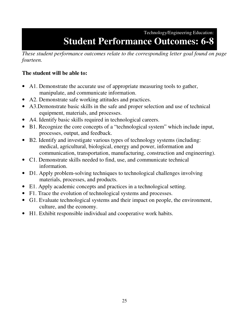### Technology/Engineering Education: **Student Performance Outcomes: 6-8**

*These student performance outcomes relate to the corresponding letter goal found on page fourteen.*

### **The student will be able to:**

- A1. Demonstrate the accurate use of appropriate measuring tools to gather, manipulate, and communicate information.
- A2. Demonstrate safe working attitudes and practices.
- A3.Demonstrate basic skills in the safe and proper selection and use of technical equipment, materials, and processes.
- A4. Identify basic skills required in technological careers.
- B1. Recognize the core concepts of a "technological system" which include input, processes, output, and feedback.
- B2. Identify and investigate various types of technology systems (including: medical, agricultural, biological, energy and power, information and communication, transportation, manufacturing, construction and engineering).
- C1. Demonstrate skills needed to find, use, and communicate technical information.
- D1. Apply problem-solving techniques to technological challenges involving materials, processes, and products.
- E1. Apply academic concepts and practices in a technological setting.
- F1. Trace the evolution of technological systems and processes.
- G1. Evaluate technological systems and their impact on people, the environment, culture, and the economy.
- H1. Exhibit responsible individual and cooperative work habits.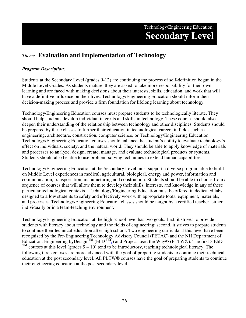### Technology/Engineering Education: **Secondary Level**

### *Theme:* **Evaluation and Implementation of Technology**

#### *Program Description:*

Students at the Secondary Level (grades 9-12) are continuing the process of self-definition begun in the Middle Level Grades. As students mature, they are asked to take more responsibility for their own learning and are faced with making decisions about their interests, skills, education, and work that will have a definitive influence on their lives. Technology/Engineering Education should inform their decision-making process and provide a firm foundation for lifelong learning about technology.

Technology/Engineering Education courses must prepare students to be technologically literate. They should help students develop individual interests and skills in technology. These courses should also deepen their understanding of the relationship between technology and other disciplines. Students should be prepared by these classes to further their education in technological careers in fields such as engineering, architecture, construction, computer science, or Technology/Engineering Education. Technology/Engineering Education courses should enhance the student's ability to evaluate technology's effect on individuals, society, and the natural world. They should be able to apply knowledge of materials and processes to analyze, design, create, manage, and evaluate technological products or systems. Students should also be able to use problem-solving techniques to extend human capabilities.

Technology/Engineering Education at the Secondary Level must support a diverse program able to build on Middle Level experiences in medical, agricultural, biological, energy and power, information and communication, transportation, manufacturing and construction. Students should be able to choose from a sequence of courses that will allow them to develop their skills, interests, and knowledge in any of these particular technological contexts. Technology/Engineering Education must be offered in dedicated labs designed to allow students to safely and effectively work with appropriate tools, equipment, materials, and processes. Technology/Engineering Education classes should be taught by a certified teacher, either individually or in a team-teaching environment.

Technology/Engineering Education at the high school level has two goals: first, it strives to provide students with literacy about technology and the fields of engineering; second, it strives to prepare students to continue their technical education after high school. Two engineering curricula at this level have been recognized by the Pre-Engineering Technology Advisory Council (PETAC) and the NH Department of Education: Engineering byDesign<sup>TM</sup> (EbD<sup>TM</sup>,) and Project Lead the Way® (PLTW®). The first 3 EbD<br>TM  $T<sup>M</sup>$  courses at this level (grades  $9 - 10$ ) tend to be introductory, teaching technological literacy. The following three courses are more advanced with the goal of preparing students to continue their technical education at the post secondary level. All PLTW® courses have the goal of preparing students to continue their engineering education at the post secondary level.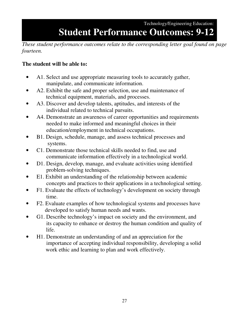Technology/Engineering Education:

# **Student Performance Outcomes: 9-12**

*These student performance outcomes relate to the corresponding letter goal found on page fourteen.* 

### **The student will be able to:**

- A1. Select and use appropriate measuring tools to accurately gather, manipulate, and communicate information.
- A2. Exhibit the safe and proper selection, use and maintenance of technical equipment, materials, and processes.
- A3. Discover and develop talents, aptitudes, and interests of the individual related to technical pursuits.
- A4. Demonstrate an awareness of career opportunities and requirements needed to make informed and meaningful choices in their education/employment in technical occupations.
- B1. Design, schedule, manage, and assess technical processes and systems.
- C1. Demonstrate those technical skills needed to find, use and communicate information effectively in a technological world.
- D1. Design, develop, manage, and evaluate activities using identified problem-solving techniques.
- E1. Exhibit an understanding of the relationship between academic concepts and practices to their applications in a technological setting.
- F1. Evaluate the effects of technology's development on society through time.
- F2. Evaluate examples of how technological systems and processes have developed to satisfy human needs and wants.
- G1. Describe technology's impact on society and the environment, and its capacity to enhance or destroy the human condition and quality of life.
- H1. Demonstrate an understanding of and an appreciation for the importance of accepting individual responsibility, developing a solid work ethic and learning to plan and work effectively.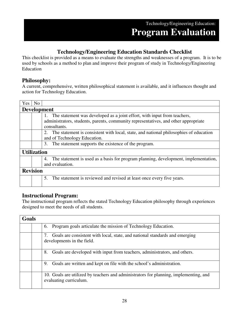### Technology/Engineering Education: **Program Evaluation**

### **Technology/Engineering Education Standards Checklist**

This checklist is provided as a means to evaluate the strengths and weaknesses of a program. It is to be used by schools as a method to plan and improve their program of study in Technology/Engineering Education

### **Philosophy:**

A current, comprehensive, written philosophical statement is available, and it influences thought and action for Technology Education.

| <b>Yes</b> | No                 |                                                                                                                                                                                    |  |  |  |  |  |
|------------|--------------------|------------------------------------------------------------------------------------------------------------------------------------------------------------------------------------|--|--|--|--|--|
|            |                    | <b>Development</b>                                                                                                                                                                 |  |  |  |  |  |
|            |                    | 1. The statement was developed as a joint effort, with input from teachers,<br>administrators, students, parents, community representatives, and other appropriate<br>consultants. |  |  |  |  |  |
|            |                    | 2. The statement is consistent with local, state, and national philosophies of education<br>and of Technology Education.                                                           |  |  |  |  |  |
|            |                    | 3. The statement supports the existence of the program.                                                                                                                            |  |  |  |  |  |
|            | <b>Utilization</b> |                                                                                                                                                                                    |  |  |  |  |  |
|            |                    | The statement is used as a basis for program planning, development, implementation,<br>4.<br>and evaluation.                                                                       |  |  |  |  |  |
|            | <b>Revision</b>    |                                                                                                                                                                                    |  |  |  |  |  |
|            |                    | The statement is reviewed and revised at least once every five years.<br>5.                                                                                                        |  |  |  |  |  |

### **Instructional Program:**

The instructional program reflects the stated Technology Education philosophy through experiences designed to meet the needs of all students.

| <b>Goals</b> |                                                                                                                 |  |
|--------------|-----------------------------------------------------------------------------------------------------------------|--|
|              | 6. Program goals articulate the mission of Technology Education.                                                |  |
|              | Goals are consistent with local, state, and national standards and emerging<br>developments in the field.       |  |
|              | Goals are developed with input from teachers, administrators, and others.<br>8.                                 |  |
|              | 9. Goals are written and kept on file with the school's administration.                                         |  |
|              | 10. Goals are utilized by teachers and administrators for planning, implementing, and<br>evaluating curriculum. |  |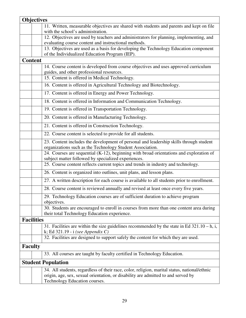|                   | <b>Objectives</b>                                                                                                                                                                                                  |
|-------------------|--------------------------------------------------------------------------------------------------------------------------------------------------------------------------------------------------------------------|
|                   | 11. Written, measurable objectives are shared with students and parents and kept on file                                                                                                                           |
|                   | with the school's administration.                                                                                                                                                                                  |
|                   | 12. Objectives are used by teachers and administrators for planning, implementing, and                                                                                                                             |
|                   | evaluating course content and instructional methods.                                                                                                                                                               |
|                   | 13. Objectives are used as a basis for developing the Technology Education component<br>of the Individualized Education Program (IEP).                                                                             |
| <b>Content</b>    |                                                                                                                                                                                                                    |
|                   | 14. Course content is developed from course objectives and uses approved curriculum                                                                                                                                |
|                   | guides, and other professional resources.                                                                                                                                                                          |
|                   | 15. Content is offered in Medical Technology.                                                                                                                                                                      |
|                   | 16. Content is offered in Agricultural Technology and Biotechnology.                                                                                                                                               |
|                   | 17. Content is offered in Energy and Power Technology.                                                                                                                                                             |
|                   | 18. Content is offered in Information and Communication Technology.                                                                                                                                                |
|                   | 19. Content is offered in Transportation Technology.                                                                                                                                                               |
|                   | 20. Content is offered in Manufacturing Technology.                                                                                                                                                                |
|                   | 21. Content is offered in Construction Technology.                                                                                                                                                                 |
|                   | 22. Course content is selected to provide for all students.                                                                                                                                                        |
|                   | 23. Content includes the development of personal and leadership skills through student<br>organizations such as the Technology Student Association.                                                                |
|                   | 24. Courses are sequential (K-12), beginning with broad orientations and exploration of<br>subject matter followed by specialized experiences.                                                                     |
|                   | 25. Course content reflects current topics and trends in industry and technology.                                                                                                                                  |
|                   | 26. Content is organized into outlines, unit plans, and lesson plans.                                                                                                                                              |
|                   | 27. A written description for each course is available to all students prior to enrollment.                                                                                                                        |
|                   | 28. Course content is reviewed annually and revised at least once every five years.                                                                                                                                |
|                   | 29. Technology Education courses are of sufficient duration to achieve program<br>objectives.                                                                                                                      |
|                   | 30. Students are encouraged to enroll in courses from more than one content area during<br>their total Technology Education experience.                                                                            |
| <b>Facilities</b> |                                                                                                                                                                                                                    |
|                   | 31. Facilities are within the size guidelines recommended by the state in Ed $321.10 - h$ , i,                                                                                                                     |
|                   | k; Ed 321.19 - i (see Appendix C)<br>32. Facilities are designed to support safely the content for which they are used.                                                                                            |
| <b>Faculty</b>    |                                                                                                                                                                                                                    |
|                   | 33. All courses are taught by faculty certified in Technology Education.                                                                                                                                           |
|                   | <b>Student Population</b>                                                                                                                                                                                          |
|                   | 34. All students, regardless of their race, color, religion, marital status, national/ethnic<br>origin, age, sex, sexual orientation, or disability are admitted to and served by<br>Technology Education courses. |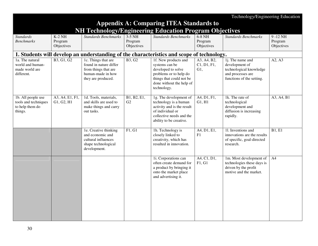|                                                                          |                                   |                                                                                                                  |                                   |                                                                                                                                                               |                                   | Technology/Engineering Education                                                                                         |                                      |
|--------------------------------------------------------------------------|-----------------------------------|------------------------------------------------------------------------------------------------------------------|-----------------------------------|---------------------------------------------------------------------------------------------------------------------------------------------------------------|-----------------------------------|--------------------------------------------------------------------------------------------------------------------------|--------------------------------------|
|                                                                          |                                   |                                                                                                                  |                                   | <b>Appendix A: Comparing ITEA Standards to</b>                                                                                                                |                                   |                                                                                                                          |                                      |
|                                                                          |                                   |                                                                                                                  |                                   | <b>NH Technology/Engineering Education Program Objectives</b>                                                                                                 |                                   |                                                                                                                          |                                      |
| <b>Standards</b><br><b>Benchmarks</b>                                    | $K-2$ NH<br>Program<br>Objectives | <b>Standards Benchmarks</b>                                                                                      | $3-5$ NH<br>Program<br>Objectives | <b>Standards Benchmarks</b>                                                                                                                                   | $6-8$ NH<br>Program<br>Objectives | <b>Standards Benchmarks</b>                                                                                              | $9 - 12$ NH<br>Program<br>Objectives |
|                                                                          |                                   |                                                                                                                  |                                   | 1. Students will develop an understanding of the characteristics and scope of technology.                                                                     |                                   |                                                                                                                          |                                      |
| 1a. The natural<br>world and human-<br>made world are<br>different.      | B3, G1, G2                        | 1c. Things that are<br>found in nature differ<br>from things that are<br>human-made in how<br>they are produced. | <b>B3, G2</b>                     | 1f. New products and<br>systems can be<br>developed to solve<br>problems or to help do<br>things that could not be<br>done without the help of<br>technology. | A3, A4, B2,<br>C1, D1, F1,<br>G1, | 1 <i>j</i> . The name and<br>development of<br>technological knowledge<br>and processes are<br>functions of the setting. | $A2, \overline{A3}$                  |
| 1b. All people use<br>tools and techniques<br>to help them do<br>things. | A3, A4, E1, F1,<br>G1, G2, H1     | 1d. Tools, materials,<br>and skills are used to<br>make things and carry<br>out tasks.                           | B1, B2, E1,<br>G2                 | 1g. The development of<br>technology is a human<br>activity and is the result<br>of individual or<br>collective needs and the<br>ability to be creative.      | A4, D1, F1,<br>G1, H1             | 1k. The rate of<br>technological<br>development and<br>diffusion is increasing<br>rapidly.                               | A3, A4, B1                           |
|                                                                          |                                   | 1e. Creative thinking<br>and economic and<br>cultural influences<br>shape technological<br>development.          | F1, G1                            | 1h. Technology is<br>closely linked to<br>creativity, which has<br>resulted in innovation.                                                                    | A4, D1, E1,<br>F1                 | 11. Inventions and<br>innovations are the results<br>of specific, goal-directed<br>research.                             | B1, E1                               |
|                                                                          |                                   |                                                                                                                  |                                   | 1i. Corporations can<br>often create demand for<br>a product by bringing it<br>onto the market place<br>and advertising it.                                   | A4, C1, D1,<br>F1, G1             | 1m. Most development of<br>technologies these days is<br>driven by the profit<br>motive and the market.                  | A4                                   |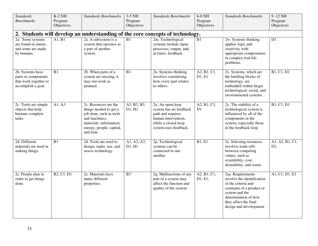| <b>Standards</b><br><b>Benchmarks</b><br>2a. Some systems<br>are found in nature,<br>and some are made<br>by humans. | $K-2$ NH<br>Program<br>Objectives<br>A1, B1 | <b>Standards Benchmarks</b><br>2a. A subsystem is a<br>system that operates as<br>a part of another<br>system.                                                  | 3-5 NH<br>Program<br>Objectives<br>B1 | <b>Standards Benchmarks</b><br>2. Students will develop an understanding of the core concepts of technology.<br>2m. Technological<br>systems include input,<br>processes, output, and,<br>at times, feedback. | 6-8 NH<br>Program<br>Objectives<br>B1 | <b>Standards Benchmarks</b><br>2w. Systems thinking<br>applies logic and<br>creativity with<br>appropriate compromises<br>in complex real-life<br>problems.                                       | 9-12 NH<br>Program<br>Objectives<br>D1 |
|----------------------------------------------------------------------------------------------------------------------|---------------------------------------------|-----------------------------------------------------------------------------------------------------------------------------------------------------------------|---------------------------------------|---------------------------------------------------------------------------------------------------------------------------------------------------------------------------------------------------------------|---------------------------------------|---------------------------------------------------------------------------------------------------------------------------------------------------------------------------------------------------|----------------------------------------|
| 2b. Systems have<br>parts or components<br>that work together to<br>accomplish a goal.                               | B1                                          | 2b. When parts of a<br>system are missing, it<br>may not work as<br>planned.                                                                                    | B1                                    | 2n. Systems thinking<br>involves considering<br>how every part relates<br>to others.                                                                                                                          | A2, B1, C1,<br>D1, E1                 | 2x. Systems, which are<br>the building blocks of<br>technology, are<br>embedded within larger<br>technological, social, and<br>environmental systems.                                             | B1, C1, D1                             |
| 2c. Tools are simple<br>objects that help<br>humans complete<br>tasks.                                               | A1, A3                                      | 2c. Resources are the<br>things needed to get a<br>job done, such as tools<br>and machines,<br>materials, information,<br>energy, people, capital,<br>and time. | A3, B2, B3,<br>D1, H1                 | 2o. An open-loop<br>system has no feedback<br>path and requires<br>human intervention,<br>while a closed-loop<br>system uses feedback.                                                                        | A2, B1, C1,<br>D <sub>1</sub>         | 2y. The stability of a<br>technological system is<br>influenced by all of the<br>components in the<br>system, especially those<br>in the feedback loop.                                           | B1, C1, D1                             |
| 2d. Different<br>materials are used in<br>making things.                                                             | B <sub>3</sub>                              | 2d. Tools are used to<br>design, make, use, and<br>assess technology.                                                                                           | A1, A2, A3,<br>D1, H1                 | 2p. Technological<br>systems can be<br>connected to one<br>another.                                                                                                                                           | B1, E1                                | 2z. Selecting resources<br>involves trade-offs<br>between competing<br>values, such as<br>availability, cost,<br>desirability, and waste.                                                         | A1, A2, B1, C1,<br>D1,                 |
| 2e. People plan in<br>order to get things<br>done.                                                                   | B2, C1, D1                                  | 2e. Materials have<br>many different<br>properties.                                                                                                             | B <sub>3</sub>                        | 2q. Malfunctions of any<br>part of a system may<br>affect the function and<br>quality of the system.                                                                                                          | A2, B1, C1,<br>D1, E1,                | 2aa. Requirements<br>involve the identification<br>of the criteria and<br>constants of a product or<br>system and the<br>determination of how<br>they affect the final<br>design and development. | A1, C1, D1, E1                         |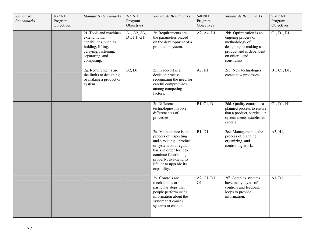| <b>Standards</b><br><b>Benchmarks</b> | $K-2$ NH<br>Program<br>Objectives | <b>Standards Benchmarks</b><br>2f. Tools and machines<br>extend human<br>capabilities, such as<br>holding, lifting,<br>carrying, fastening,<br>separating, and<br>computing. | $3-5$ NH<br>Program<br>Objectives<br>A1, A2, A3,<br>D1, F1, G1 | <b>Standards Benchmarks</b><br>2r. Requirements are<br>the parameters placed<br>on the development of a<br>product or system.                                                                                                 | 6-8 NH<br>Program<br>Objectives<br>A2, A4, D1 | <b>Standards Benchmarks</b><br>2bb. Optimization is an<br>ongoing process or<br>methodology of<br>designing or making a<br>product and is dependent<br>on criteria and<br>constraints. | 9-12 NH<br>Program<br>Objectives<br>C1, D1, E1 |
|---------------------------------------|-----------------------------------|------------------------------------------------------------------------------------------------------------------------------------------------------------------------------|----------------------------------------------------------------|-------------------------------------------------------------------------------------------------------------------------------------------------------------------------------------------------------------------------------|-----------------------------------------------|----------------------------------------------------------------------------------------------------------------------------------------------------------------------------------------|------------------------------------------------|
|                                       |                                   | 2g. Requirements are<br>the limits to designing<br>or making a product or<br>system.                                                                                         | B2, D1                                                         | 2s. Trade-off is a<br>decision process<br>recognizing the need for<br>careful compromises<br>among competing<br>factors.                                                                                                      | A2, D1                                        | 2cc. New technologies<br>create new processes.                                                                                                                                         | B1, C1, D1,                                    |
|                                       |                                   |                                                                                                                                                                              |                                                                | 2t. Different<br>technologies involve<br>different sets of<br>processes.                                                                                                                                                      | B1, C1, D1                                    | 2dd. Quality control is a<br>planned process to ensure<br>that a product, service, or<br>system meets established<br>criteria.                                                         | C1, D1, H1                                     |
|                                       |                                   |                                                                                                                                                                              |                                                                | 2u. Maintenance is the<br>process of inspecting<br>and servicing a product<br>or system on a regular<br>basis in order for it to<br>continue functioning<br>properly, to extend its<br>life, or to upgrade its<br>capability. | <b>B1</b> , D1                                | 2ee. Management is the<br>process of planning,<br>organizing, and<br>controlling work.                                                                                                 | A3, H1,                                        |
|                                       |                                   |                                                                                                                                                                              |                                                                | 2v. Controls are<br>mechanisms or<br>particular steps that<br>people perform using<br>information about the<br>system that causes<br>systems to change.                                                                       | A2, C1, D1,<br>G <sub>1</sub>                 | 2ff. Complex systems<br>have many layers of<br>controls and feedback<br>loops to provide<br>information.                                                                               | A1, D1,                                        |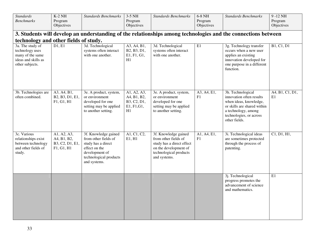| <b>Standards</b><br><b>Benchmarks</b>                                                             | $K-2$ NH<br>Program                                         | <b>Standards Benchmarks</b>                                                                                                                     | 3-5 NH<br>Program                                              | <b>Standards Benchmarks</b>                                                                                                                  | 6-8 NH<br>Program | <b>Standards Benchmarks</b>                                                                                                                                               | 9-12 NH<br>Program    |
|---------------------------------------------------------------------------------------------------|-------------------------------------------------------------|-------------------------------------------------------------------------------------------------------------------------------------------------|----------------------------------------------------------------|----------------------------------------------------------------------------------------------------------------------------------------------|-------------------|---------------------------------------------------------------------------------------------------------------------------------------------------------------------------|-----------------------|
|                                                                                                   | Objectives                                                  |                                                                                                                                                 | Objectives                                                     |                                                                                                                                              | Objectives        |                                                                                                                                                                           | Objectives            |
|                                                                                                   |                                                             |                                                                                                                                                 |                                                                |                                                                                                                                              |                   | 3. Students will develop an understanding of the relationships among technologies and the connections between                                                             |                       |
| technology and other fields of study.                                                             |                                                             |                                                                                                                                                 |                                                                |                                                                                                                                              |                   |                                                                                                                                                                           |                       |
| 3a. The study of<br>technology uses<br>many of the same<br>ideas and skills as<br>other subjects. | D1, E1                                                      | 3d. Technological<br>systems often interact<br>with one another.                                                                                | A3, A4, B1,<br>B2, B3, D1,<br>E1, F1, G1,<br>H1                | 3d. Technological<br>systems often interact<br>with one another.                                                                             | $\rm E1$          | 3g. Technology transfer<br>occurs when a new user<br>applies an existing<br>innovation developed for<br>one purpose in a different<br>function.                           | B1, C1, D1            |
| 3b. Technologies are<br>often combined.                                                           | A3, A4, B1,<br>B2, B3, D1, E1,<br>F1, G1, H1                | 3e. A product, system,<br>or environment<br>developed for one<br>setting may be applied<br>to another setting.                                  | A1, A2, A3,<br>A4, B1, B2,<br>B3, C2, D1,<br>E1, F1, G1,<br>H1 | 3e. A product, system,<br>or environment<br>developed for one<br>setting may be applied<br>to another setting.                               | A3, A4, E1,<br>F1 | 3h. Technological<br>innovation often results<br>when ideas, knowledge,<br>or skills are shared within<br>a technology, among<br>technologies, or across<br>other fields. | A4, B1, C1, D1,<br>E1 |
| 3c. Various<br>relationships exist<br>between technology<br>and other fields of<br>study.         | A1, A2, A3,<br>A4, B1, B2,<br>B3, C2, D1, E1,<br>F1, G1, H1 | 3f. Knowledge gained<br>from other fields of<br>study has a direct<br>effect on the<br>development of<br>technological products<br>and systems. | A1, C1, C2,<br>E1, H1                                          | 3f. Knowledge gained<br>from other fields of<br>study has a direct effect<br>on the development of<br>technological products<br>and systems. | A1, A4, E1,<br>F1 | 3i. Technological ideas<br>are sometimes protected<br>through the process of<br>patenting.                                                                                | Cl, D1, H1,           |
|                                                                                                   |                                                             |                                                                                                                                                 |                                                                |                                                                                                                                              |                   | 3j. Technological<br>progress promotes the<br>advancement of science<br>and mathematics.                                                                                  | E1                    |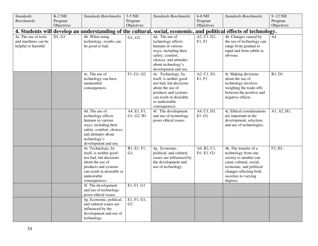| <b>Standards</b>                                                                                                  | $K-2$ NH              | <b>Standards Benchmarks</b>                    | 3-5 NH                | <b>Standards Benchmarks</b>              | 6-8 NH                | <b>Standards Benchmarks</b>                         | 9-12 NH               |  |  |
|-------------------------------------------------------------------------------------------------------------------|-----------------------|------------------------------------------------|-----------------------|------------------------------------------|-----------------------|-----------------------------------------------------|-----------------------|--|--|
| <b>Benchmarks</b>                                                                                                 | Program<br>Objectives |                                                | Program<br>Objectives |                                          | Program<br>Objectives |                                                     | Program<br>Objectives |  |  |
| 4. Students will develop an understanding of the cultural, social, economic, and political effects of technology. |                       |                                                |                       |                                          |                       |                                                     |                       |  |  |
| 4a. The use of tools                                                                                              | D1, G1                | 4b. When using                                 |                       | 4d. The use of                           | A2, C1, D1,           | 4h. Changes caused by                               | A4                    |  |  |
| and machines can be                                                                                               |                       | technology, results can                        | G1, G2                | technology affects                       | E1, F1                | the use of technology can                           |                       |  |  |
| helpful or harmful.                                                                                               |                       | be good or bad.                                |                       | humans in various                        |                       | range from gradual to                               |                       |  |  |
|                                                                                                                   |                       |                                                |                       | ways, including their                    |                       | rapid and from subtle to                            |                       |  |  |
|                                                                                                                   |                       |                                                |                       | safety, comfort,                         |                       | obvious.                                            |                       |  |  |
|                                                                                                                   |                       |                                                |                       | choices, and attitudes                   |                       |                                                     |                       |  |  |
|                                                                                                                   |                       |                                                |                       | about technology's                       |                       |                                                     |                       |  |  |
|                                                                                                                   |                       |                                                |                       | development and use.                     |                       |                                                     |                       |  |  |
|                                                                                                                   |                       | 4c. The use of                                 | F1, G1, G2            | 4e. Technology, by                       | A2, C1, D1,           | 4i. Making decisions                                | B1, D1                |  |  |
|                                                                                                                   |                       | technology can have                            |                       | itself, is neither good                  | E1, F1                | about the use of                                    |                       |  |  |
|                                                                                                                   |                       | unintended                                     |                       | nor bad, but decisions                   |                       | technology involves                                 |                       |  |  |
|                                                                                                                   |                       | consequences.                                  |                       | about the use of<br>products and systems |                       | weighing the trade-offs<br>between the positive and |                       |  |  |
|                                                                                                                   |                       |                                                |                       | can result in desirable                  |                       | negative effects.                                   |                       |  |  |
|                                                                                                                   |                       |                                                |                       | or undesirable                           |                       |                                                     |                       |  |  |
|                                                                                                                   |                       |                                                |                       | consequences.                            |                       |                                                     |                       |  |  |
|                                                                                                                   |                       | 4d. The use of                                 | A4, E1, F1,           | 4f. The development                      | A4, C1, D1,           | 4j. Ethical considerations                          | A1, A2, H1,           |  |  |
|                                                                                                                   |                       | technology affects                             | G1, G2, H1            | and use of technology                    | E1, G1                | are important in the                                |                       |  |  |
|                                                                                                                   |                       | humans in various                              |                       | poses ethical issues.                    |                       | development, selection,                             |                       |  |  |
|                                                                                                                   |                       | ways, including their                          |                       |                                          |                       | and use of technologies.                            |                       |  |  |
|                                                                                                                   |                       | safety, comfort, choices,                      |                       |                                          |                       |                                                     |                       |  |  |
|                                                                                                                   |                       | and attitudes about                            |                       |                                          |                       |                                                     |                       |  |  |
|                                                                                                                   |                       | technology's                                   |                       |                                          |                       |                                                     |                       |  |  |
|                                                                                                                   |                       | development and use.<br>4e. Technology, by     | B1, E1, F1,           | 4g. Economic,                            | A4, B2, C1,           | 4k. The transfer of a                               | F2, H1,               |  |  |
|                                                                                                                   |                       | itself, is neither good                        | G1,                   | political, and cultural                  | D1, E1, G1            | technology from one                                 |                       |  |  |
|                                                                                                                   |                       | nor bad, but decisions                         |                       | issues are influenced by                 |                       | society to another can                              |                       |  |  |
|                                                                                                                   |                       | about the use of                               |                       | the development and                      |                       | cause cultural, social,                             |                       |  |  |
|                                                                                                                   |                       | products and systems                           |                       | use of technology.                       |                       | economic, and political                             |                       |  |  |
|                                                                                                                   |                       | can result in desirable or                     |                       |                                          |                       | changes affecting both                              |                       |  |  |
|                                                                                                                   |                       | undesirable                                    |                       |                                          |                       | societies to varying                                |                       |  |  |
|                                                                                                                   |                       | consequences.                                  |                       |                                          |                       | degrees.                                            |                       |  |  |
|                                                                                                                   |                       | 4f. The development                            | E1, F1, G1            |                                          |                       |                                                     |                       |  |  |
|                                                                                                                   |                       | and use of technology<br>poses ethical issues. |                       |                                          |                       |                                                     |                       |  |  |
|                                                                                                                   |                       | 4g. Economic, political,                       | E1, F1, G1,           |                                          |                       |                                                     |                       |  |  |
|                                                                                                                   |                       | and cultural issues are                        | G2                    |                                          |                       |                                                     |                       |  |  |
|                                                                                                                   |                       | influenced by the                              |                       |                                          |                       |                                                     |                       |  |  |
|                                                                                                                   |                       | development and use of                         |                       |                                          |                       |                                                     |                       |  |  |
|                                                                                                                   |                       | technology.                                    |                       |                                          |                       |                                                     |                       |  |  |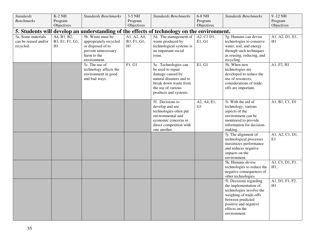| <b>Standards</b>     | $K-2$ NH        | <b>Standards Benchmarks</b> | 3-5 NH      | <b>Standards Benchmarks</b>                                                                | 6-8 NH      | <b>Standards Benchmarks</b>                            | 9-12 NH                |
|----------------------|-----------------|-----------------------------|-------------|--------------------------------------------------------------------------------------------|-------------|--------------------------------------------------------|------------------------|
| <b>Benchmarks</b>    | Program         |                             | Program     |                                                                                            | Program     |                                                        | Program                |
|                      | Objectives      |                             | Objectives  |                                                                                            | Objectives  |                                                        | Objectives             |
|                      |                 |                             |             | 5. Students will develop an understanding of the effects of technology on the environment. |             |                                                        |                        |
| 5a. Some materials   | A4, B1, B2,     | 5b. Waste must be           | A1, A2, A4, | 5d. The management of                                                                      | A2, C1 D1,  | 5g. Humans can devise                                  | A1, A2, D1, E1,        |
| can be reused and/or | B3, E1, F1, G1, | appropriately recycled      | B3, F1, G1, | waste produced by                                                                          | E1, G1      | technologies to conserve                               | H1                     |
| recycled.            | H1              | or disposed of to           | H1          | technological systems is                                                                   |             | water, soil, and energy                                |                        |
|                      |                 | prevent unnecessary         |             | an important social                                                                        |             | through such techniques                                |                        |
|                      |                 | harm to the                 |             | issue.                                                                                     |             | as reusing, reducing, and                              |                        |
|                      |                 | environment.                |             |                                                                                            |             | recycling.                                             |                        |
|                      |                 | 5c. The use of              | F1, G1      | 5e. Technologies can                                                                       | E1, G1      | 5h. When new                                           | A1, F2, H1             |
|                      |                 | technology affects the      |             | be used to repair                                                                          |             | technologies are                                       |                        |
|                      |                 | environment in good         |             | damage caused by                                                                           |             | developed to reduce the                                |                        |
|                      |                 | and bad ways.               |             | natural disasters and to                                                                   |             | use of resources,                                      |                        |
|                      |                 |                             |             | break down waste from                                                                      |             | considerations of trade-                               |                        |
|                      |                 |                             |             | the use of various                                                                         |             | offs are important.                                    |                        |
|                      |                 |                             |             | products and systems.                                                                      |             |                                                        |                        |
|                      |                 |                             |             | 5f. Decisions to                                                                           | A2, A4, E1, | 5i. With the aid of                                    | A1, B1, C1, D1         |
|                      |                 |                             |             | develop and use                                                                            | G1          | technology, various                                    |                        |
|                      |                 |                             |             | technologies often put                                                                     |             | aspects of the                                         |                        |
|                      |                 |                             |             | environmental and                                                                          |             | environment can be                                     |                        |
|                      |                 |                             |             | economic concerns in                                                                       |             | monitored to provide                                   |                        |
|                      |                 |                             |             | direct competition with                                                                    |             | information for decision-                              |                        |
|                      |                 |                             |             | one another.                                                                               |             | making.                                                |                        |
|                      |                 |                             |             |                                                                                            |             | 5j. The alignment of                                   | A1, A2, C1, D1,        |
|                      |                 |                             |             |                                                                                            |             | technological processes                                | E1                     |
|                      |                 |                             |             |                                                                                            |             | maximizes performance                                  |                        |
|                      |                 |                             |             |                                                                                            |             | and reduces negative                                   |                        |
|                      |                 |                             |             |                                                                                            |             | impacts on the                                         |                        |
|                      |                 |                             |             |                                                                                            |             | environment.                                           |                        |
|                      |                 |                             |             |                                                                                            |             | 5k. Humans devise                                      | A1, C1, D1, F1,<br>H1, |
|                      |                 |                             |             |                                                                                            |             | technologies to reduce the<br>negative consequences of |                        |
|                      |                 |                             |             |                                                                                            |             | other technologies.                                    |                        |
|                      |                 |                             |             |                                                                                            |             | 51. Decisions regarding                                | A1, D1, F1, F2,        |
|                      |                 |                             |             |                                                                                            |             | the implementation of                                  | H1                     |
|                      |                 |                             |             |                                                                                            |             | technologies involve the                               |                        |
|                      |                 |                             |             |                                                                                            |             | weighing of trade-offs                                 |                        |
|                      |                 |                             |             |                                                                                            |             | between predicted                                      |                        |
|                      |                 |                             |             |                                                                                            |             | positive and negative                                  |                        |
|                      |                 |                             |             |                                                                                            |             | effects on the                                         |                        |
|                      |                 |                             |             |                                                                                            |             | environment.                                           |                        |
|                      |                 |                             |             |                                                                                            |             |                                                        |                        |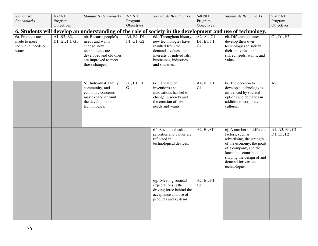| <b>Standards</b>                                                                                           | $K-2$ NH              | <b>Standards Benchmarks</b>                | 3-5 NH                | <b>Standards Benchmarks</b>                       | 6-8 NH                | <b>Standards Benchmarks</b>                      | 9-12 NH               |  |  |
|------------------------------------------------------------------------------------------------------------|-----------------------|--------------------------------------------|-----------------------|---------------------------------------------------|-----------------------|--------------------------------------------------|-----------------------|--|--|
| <b>Benchmarks</b>                                                                                          | Program<br>Objectives |                                            | Program<br>Objectives |                                                   | Program<br>Objectives |                                                  | Program<br>Objectives |  |  |
| 6. Students will develop an understanding of the role of society in the development and use of technology. |                       |                                            |                       |                                                   |                       |                                                  |                       |  |  |
| 6a. Products are                                                                                           | A1, B2, B3,           | 6b. Because people's                       | A4, B1, D1,           | 6d. Throughout history,                           | A2, A4, C1,           | 6h. Different cultures                           | Cl, D1, F2            |  |  |
| made to meet                                                                                               | D1, E1, F1, G1        | needs and wants                            | F1, G1, G2            | new technologies have                             | D1, E1, F1,           | develop their own                                |                       |  |  |
| individual needs or                                                                                        |                       | change, new                                |                       | resulted from the                                 | G1                    | technologies to satisfy                          |                       |  |  |
| wants.                                                                                                     |                       | technologies are<br>developed and old ones |                       | demands, values, and<br>interests of individuals, |                       | their individual and<br>shared needs, wants, and |                       |  |  |
|                                                                                                            |                       | are improved to meet                       |                       | businesses, industries,                           |                       | values.                                          |                       |  |  |
|                                                                                                            |                       | those changes.                             |                       | and societies.                                    |                       |                                                  |                       |  |  |
|                                                                                                            |                       |                                            |                       |                                                   |                       |                                                  |                       |  |  |
|                                                                                                            |                       |                                            |                       |                                                   |                       |                                                  |                       |  |  |
|                                                                                                            |                       | 6c. Individual, family,                    | B1, E1, F1,           | 6e. The use of                                    | A4, E1, F1,           | 6i. The decision to                              | A2                    |  |  |
|                                                                                                            |                       | community, and                             | G <sub>1</sub>        | inventions and                                    | G1                    | develop a technology is                          |                       |  |  |
|                                                                                                            |                       | economic concerns<br>may expand or limit   |                       | innovations has led to<br>change in society and   |                       | influenced by societal<br>options and demands in |                       |  |  |
|                                                                                                            |                       | the development of                         |                       | the creation of new                               |                       | addition to corporate                            |                       |  |  |
|                                                                                                            |                       | technologies.                              |                       | needs and wants.                                  |                       | cultures.                                        |                       |  |  |
|                                                                                                            |                       |                                            |                       |                                                   |                       |                                                  |                       |  |  |
|                                                                                                            |                       |                                            |                       |                                                   |                       |                                                  |                       |  |  |
|                                                                                                            |                       |                                            |                       |                                                   |                       |                                                  |                       |  |  |
|                                                                                                            |                       |                                            |                       | 6f. Social and cultural                           | A2, E1, G1            | 6j. A number of different                        | A1, A3, B1, C1,       |  |  |
|                                                                                                            |                       |                                            |                       | priorities and values are<br>reflected in         |                       | factors, such as<br>advertising, the strength    | D1, E1, F2            |  |  |
|                                                                                                            |                       |                                            |                       | technological devices.                            |                       | of the economy, the goals                        |                       |  |  |
|                                                                                                            |                       |                                            |                       |                                                   |                       | of a company, and the                            |                       |  |  |
|                                                                                                            |                       |                                            |                       |                                                   |                       | latest fads contribute to                        |                       |  |  |
|                                                                                                            |                       |                                            |                       |                                                   |                       | shaping the design of and<br>demand for various  |                       |  |  |
|                                                                                                            |                       |                                            |                       |                                                   |                       | technologies.                                    |                       |  |  |
|                                                                                                            |                       |                                            |                       |                                                   |                       |                                                  |                       |  |  |
|                                                                                                            |                       |                                            |                       | 6g. Meeting societal                              | A2, E1, F1,           |                                                  |                       |  |  |
|                                                                                                            |                       |                                            |                       | expectations is the                               | G1                    |                                                  |                       |  |  |
|                                                                                                            |                       |                                            |                       | driving force behind the                          |                       |                                                  |                       |  |  |
|                                                                                                            |                       |                                            |                       | acceptance and use of                             |                       |                                                  |                       |  |  |
|                                                                                                            |                       |                                            |                       | products and systems.                             |                       |                                                  |                       |  |  |
|                                                                                                            |                       |                                            |                       |                                                   |                       |                                                  |                       |  |  |
|                                                                                                            |                       |                                            |                       |                                                   |                       |                                                  |                       |  |  |
|                                                                                                            |                       |                                            |                       |                                                   |                       |                                                  |                       |  |  |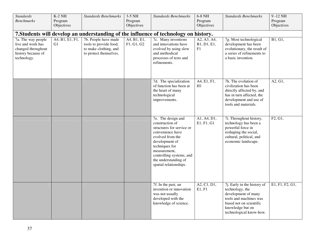| <b>Standards</b><br><b>Benchmarks</b><br>7a. The way people<br>live and work has<br>changed throughout<br>history because of<br>technology. | $K-2$ NH<br>Program<br>Objectives<br>$\overline{A4, B1, E1, F1}$ ,<br>G <sub>1</sub> | <b>Standards Benchmarks</b><br>7b. People have made<br>tools to provide food,<br>to make clothing, and<br>to protect themselves. | 3-5 NH<br>Program<br>Objectives<br>A4, B1, E1,<br>F1, G1, G2 | <b>Standards Benchmarks</b><br>7. Students will develop an understanding of the influence of technology on history.<br>7c. Many inventions<br>and innovations have<br>evolved by using slow<br>and methodical<br>processes of tests and<br>refinements. | 6-8 NH<br>Program<br>Objectives<br>A2, A3, A4,<br>B1, D1, E1,<br>F1 | <b>Standards Benchmarks</b><br>7g. Most technological<br>development has been<br>evolutionary, the result of<br>a series of refinements to<br>a basic invention.          | 9-12 NH<br>Program<br>Objectives<br>B1, G1, |
|---------------------------------------------------------------------------------------------------------------------------------------------|--------------------------------------------------------------------------------------|----------------------------------------------------------------------------------------------------------------------------------|--------------------------------------------------------------|---------------------------------------------------------------------------------------------------------------------------------------------------------------------------------------------------------------------------------------------------------|---------------------------------------------------------------------|---------------------------------------------------------------------------------------------------------------------------------------------------------------------------|---------------------------------------------|
|                                                                                                                                             |                                                                                      |                                                                                                                                  |                                                              | 7d. The specialization<br>of function has been at<br>the heart of many<br>technological<br>improvements.                                                                                                                                                | A4, E1, F1,<br>H1                                                   | 7h. The evolution of<br>civilization has been<br>directly affected by, and<br>has in turn affected, the<br>development and use of<br>tools and materials.                 | A2, G1,                                     |
|                                                                                                                                             |                                                                                      |                                                                                                                                  |                                                              | 7e. The design and<br>construction of<br>structures for service or<br>convenience have<br>evolved from the<br>development of<br>techniques for<br>measurement,<br>controlling systems, and<br>the understanding of<br>spatial relationships.            | A1, A4, D1,<br>E1, F1, G1                                           | 7i. Throughout history,<br>technology has been a<br>powerful force in<br>reshaping the social,<br>cultural, political, and<br>economic landscape.                         | F2, G1,                                     |
|                                                                                                                                             |                                                                                      |                                                                                                                                  |                                                              | 7f. In the past, an<br>invention or innovation<br>was not usually<br>developed with the<br>knowledge of science.                                                                                                                                        | A2, C1, D1,<br>E1, F1                                               | 7j. Early in the history of<br>technology, the<br>development of many<br>tools and machines was<br>based not on scientific<br>knowledge but on<br>technological know-how. | E1, F1, F2, G1,                             |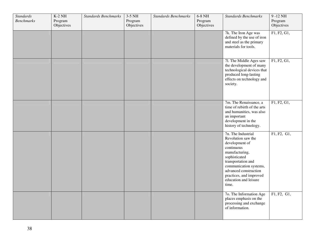| <b>Standards</b><br><b>Benchmarks</b> | $K-2$ NH<br>Program<br>Objectives | <b>Standards Benchmarks</b> | 3-5 NH<br>Program<br>Objectives | <b>Standards Benchmarks</b> | $6-8$ NH<br>Program<br>Objectives | <b>Standards Benchmarks</b>                                                                                                                                                                                                                       | $9 - 12$ NH<br>Program<br>Objectives |
|---------------------------------------|-----------------------------------|-----------------------------|---------------------------------|-----------------------------|-----------------------------------|---------------------------------------------------------------------------------------------------------------------------------------------------------------------------------------------------------------------------------------------------|--------------------------------------|
|                                       |                                   |                             |                                 |                             |                                   | 7k. The Iron Age was<br>defined by the use of iron<br>and steel as the primary<br>materials for tools.                                                                                                                                            | F1, F2, G1,                          |
|                                       |                                   |                             |                                 |                             |                                   | 71. The Middle Ages saw<br>the development of many<br>technological devices that<br>produced long-lasting<br>effects on technology and<br>society.                                                                                                | F1, F2, G1,                          |
|                                       |                                   |                             |                                 |                             |                                   | 7m. The Renaissance, a<br>time of rebirth of the arts<br>and humanities, was also<br>an important<br>development in the<br>history of technology.                                                                                                 | F1, F2, G1,                          |
|                                       |                                   |                             |                                 |                             |                                   | 7n. The Industrial<br>Revolution saw the<br>development of<br>continuous<br>manufacturing,<br>sophisticated<br>transportation and<br>communication systems,<br>advanced construction<br>practices, and improved<br>education and leisure<br>time. | F1, F2, G1,                          |
|                                       |                                   |                             |                                 |                             |                                   | 7o. The Information Age<br>places emphasis on the<br>processing and exchange<br>of information.                                                                                                                                                   | F1, F2, G1,                          |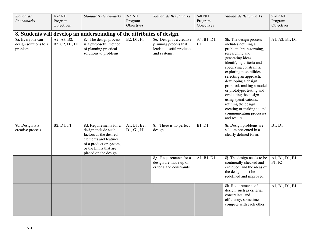| Standards                                             | $K-2$ NH                      | <b>Standards Benchmarks</b>                                                                                                                                                    | 3-5 NH                    | <b>Standards Benchmarks</b>                                                                   | 6-8 NH            | <b>Standards Benchmarks</b>                                                                                                                                                                                                                                                                                                                                                                                                                                      | 9-12 NH                   |
|-------------------------------------------------------|-------------------------------|--------------------------------------------------------------------------------------------------------------------------------------------------------------------------------|---------------------------|-----------------------------------------------------------------------------------------------|-------------------|------------------------------------------------------------------------------------------------------------------------------------------------------------------------------------------------------------------------------------------------------------------------------------------------------------------------------------------------------------------------------------------------------------------------------------------------------------------|---------------------------|
| <b>Benchmarks</b>                                     | Program                       |                                                                                                                                                                                | Program                   |                                                                                               | Program           |                                                                                                                                                                                                                                                                                                                                                                                                                                                                  | Program                   |
|                                                       | Objectives                    |                                                                                                                                                                                | Objectives                |                                                                                               | Objectives        |                                                                                                                                                                                                                                                                                                                                                                                                                                                                  | Objectives                |
|                                                       |                               | 8. Students will develop an understanding of the attributes of design.                                                                                                         |                           |                                                                                               |                   |                                                                                                                                                                                                                                                                                                                                                                                                                                                                  |                           |
| 8a. Everyone can<br>design solutions to a<br>problem. | A2, A3, B2,<br>B3, C2, D1, H1 | 8c. The design process<br>is a purposeful method<br>of planning practical<br>solutions to problems.                                                                            | <b>B2, D1, F1</b>         | 8e. Design is a creative<br>planning process that<br>leads to useful products<br>and systems. | A4, B1, D1,<br>E1 | 8h. The design process<br>includes defining a<br>problem, brainstorming,<br>researching and<br>generating ideas,<br>identifying criteria and<br>specifying constraints,<br>exploring possibilities,<br>selecting an approach,<br>developing a design<br>proposal, making a model<br>or prototype, testing and<br>evaluating the design<br>using specifications,<br>refining the design,<br>creating or making it, and<br>communicating processes<br>and results. | A1, A2, B1, D1            |
| 8b. Design is a<br>creative process.                  | B2, D1, F1                    | 8d. Requirements for a<br>design include such<br>factors as the desired<br>elements and features<br>of a product or system,<br>or the limits that are<br>placed on the design. | A1, B1, B2,<br>D1, G1, H1 | 8f. There is no perfect<br>design.                                                            | <b>B1, D1</b>     | 8i. Design problems are<br>seldom presented in a<br>clearly defined form.                                                                                                                                                                                                                                                                                                                                                                                        | <b>B1</b> , D1            |
|                                                       |                               |                                                                                                                                                                                |                           | 8g. Requirements for a<br>design are made up of<br>criteria and constraints.                  | A1, B1, D1        | 8j. The design needs to be<br>continually checked and<br>critiqued, and the ideas of<br>the design must be<br>redefined and improved.                                                                                                                                                                                                                                                                                                                            | A1, B1, D1, E1,<br>F1, F2 |
|                                                       |                               |                                                                                                                                                                                |                           |                                                                                               |                   | 8k. Requirements of a<br>design, such as criteria,<br>constraints, and<br>efficiency, sometimes<br>compete with each other.                                                                                                                                                                                                                                                                                                                                      | A1, B1, D1, E1,           |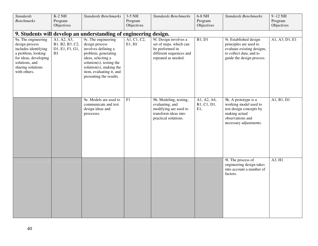| <b>Standards</b>                                                                                                                                                    | $K-2$ NH                                                | <b>Standards Benchmarks</b>                                                                                                                                                                                             | 3-5 NH                | <b>Standards Benchmarks</b>                                                                                           | $6-8$ NH $\,$                     | <b>Standards Benchmarks</b>                                                                                                             | 9-12 NH        |
|---------------------------------------------------------------------------------------------------------------------------------------------------------------------|---------------------------------------------------------|-------------------------------------------------------------------------------------------------------------------------------------------------------------------------------------------------------------------------|-----------------------|-----------------------------------------------------------------------------------------------------------------------|-----------------------------------|-----------------------------------------------------------------------------------------------------------------------------------------|----------------|
| <b>Benchmarks</b>                                                                                                                                                   | Program                                                 |                                                                                                                                                                                                                         | Program               |                                                                                                                       | Program                           |                                                                                                                                         | Program        |
|                                                                                                                                                                     | Objectives                                              |                                                                                                                                                                                                                         | Objectives            |                                                                                                                       | Objectives                        |                                                                                                                                         | Objectives     |
|                                                                                                                                                                     |                                                         | 9. Students will develop an understanding of engineering design.                                                                                                                                                        |                       |                                                                                                                       |                                   |                                                                                                                                         |                |
| 9a. The engineering<br>design process<br>includes identifying<br>a problem, looking<br>for ideas, developing<br>solutions, and<br>sharing solutions<br>with others. | A1, A2, A3,<br>B1, B2, B3, C2,<br>D1, E1, F1, G1,<br>H1 | 9c. The engineering<br>design process<br>involves defining a<br>problem, generating<br>ideas, selecting a<br>solution(s), testing the<br>solution(s), making the<br>item, evaluating it, and<br>presenting the results. | A1, C1, C2,<br>E1, H1 | 9f. Design involves a<br>set of steps, which can<br>be performed in<br>different sequences and<br>repeated as needed. | B1, D1                            | 9i. Established design<br>principles are used to<br>evaluate existing designs,<br>to collect data, and to<br>guide the design process.  | A1, A3, D1, E1 |
|                                                                                                                                                                     |                                                         | 9e. Models are used to<br>communicate and test<br>design ideas and<br>processes.                                                                                                                                        | F1                    | 9h. Modeling, testing,<br>evaluating, and<br>modifying are used to<br>transform ideas into<br>practical solutions.    | A1, A2, A4,<br>B1, C1, D1,<br>E1, | 9k. A prototype is a<br>working model used to<br>test design concepts by<br>making actual<br>observations and<br>necessary adjustments. | A1, B1, D1     |
|                                                                                                                                                                     |                                                         |                                                                                                                                                                                                                         |                       |                                                                                                                       |                                   | 91. The process of<br>engineering design takes<br>into account a number of<br>factors.                                                  | A3, H1         |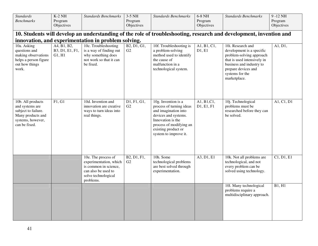| <b>Standards</b><br><b>Benchmarks</b>                                                                                  | $K-2$ NH<br>Program                                 | <b>Standards Benchmarks</b>                                                                                                       | 3-5 NH<br>Program | <b>Standards Benchmarks</b>                                                                                                                                                                     | 6-8 NH<br>Program                       | <b>Standards Benchmarks</b>                                                                                                                                                                     | $9 - 12$ NH<br>Program  |  |  |  |  |  |
|------------------------------------------------------------------------------------------------------------------------|-----------------------------------------------------|-----------------------------------------------------------------------------------------------------------------------------------|-------------------|-------------------------------------------------------------------------------------------------------------------------------------------------------------------------------------------------|-----------------------------------------|-------------------------------------------------------------------------------------------------------------------------------------------------------------------------------------------------|-------------------------|--|--|--|--|--|
|                                                                                                                        | Objectives                                          |                                                                                                                                   | Objectives        |                                                                                                                                                                                                 | Objectives                              |                                                                                                                                                                                                 | Objectives              |  |  |  |  |  |
|                                                                                                                        |                                                     |                                                                                                                                   |                   |                                                                                                                                                                                                 |                                         | 10. Students will develop an understanding of the role of troubleshooting, research and development, invention and                                                                              |                         |  |  |  |  |  |
|                                                                                                                        | innovation, and experimentation in problem solving. |                                                                                                                                   |                   |                                                                                                                                                                                                 |                                         |                                                                                                                                                                                                 |                         |  |  |  |  |  |
| 10a. Asking<br>questions and<br>making observations<br>helps a person figure<br>out how things<br>work.                | A4, B1, B2,<br>B3, D1, E1, F1,<br>G1, H1            | 10c. Troubleshooting<br>is a way of finding out<br>why something does<br>not work so that it can<br>be fixed.                     | B2, D1, G1,<br>G2 | 10f. Troubleshooting is<br>a problem-solving<br>method used to identify<br>the cause of<br>malfunction in a<br>technological system.                                                            | A1, B1, C1,<br>D1, E1                   | 10i. Research and<br>development is a specific<br>problem-solving approach<br>that is used intensively in<br>business and industry to<br>prepare devices and<br>systems for the<br>marketplace. | A1, D1,                 |  |  |  |  |  |
| 10b. All products<br>and systems are<br>subject to failure.<br>Many products and<br>systems, however,<br>can be fixed. | F1, G1                                              | 10d. Invention and<br>innovation are creative<br>ways to turn ideas into<br>real things.                                          | D1, F1, G1,<br>G2 | 10g. Invention is a<br>process of turning ideas<br>and imagination into<br>devices and systems.<br>Innovation is the<br>process of modifying an<br>existing product or<br>system to improve it. | $\overline{A1, B1, C1, }$<br>D1, E1, F1 | 10j. Technological<br>problems must be<br>researched before they can<br>be solved.                                                                                                              | $\overline{A1, C1, D1}$ |  |  |  |  |  |
|                                                                                                                        |                                                     | 10e. The process of<br>experimentation, which<br>is common in science,<br>can also be used to<br>solve technological<br>problems. | B2, D1, F1,<br>G2 | 10h. Some<br>technological problems<br>are best solved through<br>experimentation.                                                                                                              | A3, D1, E1                              | 10k. Not all problems are<br>technological, and not<br>every problem can be<br>solved using technology.                                                                                         | Cl, D1, E1              |  |  |  |  |  |
|                                                                                                                        |                                                     |                                                                                                                                   |                   |                                                                                                                                                                                                 |                                         | 10l. Many technological<br>problems require a<br>multidisciplinary approach.                                                                                                                    | B1, H1                  |  |  |  |  |  |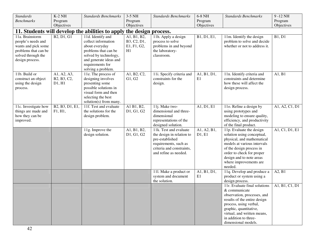| <b>Standards</b>     | $K-2$ NH        | <b>Standards Benchmarks</b>                      | 3-5 NH              | <b>Standards Benchmarks</b> | 6-8 NH      | <b>Standards Benchmarks</b>   | 9-12 NH        |
|----------------------|-----------------|--------------------------------------------------|---------------------|-----------------------------|-------------|-------------------------------|----------------|
| <b>Benchmarks</b>    | Program         |                                                  | Program             |                             | Program     |                               | Program        |
|                      | Objectives      |                                                  | Objectives          |                             | Objectives  |                               | Objectives     |
|                      |                 | 11. Students will develop the abilities to apply | the design process. |                             |             |                               |                |
| 11a. Brainstorm      | B2, D1, G1      | 11d. Identify and                                | A1, B1, B2,         | 11h. Apply a design         | B1, D1, E1, | 11m. Identify the design      | B1, D1         |
| people's needs and   |                 | collect information                              | B3, C2, D1,         | process to solve            |             | problem to solve and decide   |                |
| wants and pick some  |                 | about everyday                                   | E1, F1, G2,         | problems in and beyond      |             | whether or not to address it. |                |
| problems that can be |                 | problems that can be                             | H1                  | the laboratory-             |             |                               |                |
| solved through the   |                 | solved by technology,                            |                     | classroom.                  |             |                               |                |
| design process.      |                 | and generate ideas and                           |                     |                             |             |                               |                |
|                      |                 | requirements for                                 |                     |                             |             |                               |                |
|                      |                 | solving a problem.                               |                     |                             |             |                               |                |
| 11b. Build or        | A1, A2, A3,     | 11e. The process of                              | A1, B2, C2,         | 11i. Specify criteria and   | A1, B1, D1, | 11n. Identify criteria and    | A1, B1         |
| construct an object  | B2, B3, C2,     | designing involves                               | G1, G2              | constraints for the         | E1          | constraints and determine     |                |
| using the design     | D1, H1          | presenting some                                  |                     | design.                     |             | how these will affect the     |                |
| process.             |                 | possible solutions in                            |                     |                             |             | design process.               |                |
|                      |                 | visual form and then                             |                     |                             |             |                               |                |
|                      |                 | selecting the best                               |                     |                             |             |                               |                |
|                      |                 | solution(s) from many.                           |                     |                             |             |                               |                |
| 11c. Investigate how | B2, B3, D1, E1, | 11f. Test and evaluate                           | A1 B1, B2,          | 11j. Make two-              | A1, D1, E1  | 11o. Refine a design by       | A1, A2, C1, D1 |
| things are made and  | F1, H1,         | the solutions for the                            | D1, G1, G2          | dimensional and three-      |             | using prototypes and          |                |
| how they can be      |                 | design problem.                                  |                     | dimensional                 |             | modeling to ensure quality,   |                |
| improved.            |                 |                                                  |                     | representations of the      |             | efficiency, and productivity  |                |
|                      |                 |                                                  |                     | designed solution.          |             | of the final product.         |                |
|                      |                 | 11g. Improve the                                 | A1, B1, B2,         | 11k. Test and evaluate      | A1, A2, B1, | 11p. Evaluate the design      | A1, C1, D1, E1 |
|                      |                 | design solution.                                 | D1, G1, G2          | the design in relation to   | D1, E1      | solution using conceptual,    |                |
|                      |                 |                                                  |                     | pre-established             |             | physical, and mathematical    |                |
|                      |                 |                                                  |                     | requirements, such as       |             | models at various intervals   |                |
|                      |                 |                                                  |                     | criteria and constraints,   |             | of the design process in      |                |
|                      |                 |                                                  |                     | and refine as needed.       |             | order to check for proper     |                |
|                      |                 |                                                  |                     |                             |             | design and to note areas      |                |
|                      |                 |                                                  |                     |                             |             | where improvements are        |                |
|                      |                 |                                                  |                     |                             |             | needed.                       |                |
|                      |                 |                                                  |                     | 111. Make a product or      | A1, B1, D1, | 11q. Develop and produce a    | A2, B1         |
|                      |                 |                                                  |                     | system and document         | E1          | product or system using a     |                |
|                      |                 |                                                  |                     | the solution.               |             | design process.               |                |
|                      |                 |                                                  |                     |                             |             | 11r. Evaluate final solutions | A1, B1, C1, D1 |
|                      |                 |                                                  |                     |                             |             | & communicate                 |                |
|                      |                 |                                                  |                     |                             |             | observation, processes, and   |                |
|                      |                 |                                                  |                     |                             |             | results of the entire design  |                |
|                      |                 |                                                  |                     |                             |             | process, using verbal,        |                |
|                      |                 |                                                  |                     |                             |             | graphic, quantitative,        |                |
|                      |                 |                                                  |                     |                             |             | virtual, and written means,   |                |
|                      |                 |                                                  |                     |                             |             | in addition to three-         |                |
|                      |                 |                                                  |                     |                             |             | dimensional models.           |                |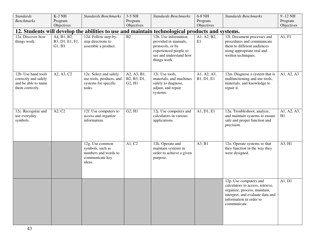| <b>Standards</b><br><b>Benchmarks</b>                                                 | $K-2$ NH<br>Program<br>Objectives        | <b>Standards Benchmarks</b>                                                              | $3-5$ NH<br>Program<br>Objectives    | <b>Standards Benchmarks</b>                                                                                                         | 6-8 NH<br>Program<br>Objectives | <b>Standards Benchmarks</b>                                                                                                                                               | $9 - 12$ NH<br>Program<br>Objectives |
|---------------------------------------------------------------------------------------|------------------------------------------|------------------------------------------------------------------------------------------|--------------------------------------|-------------------------------------------------------------------------------------------------------------------------------------|---------------------------------|---------------------------------------------------------------------------------------------------------------------------------------------------------------------------|--------------------------------------|
|                                                                                       |                                          |                                                                                          |                                      | 12. Students will develop the abilities to use and maintain technological products and systems.                                     |                                 |                                                                                                                                                                           |                                      |
| 12a. Discover how<br>things work.                                                     | A4, B1, B2,<br>B3, D1, E1, F1,<br>G1, H1 | 12d. Follow step-by-<br>step directions to<br>assemble a product.                        | $\overline{B2}$                      | 12h. Use information<br>provided in manuals,<br>protocols, or by<br>experienced people to<br>see and understand how<br>things work. | A1, A2, B2,<br>E1               | 12l. Document processes and<br>procedures and communicate<br>them to different audiences<br>using appropriate oral and<br>written techniques.                             | A1, F1                               |
| 12b. Use hand tools<br>correctly and safely<br>and be able to name<br>them correctly. | A2, A3, C2                               | 12e. Select and safely<br>use tools, products, and<br>systems for specific<br>tasks.     | A2, A3, B1,<br>B2, B3, D1,<br>G2, H1 | 12i. Use tools,<br>materials, and machines<br>safely to diagnose,<br>adjust, and repair<br>systems.                                 | A1, A2, A3,<br>B1, D1, E1       | 12m. Diagnose a system that is<br>malfunctioning and use tools,<br>materials, and knowledge to<br>repair it.                                                              | A1, A2, A3                           |
| 12c. Recognize and<br>use everyday<br>symbols.                                        | A2, C2                                   | 12f. Use computers to<br>access and organize<br>information.                             | G2, H1                               | 12j. Use computers and<br>calculators in various<br>applications.                                                                   | A1, D1, E1                      | 12n. Troubleshoot, analyze,<br>and maintain systems to ensure<br>safe and proper function and<br>precision.                                                               | A1, A2, A3,<br>H1                    |
|                                                                                       |                                          | 12g. Use common<br>symbols, such as<br>numbers and words to<br>communicate key<br>ideas. | A1, C2                               | 12k. Operate and<br>maintain systems in<br>order to achieve a given<br>purpose.                                                     | A3, B1                          | 12o. Operate systems so that<br>they function in the way they<br>were designed.                                                                                           | A3, H1                               |
|                                                                                       |                                          |                                                                                          |                                      |                                                                                                                                     |                                 | 12p. Use computers and<br>calculators to access, retrieve,<br>organize, process, maintain,<br>interpret, and evaluate data and<br>information in order to<br>communicate. | A1, D1                               |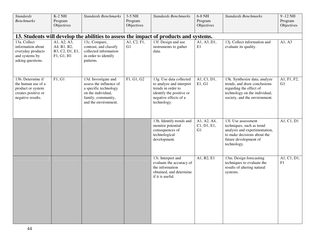| <b>Standards</b><br><b>Benchmarks</b>                                                                    | $K-2$ NH<br>Program<br>Objectives                           | <b>Standards Benchmarks</b>                                                                                                                  | 3-5 NH<br>Program<br>Objectives | <b>Standards Benchmarks</b>                                                                                                                   | 6-8 NH<br>Program<br>Objectives  | <b>Standards Benchmarks</b>                                                                                                                                | $9 - 12$ NH<br>Program<br>Objectives |
|----------------------------------------------------------------------------------------------------------|-------------------------------------------------------------|----------------------------------------------------------------------------------------------------------------------------------------------|---------------------------------|-----------------------------------------------------------------------------------------------------------------------------------------------|----------------------------------|------------------------------------------------------------------------------------------------------------------------------------------------------------|--------------------------------------|
|                                                                                                          |                                                             |                                                                                                                                              |                                 | 13. Students will develop the abilities to assess the impact of products and systems.                                                         |                                  |                                                                                                                                                            |                                      |
| 13a. Collect<br>information about<br>everyday products<br>and systems by<br>asking questions.            | A1, A2, A3,<br>A4, B1, B2,<br>B3, C2, D1, E1,<br>F1, G1, H1 | 13c. Compare,<br>contrast, and classify<br>collected information<br>in order to identify<br>patterns.                                        | A1, C2, F1,<br>G1               | 13f. Design and use<br>instruments to gather<br>data.                                                                                         | A1, A3, D1,<br>E1                | 13j. Collect information and<br>evaluate its quality.                                                                                                      | A1, A3                               |
| 13b. Determine if<br>the human use of a<br>product or system<br>creates positive or<br>negative results. | F1, G1                                                      | 13d. Investigate and<br>assess the influence of<br>a specific technology<br>on the individual,<br>family, community,<br>and the environment. | $\overline{F1, G1, G2}$         | 13g. Use data collected<br>to analyze and interpret<br>trends in order to<br>identify the positive or<br>negative effects of a<br>technology. | A1, C1, D1,<br>E1, G1            | 13k. Synthesize data, analyze<br>trends, and draw conclusions<br>regarding the effect of<br>technology on the individual,<br>society, and the environment. | A1, F1, F2,<br>G1                    |
|                                                                                                          |                                                             |                                                                                                                                              |                                 | 13h. Identify trends and<br>monitor potential<br>consequences of<br>technological<br>development.                                             | A1, A2, A4,<br>C1, D1, E1,<br>G1 | 131. Use assessment<br>techniques, such as trend<br>analysis and experimentation,<br>to make decisions about the<br>future development of<br>technology.   | A1, C1, D1                           |
|                                                                                                          |                                                             |                                                                                                                                              |                                 | 13i. Interpret and<br>evaluate the accuracy of<br>the information<br>obtained, and determine<br>if it is useful.                              | A1, B2, E1                       | 13m. Design forecasting<br>techniques to evaluate the<br>results of altering natural<br>systems.                                                           | A1, C1, D1,<br>F1                    |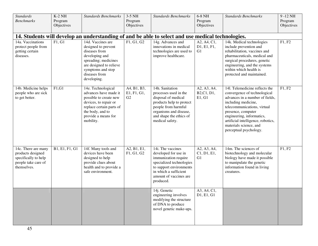| <b>Standards</b><br><b>Benchmarks</b>                                                                  | $K-2$ NH<br>Program<br>Objectives | <b>Standards Benchmarks</b>                                                                                                                                                         | 3-5 NH<br>Program<br>Objectives  | <b>Standards Benchmarks</b>                                                                                                                                                                | 6-8 NH<br>Program<br>Objectives      | <b>Standards Benchmarks</b>                                                                                                                                                                                                                                                                          | 9-12 NH<br>Program<br>Objectives |
|--------------------------------------------------------------------------------------------------------|-----------------------------------|-------------------------------------------------------------------------------------------------------------------------------------------------------------------------------------|----------------------------------|--------------------------------------------------------------------------------------------------------------------------------------------------------------------------------------------|--------------------------------------|------------------------------------------------------------------------------------------------------------------------------------------------------------------------------------------------------------------------------------------------------------------------------------------------------|----------------------------------|
|                                                                                                        |                                   |                                                                                                                                                                                     |                                  | 14. Students will develop an understanding of and be able to select and use medical technologies.                                                                                          |                                      |                                                                                                                                                                                                                                                                                                      |                                  |
| 14a. Vaccinations<br>protect people from<br>getting certain<br>diseases.                               | F1, G1                            | 14d. Vaccines are<br>designed to prevent<br>diseases from<br>developing and<br>spreading; medicines<br>are designed to relieve<br>symptoms and stop<br>diseases from<br>developing. | F1, G1, G2                       | 14g. Advances and<br>innovations in medical<br>technologies are used to<br>improve healthcare.                                                                                             | A2, A4, C1,<br>D1, E1, F1,<br>G1     | 14k. Medical technologies<br>include prevention and<br>rehabilitation, vaccines and<br>pharmaceuticals, medical and<br>surgical procedures, genetic<br>engineering, and the systems<br>within which health is<br>protected and maintained.                                                           | F1, F2                           |
| 14b. Medicine helps<br>people who are sick<br>to get better.                                           | F1, G1                            | 14e. Technological<br>advances have made it<br>possible to create new<br>devices, to repair or<br>replace certain parts of<br>the body, and to<br>provide a means for<br>mobility.  | A4, B1, B3,<br>E1, F1, G1,<br>G2 | 14h. Sanitation<br>processes used in the<br>disposal of medical<br>products help to protect<br>people from harmful<br>organisms and disease,<br>and shape the ethics of<br>medical safety. | A2, A3, A4,<br>B2, C1, D1,<br>E1, G1 | 141. Telemedicine reflects the<br>convergence of technological<br>advances in a number of fields,<br>including medicine,<br>telecommunications, virtual<br>presence, computer<br>engineering, informatics,<br>artificial intelligence, robotics,<br>materials science, and<br>perceptual psychology. | F1, F2                           |
| 14c. There are many<br>products designed<br>specifically to help<br>people take care of<br>themselves. | B1, E1, F1, G1                    | 14f. Many tools and<br>devices have been<br>designed to help<br>provide clues about<br>health and to provide a<br>safe environment.                                                 | A2, B1, E1,<br>F1, G1, G2        | 14i. The vaccines<br>developed for use in<br>immunization require<br>specialized technologies<br>to support environments<br>in which a sufficient<br>amount of vaccines are<br>produced.   | A2, A3, A4,<br>C1, D1, E1,<br>G1     | 14m. The sciences of<br>biotechnology and molecular<br>biology have made it possible<br>to manipulate the genetic<br>information found in living<br>creatures.                                                                                                                                       | F1, F2                           |
|                                                                                                        |                                   |                                                                                                                                                                                     |                                  | 14j. Genetic<br>engineering involves<br>modifying the structure<br>of DNA to produce<br>novel genetic make-ups.                                                                            | A3, A4, C1,<br>D1, E1, G1            |                                                                                                                                                                                                                                                                                                      |                                  |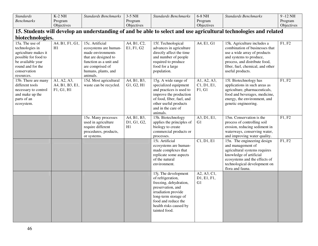| <b>Standards</b>                                                                                                                                                                  | $K-2$ NH                             | <b>Standards Benchmarks</b>                                                                                                                                                                      | $3-5$ NH                                 | <b>Standards Benchmarks</b>                                                                                                                                                                               | $6-8$ NH                         | Standards Benchmarks                                                                                                                                                                                                                        | 9-12 NH          |
|-----------------------------------------------------------------------------------------------------------------------------------------------------------------------------------|--------------------------------------|--------------------------------------------------------------------------------------------------------------------------------------------------------------------------------------------------|------------------------------------------|-----------------------------------------------------------------------------------------------------------------------------------------------------------------------------------------------------------|----------------------------------|---------------------------------------------------------------------------------------------------------------------------------------------------------------------------------------------------------------------------------------------|------------------|
| <b>Benchmarks</b>                                                                                                                                                                 | Program                              |                                                                                                                                                                                                  | Program                                  |                                                                                                                                                                                                           | Program                          |                                                                                                                                                                                                                                             | Program          |
|                                                                                                                                                                                   | Objectives                           |                                                                                                                                                                                                  | Objectives                               |                                                                                                                                                                                                           | Objectives                       |                                                                                                                                                                                                                                             | Objectives       |
|                                                                                                                                                                                   |                                      |                                                                                                                                                                                                  |                                          |                                                                                                                                                                                                           |                                  | 15. Students will develop an understanding of and be able to select and use agricultural technologies and related                                                                                                                           |                  |
| biotechnologies.                                                                                                                                                                  |                                      |                                                                                                                                                                                                  |                                          |                                                                                                                                                                                                           |                                  |                                                                                                                                                                                                                                             |                  |
| 15a. The use of<br>technologies in<br>agriculture makes it<br>possible for food to<br>be available year<br>round and for the<br>conservation<br>resources.<br>15b. There are many | A4, B1, F1, G1,<br>H1<br>A1, A2, A3, | 15c. Artificial<br>ecosystems are human-<br>made environments<br>that are designed to<br>function as a unit and<br>are comprised of<br>humans, plants, and<br>animals.<br>15d. Most agricultural | A4, B1, C2,<br>E1, F1, G2<br>A4, B1, B3, | 15f. Technological<br>advances in agriculture<br>directly affect the time<br>and number of people<br>required to produce<br>food for a large<br>population.<br>15g. A wide range of                       | A4, E1, G1<br>A1, A2, A3,        | 15k. Agriculture includes a<br>combination of businesses that<br>use a wide array of products<br>and systems to produce,<br>process, and distribute food,<br>fiber, fuel, chemical, and other<br>useful products.<br>151. Biotechnology has | F1, F2<br>F1, F2 |
| different tools<br>necessary to control<br>and make up the<br>parts of an<br>ecosystem.                                                                                           | A4, B1, B3, E1,<br>F1, G1, H1        | waste can be recycled.                                                                                                                                                                           | G1, G2, H1                               | specialized equipment<br>and practices is used to<br>improve the production<br>of food, fiber, fuel, and<br>other useful products<br>and in the care of<br>animals.                                       | C1, D1, E1,<br>F1, G1            | applications in such areas as<br>agriculture, pharmaceuticals,<br>food and beverages, medicine,<br>energy, the environment, and<br>genetic engineering.                                                                                     |                  |
|                                                                                                                                                                                   |                                      | 15e. Many processes<br>used in agriculture<br>require different<br>procedures, products,<br>or systems.                                                                                          | A4, B1, B3,<br>D1, G1, G2,<br>H1         | 15h. Biotechnology<br>applies the principles of<br>biology to create<br>commercial products or<br>processes.                                                                                              | A3, D1, E1,<br>G1                | 15m. Conservation is the<br>process of controlling soil<br>erosion, reducing sediment in<br>waterways, conserving water,<br>and improving water quality.                                                                                    | F1, F2           |
|                                                                                                                                                                                   |                                      |                                                                                                                                                                                                  |                                          | 15i. Artificial<br>ecosystems are human-<br>made complexes that<br>replicate some aspects<br>of the natural<br>environment.                                                                               | C1, D1, E1                       | 15n. The engineering design<br>and management of<br>agricultural systems requires<br>knowledge of artificial<br>ecosystems and the effects of<br>technological development on<br>flora and fauna.                                           | F1, F2           |
|                                                                                                                                                                                   |                                      |                                                                                                                                                                                                  |                                          | 15j. The development<br>of refrigeration,<br>freezing, dehydration,<br>preservation, and<br>irradiation provide<br>long-term storage of<br>food and reduce the<br>health risks caused by<br>tainted food. | A2, A3, C1,<br>D1, E1, F1,<br>G1 |                                                                                                                                                                                                                                             |                  |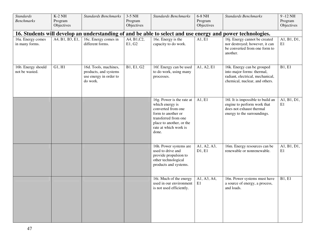| <b>Standards</b><br><b>Benchmarks</b> | $K-2$ NH<br>Program<br>Objectives | <b>Standards Benchmarks</b>                                                          | 3-5 NH<br>Program<br>Objectives | <b>Standards Benchmarks</b>                                                                                                                                                    | 6-8 NH<br>Program<br>Objectives | <b>Standards Benchmarks</b>                                                                                                    | $9 - 12$ NH<br>Program<br>Objectives |
|---------------------------------------|-----------------------------------|--------------------------------------------------------------------------------------|---------------------------------|--------------------------------------------------------------------------------------------------------------------------------------------------------------------------------|---------------------------------|--------------------------------------------------------------------------------------------------------------------------------|--------------------------------------|
|                                       |                                   |                                                                                      |                                 |                                                                                                                                                                                |                                 | 16. Students will develop an understanding of and be able to select and use energy and power technologies.                     |                                      |
| 16a. Energy comes<br>in many forms.   | A4, B1, B3, E1,                   | 16c. Energy comes in<br>different forms.                                             | A4, B1, C2,<br>E1, G2           | 16e. Energy is the<br>capacity to do work.                                                                                                                                     | $\overline{A1, E1}$             | 16j. Energy cannot be created<br>nor destroyed; however, it can<br>be converted from one form to<br>another.                   | A1, B1, D1,<br>E1                    |
| 16b. Energy should<br>not be wasted.  | G1, H1                            | 16d. Tools, machines,<br>products, and systems<br>use energy in order to<br>do work. | B1, E1, G2                      | 16f. Energy can be used<br>to do work, using many<br>processes.                                                                                                                | A1, A2, E1                      | 16k. Energy can be grouped<br>into major forms: thermal,<br>radiant, electrical, mechanical,<br>chemical, nuclear, and others. | B1, E1                               |
|                                       |                                   |                                                                                      |                                 | 16g. Power is the rate at<br>which energy is<br>converted from one<br>form to another or<br>transferred from one<br>place to another, or the<br>rate at which work is<br>done. | A1, E1                          | 16l. It is impossible to build an<br>engine to perform work that<br>does not exhaust thermal<br>energy to the surroundings.    | A1, B1, D1,<br>E1                    |
|                                       |                                   |                                                                                      |                                 | 16h. Power systems are<br>used to drive and<br>provide propulsion to<br>other technological<br>products and systems.                                                           | A1, A2, A3,<br>D1, E1           | 16m. Energy resources can be<br>renewable or nonrenewable.                                                                     | $\overline{A1, B1, D1,}$<br>E1       |
|                                       |                                   |                                                                                      |                                 | 16i. Much of the energy<br>used in our environment<br>is not used efficiently.                                                                                                 | A1, A3, A4,<br>E1               | 16n. Power systems must have<br>a source of energy, a process,<br>and loads.                                                   | B1, E1                               |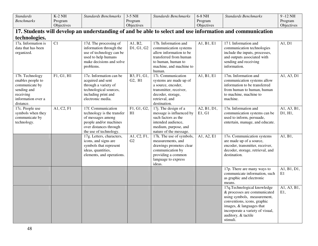| <b>Standards</b>                | $K-2$ NH                | <b>Standards Benchmarks</b>                       | $3-5$ NH          | <b>Standards Benchmarks</b>                   | 6-8 NH      | <b>Standards Benchmarks</b>                                                                               | 9-12 NH     |
|---------------------------------|-------------------------|---------------------------------------------------|-------------------|-----------------------------------------------|-------------|-----------------------------------------------------------------------------------------------------------|-------------|
| <b>Benchmarks</b>               | Program                 |                                                   | Program           |                                               | Program     |                                                                                                           | Program     |
|                                 | Objectives              |                                                   | Objectives        |                                               | Objectives  |                                                                                                           | Objectives  |
|                                 |                         |                                                   |                   |                                               |             | 17. Students will develop an understanding of and be able to select and use information and communication |             |
| technologies.                   |                         |                                                   |                   |                                               |             |                                                                                                           |             |
| 17a. Information is             | $\overline{C1}$         | 17d. The processing of                            | A1, B2,           | 17h. Information and                          | A1, B1, E1  | 17 l. Information and                                                                                     | A1, D1      |
| data that has been              |                         | information through the                           | D1, G1, G2        | communication systems                         |             | communication technologies                                                                                |             |
| organized.                      |                         | use of technology can be                          |                   | allow information to be                       |             | include the inputs, processes,                                                                            |             |
|                                 |                         | used to help humans                               |                   | transferred from human                        |             | and outputs associated with                                                                               |             |
|                                 |                         | make decisions and solve<br>problems.             |                   | to human, human to<br>machine, and machine to |             | sending and receiving<br>information.                                                                     |             |
|                                 |                         |                                                   |                   | human.                                        |             |                                                                                                           |             |
| 17b. Technology                 | F1, G1, H1              | 17e. Information can be                           | B3, F1, G1,       | 17i. Communication                            | A1, B1, E1  | 17m. Information and                                                                                      | A1, A3, D1  |
| enables people to               |                         | acquired and sent                                 | G2, H1            | systems are made up of                        |             | communication systems allow                                                                               |             |
| communicate by                  |                         | through a variety of                              |                   | a source, encoder,                            |             | information to be transferred                                                                             |             |
| sending and                     |                         | technological sources,                            |                   | transmitter, receiver,                        |             | from human to human, human                                                                                |             |
| receiving                       |                         | including print and                               |                   | decoder, storage,                             |             | to machine, machine to                                                                                    |             |
| information over a<br>distance. |                         | electronic media.                                 |                   | retrieval, and<br>destination.                |             | machine.                                                                                                  |             |
| 17c. People use                 | $\overline{A1, C2, F1}$ | 17f. Communication                                | F1, G1, G2,       | 17j. The design of a                          | A2, B1, D1, | 17n. Information and                                                                                      | A1, A3, B1, |
| symbols when they               |                         | technology is the transfer                        | H1                | message is influenced by                      | E1, G1      | communication systems can be                                                                              | D1, H1,     |
| communicate by                  |                         | of messages among                                 |                   | such factors as the                           |             | used to inform, persuade,                                                                                 |             |
| technology.                     |                         | people and/or machines                            |                   | intended audience,                            |             | entertain, manage, and educate.                                                                           |             |
|                                 |                         | over distances through                            |                   | medium, purpose, and                          |             |                                                                                                           |             |
|                                 |                         | the use of technology.                            |                   | nature of the message.                        |             |                                                                                                           |             |
|                                 |                         | 17g. Letters, characters,<br>icons, and signs are | A1, C2, F1,<br>G2 | 17k. The use of symbols,<br>measurements, and | A1, A2, E1  | 17o. Communication systems<br>are made up of a source,                                                    | A1, B1,     |
|                                 |                         | symbols that represent                            |                   | drawings promotes clear                       |             | encoder, transmitter, receiver,                                                                           |             |
|                                 |                         | ideas, quantities,                                |                   | communication by                              |             | decoder, storage, retrieval, and                                                                          |             |
|                                 |                         | elements, and operations.                         |                   | providing a common                            |             | destination.                                                                                              |             |
|                                 |                         |                                                   |                   | language to express                           |             |                                                                                                           |             |
|                                 |                         |                                                   |                   | ideas.                                        |             |                                                                                                           |             |
|                                 |                         |                                                   |                   |                                               |             | 17p. There are many ways to                                                                               | A1, B1, D1, |
|                                 |                         |                                                   |                   |                                               |             | communicate information, such<br>as graphic and electronic                                                | E1          |
|                                 |                         |                                                   |                   |                                               |             | means.                                                                                                    |             |
|                                 |                         |                                                   |                   |                                               |             | 17q.Technological knowledge                                                                               | A1, A3, B1, |
|                                 |                         |                                                   |                   |                                               |             | & processes are communicated                                                                              | E1,         |
|                                 |                         |                                                   |                   |                                               |             | using symbols, measurement,                                                                               |             |
|                                 |                         |                                                   |                   |                                               |             | conventions, icons, graphic                                                                               |             |
|                                 |                         |                                                   |                   |                                               |             | images, & languages that                                                                                  |             |
|                                 |                         |                                                   |                   |                                               |             | incorporate a variety of visual,<br>auditory, & tactile                                                   |             |
|                                 |                         |                                                   |                   |                                               |             | stimuli.                                                                                                  |             |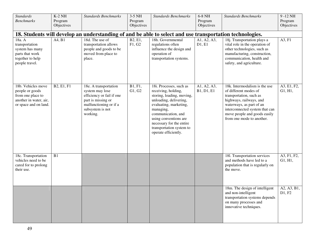| <b>Standards</b>                                                                                              | $K-2$ NH              | <b>Standards Benchmarks</b>                                                                                                                           | 3-5 NH                                      | <b>Standards Benchmarks</b>                                                                                                                                                                                                                                                 | 6-8 NH                    | <b>Standards Benchmarks</b>                                                                                                                                                                                                             | 9-12 NH                |
|---------------------------------------------------------------------------------------------------------------|-----------------------|-------------------------------------------------------------------------------------------------------------------------------------------------------|---------------------------------------------|-----------------------------------------------------------------------------------------------------------------------------------------------------------------------------------------------------------------------------------------------------------------------------|---------------------------|-----------------------------------------------------------------------------------------------------------------------------------------------------------------------------------------------------------------------------------------|------------------------|
| <b>Benchmarks</b>                                                                                             | Program<br>Objectives |                                                                                                                                                       | Program<br>Objectives                       |                                                                                                                                                                                                                                                                             | Program<br>Objectives     |                                                                                                                                                                                                                                         | Program<br>Objectives  |
|                                                                                                               |                       |                                                                                                                                                       |                                             |                                                                                                                                                                                                                                                                             |                           |                                                                                                                                                                                                                                         |                        |
|                                                                                                               |                       | 18. Students will develop an understanding of and be able to select and use transportation technologies.                                              |                                             |                                                                                                                                                                                                                                                                             |                           |                                                                                                                                                                                                                                         |                        |
| 18a. A<br>transportation<br>system has many<br>parts that work<br>together to help<br>people travel.          | A4, B1                | 18d. The use of<br>transportation allows<br>people and goods to be<br>moved from place to<br>place.                                                   | B <sub>2</sub> , E <sub>1</sub> ,<br>F1, G2 | 18h. Governmental<br>regulations often<br>influence the design and<br>operation of<br>transportation systems.                                                                                                                                                               | A1, A2, A3,<br>D1, E1     | 18j. Transportation plays a<br>vital role in the operation of<br>other technologies, such as<br>manufacturing, construction,<br>communication, health and<br>safety, and agriculture.                                                   | A3, F1                 |
| 18b. Vehicles move<br>people or goods<br>from one place to<br>another in water, air,<br>or space and on land. | <b>B2, E1, F1</b>     | 18e. A transportation<br>system may lose<br>efficiency or fail if one<br>part is missing or<br>malfunctioning or if a<br>subsystem is not<br>working. | B1, F1,<br>G1, G2                           | 18i. Processes, such as<br>receiving, holding,<br>storing, loading, moving,<br>unloading, delivering,<br>evaluating, marketing,<br>managing,<br>communication, and<br>using conventions are<br>necessary for the entire<br>transportation system to<br>operate efficiently. | A1, A2, A3,<br>B1, D1, E1 | 18k. Intermodalism is the use<br>of different modes of<br>transportation, such as<br>highways, railways, and<br>waterways, as part of an<br>interconnected system that can<br>move people and goods easily<br>from one mode to another. | A3, E1, F2,<br>G1, H1, |
| 18c. Transportation<br>vehicles need to be<br>cared for to prolong<br>their use.                              | $\overline{B1}$       |                                                                                                                                                       |                                             |                                                                                                                                                                                                                                                                             |                           | 181. Transportation services<br>and methods have led to a<br>population that is regularly on<br>the move.                                                                                                                               | A3, F1, F2,<br>G1, H1, |
|                                                                                                               |                       |                                                                                                                                                       |                                             |                                                                                                                                                                                                                                                                             |                           | 18m. The design of intelligent<br>and non-intelligent<br>transportation systems depends<br>on many processes and<br>innovative techniques.                                                                                              | A2, A3, B1,<br>D1, F2  |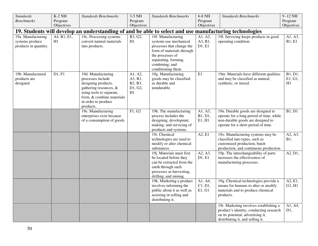| <b>Standards</b>                               | $K-2$ NH              | <b>Standards Benchmarks</b>                                                                                                                                                           | $3-5$ NH                                       | <b>Standards Benchmarks</b>                                                                                                                                 | 6-8 NH                       | <b>Standards Benchmarks</b>                                                                                                                                | 9-12 NH                                |
|------------------------------------------------|-----------------------|---------------------------------------------------------------------------------------------------------------------------------------------------------------------------------------|------------------------------------------------|-------------------------------------------------------------------------------------------------------------------------------------------------------------|------------------------------|------------------------------------------------------------------------------------------------------------------------------------------------------------|----------------------------------------|
| <b>Benchmarks</b>                              | Program<br>Objectives |                                                                                                                                                                                       | Program<br>Objectives                          |                                                                                                                                                             | Program<br>Objectives        |                                                                                                                                                            | Program<br>Objectives                  |
|                                                |                       | 19. Students will develop an understanding of and be able to select and use manufacturing technologies                                                                                |                                                |                                                                                                                                                             |                              |                                                                                                                                                            |                                        |
| 19a. Manufacturing                             | A4, B1, E1,           | 19c. Processing systems                                                                                                                                                               | B3, G2,                                        | 19f. Manufacturing                                                                                                                                          | A1, A2,                      | 191. Servicing keeps products in good                                                                                                                      | A1, A3,                                |
| systems produce                                | H1                    | convert natural materials                                                                                                                                                             | H1                                             | systems use mechanical                                                                                                                                      | A3, B1,                      | operating condition.                                                                                                                                       | <b>B1, E1</b>                          |
| products in quantity.                          |                       | into products.                                                                                                                                                                        |                                                | processes that change the<br>form of materials through<br>the processes of<br>separating, forming,<br>combining, and<br>conditioning them.                  | D1, E1                       |                                                                                                                                                            |                                        |
| 19b. Manufactured<br>products are<br>designed. | D1, F1                | 19d. Manufacturing<br>processes include<br>designing products,<br>gathering resources, &<br>using tools to separate,<br>form, & combine materials<br>in order to produce<br>products. | A1, A2,<br>A3, B1,<br>B2, B3,<br>D1, G2,<br>H1 | 19g. Manufacturing<br>goods may be classified<br>as durable and<br>nondurable.                                                                              | E1                           | 19m. Materials have different qualities<br>and may be classified as natural,<br>synthetic, or mixed.                                                       | $\overline{B1, D1}$ ,<br>E1, G1,<br>H1 |
|                                                |                       | 19e. Manufacturing<br>enterprises exist because<br>of a consumption of goods.                                                                                                         | F1, G2                                         | 19h. The manufacturing<br>process includes the<br>designing, developmnt,<br>making, and servicing of<br>products and systems.                               | A1, A3,<br>B1, D1,<br>E1, H1 | 19n. Durable goods are designed to<br>operate for a long period of time, while<br>non-durable goods are designed to<br>operate for a short period of time. | <b>B1, D1</b>                          |
|                                                |                       |                                                                                                                                                                                       |                                                | 19i. Chemical<br>technologies are used to<br>modify or alter chemical<br>substances.                                                                        | A2, E1                       | 19o. Manufacturing systems may be<br>classified into types, such as<br>customized production, batch<br>production, and continuous production.              | A2, A3,<br><b>B1</b> ,                 |
|                                                |                       |                                                                                                                                                                                       |                                                | 19j. Materials must first<br>be located before they<br>can be extracted from the<br>earth through such<br>processes as harvesting,<br>drilling, and mining. | A2, A3,<br>D1, E1            | 19p. The interchangeability of parts<br>increases the effectiveness of<br>manufacturing processes.                                                         | A2, D1,                                |
|                                                |                       |                                                                                                                                                                                       |                                                | 19k. Marketing a product<br>involves informing the<br>public about it as well as<br>assisting in selling and<br>distributing it.                            | A1, A4,<br>C1, D1,<br>E1, G1 | 19q. Chemical technologies provide a<br>means for humans to alter or modify<br>materials and to produce chemical<br>products.                              | A2, E1,<br>G1, H1                      |
|                                                |                       |                                                                                                                                                                                       |                                                |                                                                                                                                                             |                              | 19r. Marketing involves establishing a<br>product's identity, conducting research<br>on its potential, advertising it,<br>distributing it, and selling it. | A1, A4,<br>D1,                         |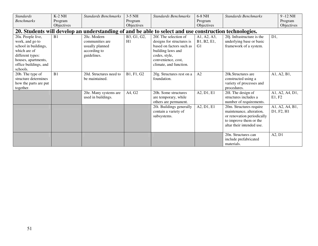| <b>Standards</b>      | $K-2$ NH   | <b>Standards Benchmarks</b> | $3-5$ NH    | <b>Standards Benchmarks</b>                                                                            | 6-8 NH         | <b>Standards Benchmarks</b> |        | 9-12 NH         |
|-----------------------|------------|-----------------------------|-------------|--------------------------------------------------------------------------------------------------------|----------------|-----------------------------|--------|-----------------|
| <b>Benchmarks</b>     | Program    |                             | Program     |                                                                                                        | Program        |                             |        | Program         |
|                       | Objectives |                             | Objectives  |                                                                                                        | Objectives     |                             |        | Objectives      |
|                       |            |                             |             | 20. Students will develop an understanding of and be able to select and use construction technologies. |                |                             |        |                 |
| 20a. People live,     | B1         | 20c. Modern                 | B3, G1, G2, | 20f. The selection of                                                                                  | A1, A2, A3,    | 20j. Infrastructure is the  | D1,    |                 |
| work, and go to       |            | communities are             | H1          | designs for structures is                                                                              | B1, B2, E1,    | underlying base or basic    |        |                 |
| school in buildings,  |            | usually planned             |             | based on factors such as                                                                               | G <sub>1</sub> | framework of a system.      |        |                 |
| which are of          |            | according to                |             | building laws and                                                                                      |                |                             |        |                 |
| different types:      |            | guidelines.                 |             | codes, style,                                                                                          |                |                             |        |                 |
| houses, apartments,   |            |                             |             | convenience, cost,                                                                                     |                |                             |        |                 |
| office buildings, and |            |                             |             | climate, and function.                                                                                 |                |                             |        |                 |
| schools.              |            |                             |             |                                                                                                        |                |                             |        |                 |
| 20b. The type of      | B1         | 20d. Structures need to     | B1, F1, G2  | 20g. Structures rest on a                                                                              | A2             | 20k.Structures are          |        | A1, A2, B1,     |
| structure determines  |            | be maintained.              |             | foundation.                                                                                            |                | constructed using a         |        |                 |
| how the parts are put |            |                             |             |                                                                                                        |                | variety of processes and    |        |                 |
| together.             |            |                             |             |                                                                                                        |                | procedures.                 |        |                 |
|                       |            | 20e. Many systems are       | A4, G2      | 20h. Some structures                                                                                   | A2, D1, E1     | 201. The design of          |        | A1, A2, A4, D1, |
|                       |            | used in buildings.          |             | are temporary, while                                                                                   |                | structures includes a       | E1, F2 |                 |
|                       |            |                             |             | others are permanent.                                                                                  |                | number of requirements.     |        |                 |
|                       |            |                             |             | 20i. Buildings generally                                                                               | A2, D1, E1     | 20m. Structures require     |        | A1, A2, A4, B1, |
|                       |            |                             |             | contain a variety of                                                                                   |                | maintenance, alteration,    |        | D1, F2, H1      |
|                       |            |                             |             | subsystems.                                                                                            |                | or renovation periodically  |        |                 |
|                       |            |                             |             |                                                                                                        |                | to improve them or the      |        |                 |
|                       |            |                             |             |                                                                                                        |                | altar their intended use.   |        |                 |
|                       |            |                             |             |                                                                                                        |                |                             |        |                 |
|                       |            |                             |             |                                                                                                        |                | 20n. Structures can         | A2, D1 |                 |
|                       |            |                             |             |                                                                                                        |                | include prefabricated       |        |                 |
|                       |            |                             |             |                                                                                                        |                | materials.                  |        |                 |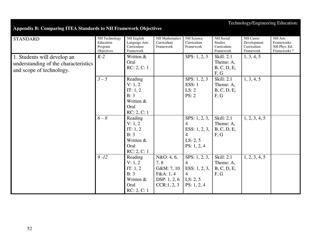## Technology/Engineering Education:

## **Appendix B: Comparing ITEA Standards to NH Framework Objectives**

| <b>STANDARD</b>                                                                                 | NH Technology<br>Education<br>Program<br>Objectives | NH English<br>Language Arts<br>Curriculum<br>Framework                       | NH Mathematics<br>Curriculum<br>Framework                                     | NH Science<br>Curriculum<br>Framework                                                              | <b>NH</b> Social<br><b>Studies</b><br>Curriculum<br>Framework | NH Career<br>Development<br>Curriculum<br>Framework | NH Arts<br>Frameworks<br>NH Phys. Ed.<br>Frameworks <sup>*</sup> |
|-------------------------------------------------------------------------------------------------|-----------------------------------------------------|------------------------------------------------------------------------------|-------------------------------------------------------------------------------|----------------------------------------------------------------------------------------------------|---------------------------------------------------------------|-----------------------------------------------------|------------------------------------------------------------------|
| 1. Students will develop an<br>understanding of the characteristics<br>and scope of technology. | $K-2$                                               | Written &<br>Oral<br>RC: 2, C: 1                                             |                                                                               | SPS: 1, 2, 3                                                                                       | Skill: 2.1<br>Theme: A,<br>B, C, D, E,<br>F, G                | 1, 3, 4, 5                                          |                                                                  |
|                                                                                                 | $3-5$                                               | Reading<br>V: 1, 2<br>IT: 1, 2<br>B: 3<br>Written &<br>Oral<br>RC: 2, C: 1   |                                                                               | SPS: $1, 2, 3$<br>ESS: 1<br>LS: 2<br>PS: 2                                                         | Skill: 2.1<br>Theme: A,<br>B, C, D, E,<br>F, G                | 1, 3, 4, 5                                          |                                                                  |
|                                                                                                 | $6-8$                                               | Reading<br>V: 1, 2<br>IT: $1, 2$<br>B: 3<br>Written &<br>Oral<br>RC: 2, C: 1 |                                                                               | SPS: 1, 2, 3,<br>$\overline{4}$<br>ESS: $1, 2, 3,$<br>$\overline{4}$<br>LS: 2, 5<br>PS: 1, 2, 4    | Skill: 2.1<br>Theme: A,<br>B, C, D, E,<br>F, G                | 1, 2, 3, 4, 5                                       |                                                                  |
|                                                                                                 | $9 - 12$                                            | Reading<br>V: 1, 2<br>IT: $1, 2$<br>B:3<br>Written &<br>Oral<br>RC: 2, C: 1  | N&O: 4, 6,<br>7, 8<br>G&M: 7, 10<br>F&A:1,4<br>DSP: $1, 2, 6$<br>CCR: 1, 2, 3 | SPS: $1, 2, 3$ ,<br>$\overline{4}$<br>ESS: $1, 2, 3,$<br>$\overline{4}$<br>LS: 2, 5<br>PS: 1, 2, 4 | Skill: 2.1<br>Theme: A,<br>B, C, D, E,<br>F, G                | 1, 2, 3, 4, 5                                       |                                                                  |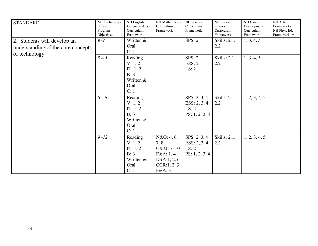| <b>STANDARD</b>                                                                     | NH Technology<br>Education<br>Program<br>Objectives | NH English<br>Language Arts<br>Curriculum<br>Framework                | NH Mathematics<br>Curriculum<br>Framework                                               | NH Science<br>Curriculum<br>Framework                   | NH Social<br><b>Studies</b><br>Curriculum<br>Framework | NH Career<br>Development<br>Curriculum<br>Framework | NH Arts<br>Frameworks<br>NH Phys. Ed.<br>Frameworks <sup>*</sup> |
|-------------------------------------------------------------------------------------|-----------------------------------------------------|-----------------------------------------------------------------------|-----------------------------------------------------------------------------------------|---------------------------------------------------------|--------------------------------------------------------|-----------------------------------------------------|------------------------------------------------------------------|
| 2. Students will develop an<br>understanding of the core concepts<br>of technology. | $K-2$                                               | Written &<br>Oral<br>C: 1                                             |                                                                                         | SPS: 2                                                  | Skills: 2.1,<br>2.2                                    | 1, 3, 4, 5                                          |                                                                  |
|                                                                                     | $3-5$                                               | Reading<br>V: 1, 2<br>IT: 1, 2<br>B: 3<br>Written &<br>Oral<br>C: 1   |                                                                                         | SPS: 2<br>ESS: 2<br>LS: 2                               | Skills: 2.1,<br>2.2                                    | 1, 3, 4, 5                                          |                                                                  |
|                                                                                     | $6-8$                                               | Reading<br>V: 1, 2<br>IT: 1, 2<br>B: 3<br>Written &<br>Oral<br>C:1    |                                                                                         | SPS: 2, 3, 4<br>ESS: 2, 3, 4<br>LS: 2<br>PS: 1, 2, 3, 4 | Skills: 2.1,<br>2.2                                    | 1, 2, 3, 4, 5                                       |                                                                  |
|                                                                                     | $9 - 12$                                            | Reading<br>V: 1, 2<br>IT: $1, 2$<br>B: 3<br>Written &<br>Oral<br>C: 1 | N&O: 4, 6,<br>7, 8<br>G&M: 7, 10<br>F&A:1,4<br>DSP: $1, 2, 6$<br>CCR: 1, 2, 3<br>F&A: 3 | SPS: 2, 3, 4<br>ESS: 2, 3, 4<br>LS: 2<br>PS: 1, 2, 3, 4 | Skills: 2.1,<br>2.2                                    | 1, 2, 3, 4, 5                                       |                                                                  |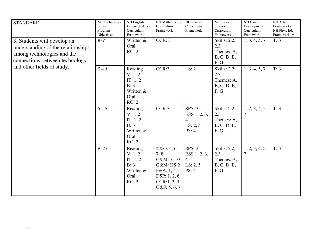| <b>STANDARD</b>                                                                                                                                                 | NH Technology<br>Education<br>Program<br>Objectives | NH English<br>Language Arts<br>Curriculum<br>Framework               | <b>NH</b> Mathematics<br>Curriculum<br>Framework                                                        | NH Science<br>Curriculum<br>Framework                         | <b>NH</b> Social<br><b>Studies</b><br>Curriculum<br>Framework | NH Career<br>Development<br>Curriculum<br>Framework | <b>NH</b> Arts<br>Frameworks<br>NH Phys. Ed.<br>Frameworks <sup>*</sup> |
|-----------------------------------------------------------------------------------------------------------------------------------------------------------------|-----------------------------------------------------|----------------------------------------------------------------------|---------------------------------------------------------------------------------------------------------|---------------------------------------------------------------|---------------------------------------------------------------|-----------------------------------------------------|-------------------------------------------------------------------------|
| 3. Students will develop an<br>understanding of the relationships<br>among technologies and the<br>connections between technology<br>and other fields of study. | $K-2$                                               | Written &<br>Oral<br>RC: 2                                           | CCR: 3                                                                                                  |                                                               | Skills: 2.2,<br>2.3<br>Themes: A,<br>B, C, D, E,<br>F, G      | 1, 3, 4, 5, 7                                       | T: 3                                                                    |
|                                                                                                                                                                 | $3-5$                                               | Reading<br>V: 1, 2<br>IT: 1, 2<br>B: 3<br>Written &<br>Oral<br>RC: 2 | CCR:3                                                                                                   | LS: 2                                                         | Skills: 2.2,<br>2.3<br>Themes: A,<br>B, C, D, E,<br>F, G      | 1, 3, 4, 5, 7                                       | T: 3                                                                    |
|                                                                                                                                                                 | $6 - 8$                                             | Reading<br>V: 1, 2<br>IT: 1, 2<br>B: 3<br>Written &<br>Oral<br>RC: 2 | CCR:3                                                                                                   | SPS: 3<br>ESS 1, 2, 3,<br>$\overline{4}$<br>LS: 2, 5<br>PS: 4 | Skills: 2.2,<br>2.3<br>Themes: A,<br>B, C, D, E,<br>F, G      | 1, 2, 3, 4, 5,<br>$\overline{7}$                    | T: 3                                                                    |
|                                                                                                                                                                 | $9 - 12$                                            | Reading<br>V: 1, 2<br>IT: 1, 2<br>B: 3<br>Written &<br>Oral<br>RC: 2 | N&O: 4, 6,<br>7,8<br>G&M: 7, 10<br>G&M: HS:2<br>F&A:1,4<br>DSP: 1, 2, 6<br>CCR: 1, 2, 3<br>G&S: 5, 6, 7 | SPS: 3<br>ESS 1, 2, 3,<br>4<br>LS: 2, 5<br>PS: 4              | Skills: 2.2,<br>2.3<br>Themes: A,<br>B, C, D, E,<br>F, G      | 1, 2, 3, 4, 5,<br>$\overline{7}$                    | T: 3                                                                    |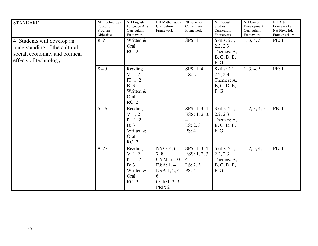| <b>STANDARD</b>                                                                                                            | NH Technology<br>Education<br>Program<br>Objectives | NH English<br>Language Arts<br>Curriculum<br>Framework                 | <b>NH</b> Mathematics<br>Curriculum<br>Framework                                                     | NH Science<br>Curriculum<br>Framework                                  | <b>NH</b> Social<br><b>Studies</b><br>Curriculum<br>Framework | NH Career<br>Development<br>Curriculum<br>Framework | NH Arts<br>Frameworks<br>NH Phys. Ed.<br>Frameworks <sup>*</sup> |
|----------------------------------------------------------------------------------------------------------------------------|-----------------------------------------------------|------------------------------------------------------------------------|------------------------------------------------------------------------------------------------------|------------------------------------------------------------------------|---------------------------------------------------------------|-----------------------------------------------------|------------------------------------------------------------------|
| 4. Students will develop an<br>understanding of the cultural,<br>social, economic, and political<br>effects of technology. | $K-2$                                               | Written &<br>Oral<br>RC: 2                                             |                                                                                                      | SPS: 1                                                                 | Skills: 2.1,<br>2.2, 2.3<br>Themes: A,<br>B, C, D, E,<br>F, G | 1, 3, 4, 5                                          | PE: 1                                                            |
|                                                                                                                            | $3-5$                                               | Reading<br>V: 1, 2<br>IT: 1, 2<br>B: 3<br>Written &<br>Oral<br>RC: 2   |                                                                                                      | SPS: $1, 4$<br>LS: 2                                                   | Skills: 2.1,<br>2.2, 2.3<br>Themes: A,<br>B, C, D, E,<br>F, G | 1, 3, 4, 5                                          | <b>PE: 1</b>                                                     |
|                                                                                                                            | $6 - 8$                                             | Reading<br>V: 1, 2<br>IT: 1, 2<br>B: 3<br>Written &<br>Oral<br>RC: 2   |                                                                                                      | SPS: 1, 3, 4<br>ESS: $1, 2, 3,$<br>$\overline{4}$<br>LS: 2, 3<br>PS: 4 | Skills: 2.1,<br>2.2, 2.3<br>Themes: A,<br>B, C, D, E,<br>F, G | 1, 2, 3, 4, 5                                       | PE: 1                                                            |
|                                                                                                                            | $9 - 12$                                            | Reading<br>V: 1, 2<br>IT: $1, 2$<br>B: 3<br>Written &<br>Oral<br>RC: 2 | N&O: 4, 6,<br>7,8<br>G&M: 7, 10<br>F&A:1,4<br>DSP: $1, 2, 4$ ,<br>6<br>CCR: 1, 2, 3<br><b>PRP: 2</b> | SPS: $1, 3, 4$<br>ESS: 1, 2, 3,<br>$\overline{4}$<br>LS: 2, 3<br>PS: 4 | Skills: 2.1,<br>2.2, 2.3<br>Themes: A,<br>B, C, D, E,<br>F, G | 1, 2, 3, 4, 5                                       | <b>PE: 1</b>                                                     |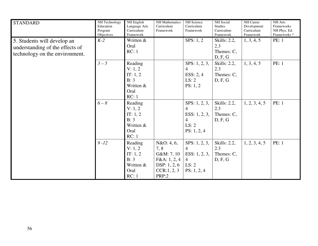| <b>STANDARD</b>                                                                                  | NH Technology<br>Education<br>Program<br>Objectives | NH English<br>Language Arts<br>Curriculum<br>Framework                | <b>NH</b> Mathematics<br>Curriculum<br>Framework                                        | NH Science<br>Curriculum<br>Framework                                                            | NH Social<br><b>Studies</b><br>Curriculum<br>Framework | NH Career<br>Development<br>Curriculum<br>Framework | NH Arts<br>Frameworks<br>NH Phys. Ed.<br>Frameworks <sup>*</sup> |
|--------------------------------------------------------------------------------------------------|-----------------------------------------------------|-----------------------------------------------------------------------|-----------------------------------------------------------------------------------------|--------------------------------------------------------------------------------------------------|--------------------------------------------------------|-----------------------------------------------------|------------------------------------------------------------------|
| 5. Students will develop an<br>understanding of the effects of<br>technology on the environment. | $K-2$                                               | Written &<br>Oral<br>RC:1                                             |                                                                                         | SPS: $1, 2$                                                                                      | Skills: 2.2,<br>2.3<br>Themes: C,<br>D, F, G           | 1, 3, 4, 5                                          | <b>PE: 1</b>                                                     |
|                                                                                                  | $3-5$                                               | Reading<br>V: 1, 2<br>IT: 1, 2<br>B: 3<br>Written &<br>Oral<br>RC:1   |                                                                                         | SPS: 1, 2, 3,<br>4<br>ESS: $2, 4$<br>LS: 2<br>PS: 1, 2                                           | Skills: 2.2,<br>2.3<br>Themes: C,<br>D, F, G           | 1, 3, 4, 5                                          | PE: 1                                                            |
|                                                                                                  | $6 - 8$                                             | Reading<br>V: 1, 2<br>IT: 1, 2<br>B: 3<br>Written &<br>Oral<br>RC:1   |                                                                                         | SPS: 1, 2, 3,<br>$\overline{4}$<br>ESS: 1, 2, 3,<br>$\overline{4}$<br>LS: 2<br>PS: 1, 2, 4       | Skills: 2.2,<br>2.3<br>Themes: C,<br>D, F, G           | 1, 2, 3, 4, 5                                       | PE: 1                                                            |
|                                                                                                  | $9 - 12$                                            | Reading<br>V: 1, 2<br>IT: $1, 2$<br>B: 3<br>Written &<br>Oral<br>RC:1 | N&O: 4, 6,<br>7,8<br>G&M: 7, 10<br>F&A: 1, 2, 4<br>DSP: 1, 2, 6<br>CCR:1, 2, 3<br>PRP:2 | SPS: $1, 2, 3$ ,<br>$\overline{4}$<br>ESS: $1, 2, 3$ ,<br>$\overline{4}$<br>LS: 2<br>PS: 1, 2, 4 | Skills: 2.2,<br>2.3<br>Themes: C,<br>D, F, G           | 1, 2, 3, 4, 5                                       | <b>PE: 1</b>                                                     |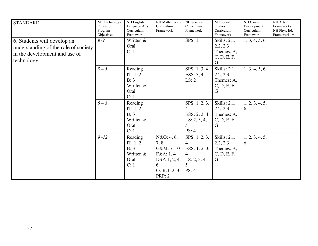| <b>STANDARD</b>                                                                                                     | NH Technology<br>Education<br>Program<br>Objectives | NH English<br>Language Arts<br>Curriculum<br>Framework     | <b>NH</b> Mathematics<br>Curriculum<br>Framework                                                   | NH Science<br>Curriculum<br>Framework                                                                              | <b>NH</b> Social<br><b>Studies</b><br>Curriculum<br>Framework | NH Career<br>Development<br>Curriculum<br>Framework | NH Arts<br>Frameworks<br>NH Phys. Ed.<br>Frameworks <sup>*</sup> |
|---------------------------------------------------------------------------------------------------------------------|-----------------------------------------------------|------------------------------------------------------------|----------------------------------------------------------------------------------------------------|--------------------------------------------------------------------------------------------------------------------|---------------------------------------------------------------|-----------------------------------------------------|------------------------------------------------------------------|
| 6. Students will develop an<br>understanding of the role of society<br>in the development and use of<br>technology. | $K-2$                                               | Written &<br>Oral<br>C: 1                                  |                                                                                                    | SPS: 1                                                                                                             | Skills: 2.1,<br>2.2, 2.3<br>Themes: A,<br>C, D, E, F,<br>G    | 1, 3, 4, 5, 6                                       |                                                                  |
|                                                                                                                     | $3-5$                                               | Reading<br>IT: 1, 2<br>B: 3<br>Written &<br>Oral<br>C:1    |                                                                                                    | SPS: 1, 3, 4<br>ESS: $3, 4$<br>LS: 2                                                                               | Skills: $2.1$ ,<br>2.2, 2.3<br>Themes: A,<br>C, D, E, F,<br>G | 1, 3, 4, 5, 6                                       |                                                                  |
|                                                                                                                     | $6 - 8$                                             | Reading<br>IT: $1, 2$<br>B: 3<br>Written &<br>Oral<br>C: 1 |                                                                                                    | SPS: 1, 2, 3,<br>$\overline{4}$<br>ESS: 2, 3, 4<br>LS: 2, 3, 4,<br>5<br>PS: 4                                      | Skills: $2.1$ ,<br>2.2, 2.3<br>Themes: A,<br>C, D, E, F,<br>G | 1, 2, 3, 4, 5,<br>6                                 |                                                                  |
|                                                                                                                     | $9 - 12$                                            | Reading<br>IT: $1, 2$<br>B: 3<br>Written &<br>Oral<br>C: 1 | N&O: 4, 6,<br>7, 8<br>G&M: 7, 10<br>F&A:1,4<br>DSP: 1, 2, 4, $\vert$<br>6<br>CCR:1, 2, 3<br>PRP: 2 | SPS: $1, 2, 3$ ,<br>$\overline{4}$<br>ESS: $1, 2, 3,$<br>$\overline{4}$<br>LS: 2, 3, 4,<br>$\overline{5}$<br>PS: 4 | Skills: 2.1,<br>2.2, 2.3<br>Themes: A,<br>C, D, E, F,<br>G    | 1, 2, 3, 4, 5,<br>6                                 |                                                                  |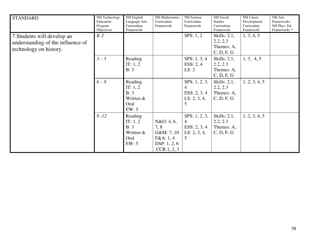| <b>STANDARD</b>                                                                            | NH Technology<br>Education<br>Program<br>Objectives | NH English<br>Language Arts<br>Curriculum<br>Framework      | <b>NH</b> Mathematics<br>Curriculum<br>Framework                                | NH Science<br>Curriculum<br>Framework                                | NH Social<br><b>Studies</b><br>Curriculum<br>Framework  | NH Career<br>Development<br>Curriculum<br>Framework | NH Arts<br>Frameworks<br>NH Phys. Ed.<br>Frameworks <sup>*</sup> |
|--------------------------------------------------------------------------------------------|-----------------------------------------------------|-------------------------------------------------------------|---------------------------------------------------------------------------------|----------------------------------------------------------------------|---------------------------------------------------------|-----------------------------------------------------|------------------------------------------------------------------|
| 7. Students will develop an<br>understanding of the influence of<br>technology on history. | $K-2$                                               |                                                             |                                                                                 | SPS: 1, 2                                                            | Skills: 2.1,<br>2.2, 2.3<br>Themes: A,<br>C, D, F, G    | 1, 3, 4, 5                                          |                                                                  |
|                                                                                            | $3 - 5$                                             | Reading<br>IT: $1, 2$<br>B: 3                               |                                                                                 | SPS: 1, 3, 4<br>ESS: $2, 4$<br>LS: 2                                 | Skills: $2.1$ ,<br>2.2, 2.3<br>Themes: A,<br>C, D, F, G | 1, 3, 4, 5                                          |                                                                  |
|                                                                                            | $6 - 8$                                             | Reading<br>IT: $1, 2$<br>B: 3<br>Written &<br>Oral<br>EW: 5 |                                                                                 | SPS: 1, 2, 3,<br>$\overline{4}$<br>ESS: 2, 3, 4<br>LS: 2, 3, 4,<br>5 | Skills: $2.1$ ,<br>2.2, 2.3<br>Themes: A,<br>C, D, F, G | 1, 2, 3, 4, 5                                       |                                                                  |
|                                                                                            | $9 - 12$                                            | Reading<br>IT: 1, 2<br>B: 3<br>Written &<br>Oral<br>EW: 5   | N&O: 4, 6,<br>7, 8<br>G&M: 7, 10<br>F&A: 1, 4<br>DSP: $1, 2, 6$<br>CCR: 1, 2, 3 | SPS: 1, 2, 3,<br>$\overline{4}$<br>ESS: 2, 3, 4<br>LS: 2, 3, 4,<br>5 | Skills: $2.1$ ,<br>2.2, 2.3<br>Themes: A,<br>C, D, F, G | 1, 2, 3, 4, 5                                       |                                                                  |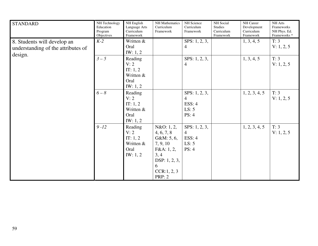| <b>STANDARD</b>                                                              | NH Technology<br>Education<br>Program<br>Objectives | NH English<br>Language Arts<br>Curriculum<br>Framework         | NH Mathematics<br>Curriculum<br>Framework                                                                                       | NH Science<br>Curriculum<br>Framework                                 | NH Social<br><b>Studies</b><br>Curriculum<br>Framework | NH Career<br>Development<br>Curriculum<br>Framework | NH Arts<br>Frameworks<br>NH Phys. Ed.<br>Frameworks <sup>*</sup> |
|------------------------------------------------------------------------------|-----------------------------------------------------|----------------------------------------------------------------|---------------------------------------------------------------------------------------------------------------------------------|-----------------------------------------------------------------------|--------------------------------------------------------|-----------------------------------------------------|------------------------------------------------------------------|
| 8. Students will develop an<br>understanding of the attributes of<br>design. | $K-2$                                               | Written &<br>Oral<br>IW: 1, 2                                  |                                                                                                                                 | SPS: 1, 2, 3,<br>$\overline{4}$                                       |                                                        | 1, 3, 4, 5                                          | T: 3<br>V: 1, 2, 5                                               |
|                                                                              | $3-5$                                               | Reading<br>V: 2<br>IT: $1, 2$<br>Written &<br>Oral<br>IW: 1, 2 |                                                                                                                                 | SPS: 1, 2, 3,<br>$\overline{4}$                                       |                                                        | 1, 3, 4, 5                                          | T: 3<br>V: 1, 2, 5                                               |
|                                                                              | $6-8$                                               | Reading<br>V: 2<br>IT: 1, 2<br>Written &<br>Oral<br>IW: 1, 2   |                                                                                                                                 | SPS: 1, 2, 3,<br>$\overline{4}$<br><b>ESS: 4</b><br>LS: 5<br>PS: 4    |                                                        | 1, 2, 3, 4, 5                                       | T: 3<br>V: 1, 2, 5                                               |
|                                                                              | $9 - 12$                                            | Reading<br>V: 2<br>IT: 1, 2<br>Written &<br>Oral<br>IW: 1, 2   | N&O: 1, 2,<br>4, 6, 7, 8<br>G&M: 5, 6,<br>7, 9, 10<br>F&A: 1, 2,<br>3, 4<br>DSP: 1, 2, 3,<br>6<br>CCR: 1, 2, 3<br><b>PRP: 2</b> | SPS: $1, 2, 3$ ,<br>$\overline{4}$<br><b>ESS: 4</b><br>LS: 5<br>PS: 4 |                                                        | 1, 2, 3, 4, 5                                       | T: 3<br>V: 1, 2, 5                                               |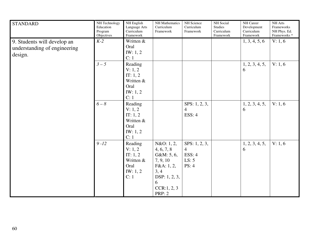| <b>STANDARD</b>                                                        | NH Technology<br>Education<br>Program<br>Objectives | NH English<br>Language Arts<br>Curriculum<br>Framework                    | <b>NH</b> Mathematics<br>Curriculum<br>Framework                                                                                 | NH Science<br>Curriculum<br>Framework                       | <b>NH</b> Social<br><b>Studies</b><br>Curriculum<br>Framework | NH Career<br>Development<br>Curriculum<br>Framework | NH Arts<br>Frameworks<br>NH Phys. Ed.<br>Frameworks <sup>*</sup> |
|------------------------------------------------------------------------|-----------------------------------------------------|---------------------------------------------------------------------------|----------------------------------------------------------------------------------------------------------------------------------|-------------------------------------------------------------|---------------------------------------------------------------|-----------------------------------------------------|------------------------------------------------------------------|
| 9. Students will develop an<br>understanding of engineering<br>design. | $K-2$                                               | Written &<br>Oral<br>IW: 1, 2<br>C:1                                      |                                                                                                                                  |                                                             |                                                               | 1, 3, 4, 5, 6                                       | V: 1, 6                                                          |
|                                                                        | $3-5$                                               | Reading<br>V: 1, 2<br>IT: 1, 2<br>Written &<br>Oral<br>IW: 1, 2<br>C: 1   |                                                                                                                                  |                                                             |                                                               | 1, 2, 3, 4, 5,<br>6                                 | V: 1, 6                                                          |
|                                                                        | $6 - 8$                                             | Reading<br>V: 1, 2<br>IT: 1, 2<br>Written &<br>Oral<br>IW: $1, 2$<br>C: 1 |                                                                                                                                  | SPS: 1, 2, 3,<br>$\overline{4}$<br>ESS: 4                   |                                                               | 1, 2, 3, 4, 5,<br>6                                 | V: 1, 6                                                          |
|                                                                        | $9 - 12$                                            | Reading<br>V: 1, 2<br>IT: 1, 2<br>Written &<br>Oral<br>IW: $1, 2$<br>C: 1 | N&O: 1, 2,<br>4, 6, 7, 8<br>G&M: 5, 6,<br>7, 9, 10<br>F&A: 1, 2,<br>3, 4<br>DSP: 1, 2, 3,<br>6<br>CCR: 1, 2, 3<br><b>PRP</b> : 2 | SPS: 1, 2, 3,<br>$\overline{4}$<br>ESS: 4<br>LS: 5<br>PS: 4 |                                                               | 1, 2, 3, 4, 5,<br>6                                 | V: 1, 6                                                          |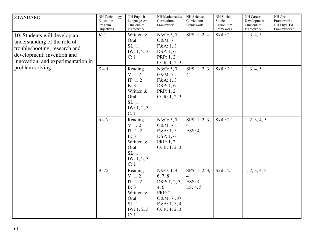| <b>STANDARD</b>                                                                                                                                                   | NH Technology<br>Education<br>Program<br>Objectives | NH English<br>Language Arts<br>Curriculum<br>Framework                                       | <b>NH</b> Mathematics<br>Curriculum<br>Framework                                                             | NH Science<br>Curriculum<br>Framework     | NH Social<br><b>Studies</b><br>Curriculum<br>Framework | NH Career<br>Development<br>Curriculum<br>Framework | NH Arts<br>Frameworks<br>NH Phys. Ed.<br>Frameworks <sup>*</sup> |
|-------------------------------------------------------------------------------------------------------------------------------------------------------------------|-----------------------------------------------------|----------------------------------------------------------------------------------------------|--------------------------------------------------------------------------------------------------------------|-------------------------------------------|--------------------------------------------------------|-----------------------------------------------------|------------------------------------------------------------------|
| 10. Students will develop an<br>understanding of the role of<br>troubleshooting, research and<br>development, invention and<br>innovation, and experimentation in | $K-2$                                               | Written &<br>Oral<br>SL:1<br>IW: 1, 2, 3<br>C: 1                                             | N&O: 5, 7<br>G&M: 7<br>F&A:1,3<br>DSP: 1, 6<br>PRP: 1, 2<br>CCR: 1, 2, 3                                     | SPS: 1, 2, 4                              | <b>Skill: 2.1</b>                                      | 1, 3, 4, 5                                          |                                                                  |
| problem solving.                                                                                                                                                  | $3-5$                                               | Reading<br>V: 1, 2<br>IT: 1, 2<br>B: 3<br>Written &<br>Oral<br>SL:1<br>IW: 1, 2, 3<br>C:1    | N&O: 5, 7<br>G&M: 7<br>F&A:1,3<br>DSP: 1, 6<br>PRP: 1, 2<br>CCR: 1, 2, 3                                     | SPS: $1, 2, 3$ ,<br>$\overline{4}$        | <b>Skill: 2.1</b>                                      | 1, 3, 4, 5                                          |                                                                  |
|                                                                                                                                                                   | $6 - 8$                                             | Reading<br>V: 1, 2<br>IT: $1, 2$<br>B: 3<br>Written &<br>Oral<br>SL:1<br>IW: 1, 2, 3<br>C: 1 | N&O: 5, 7<br>G&M: 7<br>F&A:1,3<br>DSP: 1, 6<br>PRP: 1, 2<br>CCR: 1, 2, 3                                     | SPS: 1, 2, 3,<br>$\overline{4}$<br>ESS: 4 | Skill: 2.1                                             | 1, 2, 3, 4, 5                                       |                                                                  |
|                                                                                                                                                                   | $9 - 12$                                            | Reading<br>V: 1, 2<br>IT: 1, 2<br>B: 3<br>Written &<br>Oral<br>SL:1<br>IW: 1, 2, 3<br>C: 1   | N&O: 1, 4,<br>6, 7, 8<br>DSP: 1, 2, 3,<br>4, 6<br><b>PRP: 2</b><br>G&M: 7,10<br>F&A: 1, 3, 4<br>CCR: 1, 2, 3 | SPS: 1, 2, 3,<br>4<br>ESS: 4<br>LS: 4, 5  | Skill: 2.1                                             | 1, 2, 3, 4, 5                                       |                                                                  |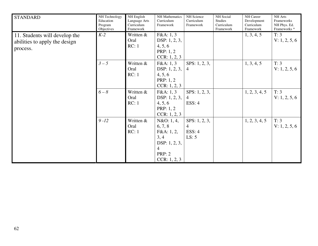| <b>STANDARD</b>                                                            | NH Technology<br>Education<br>Program<br>Objectives | NH English<br>Language Arts<br>Curriculum<br>Framework | NH Mathematics<br>Curriculum<br>Framework                                                                       | NH Science<br>Curriculum<br>Framework                 | NH Social<br>Studies<br>Curriculum<br>Framework | NH Career<br>Development<br>Curriculum<br>Framework | <b>NH</b> Arts<br>Frameworks<br>NH Phys. Ed.<br>Frameworks <sup>*</sup> |
|----------------------------------------------------------------------------|-----------------------------------------------------|--------------------------------------------------------|-----------------------------------------------------------------------------------------------------------------|-------------------------------------------------------|-------------------------------------------------|-----------------------------------------------------|-------------------------------------------------------------------------|
| 11. Students will develop the<br>abilities to apply the design<br>process. | $K-2$                                               | Written &<br>Oral<br>RC:1                              | F&A:1,3<br>DSP: 1, 2, 3,<br>4, 5, 6<br>PRP: 1, 2<br>CCR: 1, 2, 3                                                |                                                       |                                                 | 1, 3, 4, 5                                          | T: 3<br>V: 1, 2, 5, 6                                                   |
|                                                                            | $3-5$                                               | Written &<br>Oral<br>RC:1                              | F&A: 1, 3<br>DSP: 1, 2, 3,<br>4, 5, 6<br><b>PRP</b> : 1, 2<br>CCR: 1, 2, 3                                      | SPS: $1, 2, 3$ ,<br>$\overline{4}$                    |                                                 | 1, 3, 4, 5                                          | T: 3<br>V: 1, 2, 5, 6                                                   |
|                                                                            | $6 - 8$                                             | Written &<br>Oral<br>RC:1                              | F&A:1,3<br>DSP: 1, 2, 3,<br>4, 5, 6<br>PRP: 1, 2<br>CCR: 1, 2, 3                                                | SPS: 1, 2, 3,<br>4<br>ESS: 4                          |                                                 | 1, 2, 3, 4, 5                                       | T: 3<br>V: 1, 2, 5, 6                                                   |
|                                                                            | $9 - 12$                                            | Written &<br>Oral<br>RC:1                              | N&O: 1, 4,<br>6, 7, 8<br>F&A: 1, 2,<br>3, 4<br>DSP: 1, 2, 3,<br>$\overline{4}$<br><b>PRP: 2</b><br>CCR: 1, 2, 3 | SPS: $1, 2, 3$ ,<br>$\overline{4}$<br>ESS: 4<br>LS: 5 |                                                 | 1, 2, 3, 4, 5                                       | T: 3<br>V: 1, 2, 5, 6                                                   |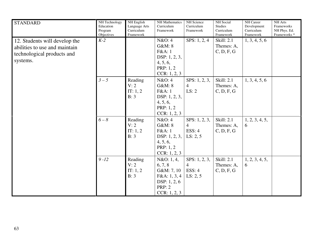| <b>STANDARD</b>                                                                                          | NH Technology<br>Education<br>Program<br>Objectives | NH English<br>Language Arts<br>Curriculum<br>Framework | NH Mathematics<br>Curriculum<br>Framework                                                              | NH Science<br>Curriculum<br>Framework                 | NH Social<br><b>Studies</b><br>Curriculum<br>Framework | NH Career<br>Development<br>Curriculum<br>Framework | <b>NH</b> Arts<br>Frameworks<br>NH Phys. Ed.<br>Frameworks <sup>*</sup> |
|----------------------------------------------------------------------------------------------------------|-----------------------------------------------------|--------------------------------------------------------|--------------------------------------------------------------------------------------------------------|-------------------------------------------------------|--------------------------------------------------------|-----------------------------------------------------|-------------------------------------------------------------------------|
| 12. Students will develop the<br>abilities to use and maintain<br>technological products and<br>systems. | $K-2$                                               |                                                        | N&O:4<br>G&M: 8<br>F&A: 1<br>DSP: 1, 2, 3,<br>4, 5, 6,<br>PRP: 1, 2<br>CCR: 1, 2, 3                    | SPS: $1, 2, 4$                                        | <b>Skill: 2.1</b><br>Themes: A,<br>C, D, F, G          | 1, 3, 4, 5, 6                                       |                                                                         |
|                                                                                                          | $3-5$                                               | Reading<br>V: 2<br>IT: 1, 2<br>B: 3                    | N&O: 4<br>G&M:8<br>F&A:1<br>DSP: 1, 2, 3,<br>4, 5, 6,<br>PRP: 1, 2<br>CCR: 1, 2, 3                     | SPS: 1, 2, 3,<br>4<br>LS: 2                           | <b>Skill: 2.1</b><br>Themes: A,<br>C, D, F, G          | 1, 3, 4, 5, 6                                       |                                                                         |
|                                                                                                          | $6 - 8$                                             | Reading<br>V: 2<br>IT: 1, 2<br>B: 3                    | N&O: 4<br>G&M: 8<br>F&A:1<br>DSP: 1, 2, 3,<br>4, 5, 6,<br>PRP: 1, 2<br>CCR: 1, 2, 3                    | SPS: 1, 2, 3,<br>$\overline{4}$<br>ESS: 4<br>LS: 2, 5 | <b>Skill: 2.1</b><br>Themes: A,<br>C, D, F, G          | 1, 2, 3, 4, 5,<br>6                                 |                                                                         |
|                                                                                                          | $9 - 12$                                            | Reading<br>V: 2<br>IT: 1, 2<br>B: 3                    | N&O: 1, 4,<br>6, 7, 8<br>G&M: 7, 10<br>F&A: 1, 3, 4<br>DSP: $1, 2, 6$<br><b>PRP: 2</b><br>CCR: 1, 2, 3 | SPS: 1, 2, 3,<br>$\overline{4}$<br>ESS: 4<br>LS: 2, 5 | Skill: 2.1<br>Themes: A,<br>C, D, F, G                 | 1, 2, 3, 4, 5,<br>6                                 |                                                                         |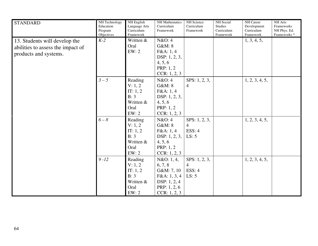| <b>STANDARD</b>                   | NH Technology<br>Education<br>Program | NH English<br>Language Arts<br>Curriculum<br>Framework | <b>NH</b> Mathematics<br>Curriculum<br>Framework | NH Science<br>Curriculum<br>Framework | NH Social<br><b>Studies</b><br>Curriculum<br>Framework | NH Career<br>Development<br>Curriculum | NH Arts<br>Frameworks<br>NH Phys. Ed. |
|-----------------------------------|---------------------------------------|--------------------------------------------------------|--------------------------------------------------|---------------------------------------|--------------------------------------------------------|----------------------------------------|---------------------------------------|
|                                   | Objectives<br>$K-2$                   | Written &                                              | N&O: 4                                           |                                       |                                                        | Framework                              | Frameworks <sup>*</sup>               |
| 13. Students will develop the     |                                       | Oral                                                   | G&M: 8                                           |                                       |                                                        | 1, 3, 4, 5,                            |                                       |
| abilities to assess the impact of |                                       | EW:2                                                   | F&A:1,4                                          |                                       |                                                        |                                        |                                       |
| products and systems.             |                                       |                                                        | DSP: 1, 2, 3,                                    |                                       |                                                        |                                        |                                       |
|                                   |                                       |                                                        | 4, 5, 6                                          |                                       |                                                        |                                        |                                       |
|                                   |                                       |                                                        | PRP: 1, 2                                        |                                       |                                                        |                                        |                                       |
|                                   |                                       |                                                        | CCR: 1, 2, 3                                     |                                       |                                                        |                                        |                                       |
|                                   |                                       |                                                        |                                                  |                                       |                                                        |                                        |                                       |
|                                   | $3-5$                                 | Reading                                                | N&O: 4                                           | SPS: 1, 2, 3,                         |                                                        | 1, 2, 3, 4, 5,                         |                                       |
|                                   |                                       | V: 1, 2                                                | G&M: 8                                           | $\overline{4}$                        |                                                        |                                        |                                       |
|                                   |                                       | IT: 1, 2                                               | F&A: 1, 4                                        |                                       |                                                        |                                        |                                       |
|                                   |                                       | B: 3                                                   | DSP: 1, 2, 3,                                    |                                       |                                                        |                                        |                                       |
|                                   |                                       | Written &                                              | 4, 5, 6                                          |                                       |                                                        |                                        |                                       |
|                                   |                                       | Oral                                                   | PRP: 1, 2                                        |                                       |                                                        |                                        |                                       |
|                                   |                                       | EW: 2                                                  | CCR: 1, 2, 3                                     |                                       |                                                        |                                        |                                       |
|                                   | $6 - 8$                               | Reading                                                | N&O: 4                                           | SPS: 1, 2, 3,                         |                                                        | 1, 2, 3, 4, 5,                         |                                       |
|                                   |                                       | V: 1, 2                                                | G&M: 8                                           | $\overline{4}$                        |                                                        |                                        |                                       |
|                                   |                                       | IT: 1, 2                                               | F&A:1,4                                          | ESS: 4                                |                                                        |                                        |                                       |
|                                   |                                       | B: 3                                                   | DSP: 1, 2, 3,                                    | LS: 5                                 |                                                        |                                        |                                       |
|                                   |                                       | Written &                                              | 4, 5, 6                                          |                                       |                                                        |                                        |                                       |
|                                   |                                       | Oral                                                   | PRP: 1, 2                                        |                                       |                                                        |                                        |                                       |
|                                   |                                       | EW:2                                                   | CCR: 1, 2, 3                                     |                                       |                                                        |                                        |                                       |
|                                   | $9 - 12$                              | Reading                                                | N&O: 1, 4,                                       | SPS: 1, 2, 3,                         |                                                        | 1, 2, 3, 4, 5,                         |                                       |
|                                   |                                       | V: 1, 2                                                | 6, 7, 8                                          | $\overline{4}$                        |                                                        |                                        |                                       |
|                                   |                                       | IT: 1, 2                                               | G&M: 7, 10                                       | ESS: 4                                |                                                        |                                        |                                       |
|                                   |                                       | B: 3                                                   | F&A: 1, 3, 4                                     | LS: 5                                 |                                                        |                                        |                                       |
|                                   |                                       | Written &                                              | DSP: 1, 2, 4                                     |                                       |                                                        |                                        |                                       |
|                                   |                                       | Oral                                                   | PRP: $1, 2, 6$                                   |                                       |                                                        |                                        |                                       |
|                                   |                                       | EW: 2                                                  | CCR: 1, 2, 3                                     |                                       |                                                        |                                        |                                       |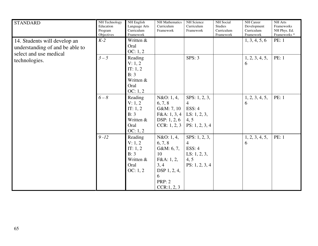| <b>STANDARD</b>                                                                           | NH Technology<br>Education<br>Program<br>Objectives | NH English<br>Language Arts<br>Curriculum<br>Framework                    | <b>NH</b> Mathematics<br>Curriculum<br>Framework                                                                      | NH Science<br>Curriculum<br>Framework                                                  | NH Social<br><b>Studies</b><br>Curriculum<br>Framework | NH Career<br>Development<br>Curriculum<br>Framework | NH Arts<br>Frameworks<br>NH Phys. Ed.<br>Frameworks <sup>*</sup> |
|-------------------------------------------------------------------------------------------|-----------------------------------------------------|---------------------------------------------------------------------------|-----------------------------------------------------------------------------------------------------------------------|----------------------------------------------------------------------------------------|--------------------------------------------------------|-----------------------------------------------------|------------------------------------------------------------------|
| 14. Students will develop an<br>understanding of and be able to<br>select and use medical | $K-2$                                               | Written &<br>Oral<br>OC: 1, 2                                             |                                                                                                                       |                                                                                        |                                                        | 1, 3, 4, 5, 6                                       | PE: 1                                                            |
| technologies.                                                                             | $3-5$                                               | Reading<br>V: 1, 2<br>IT: 1, 2<br>B: 3<br>Written &<br>Oral<br>OC: 1, 2   |                                                                                                                       | SPS: 3                                                                                 |                                                        | 1, 2, 3, 4, 5,<br>6                                 | PE: 1                                                            |
|                                                                                           | $6 - 8$                                             | Reading<br>V: 1, 2<br>IT: 1, 2<br>B: 3<br>Written &<br>Oral<br>OC: 1, 2   | N&O: 1, 4,<br>6, 7, 8<br>G&M: 7, 10<br>F&A: 1, 3, 4<br>DSP: $1, 2, 6$<br>CCR: 1, 2, 3                                 | SPS: 1, 2, 3,<br>$\overline{4}$<br>ESS: 4<br>LS: $1, 2, 3$ ,<br>4, 5<br>PS: 1, 2, 3, 4 |                                                        | 1, 2, 3, 4, 5,<br>6                                 | <b>PE: 1</b>                                                     |
|                                                                                           | $9 - 12$                                            | Reading<br>V: 1, 2<br>IT: $1, 2$<br>B: 3<br>Written &<br>Oral<br>OC: 1, 2 | N&O: 1, 4,<br>6, 7, 8<br>G&M: 6, 7,<br>10<br>F&A: 1, 2,<br>3, 4<br>DSP 1, 2, 4,<br>6<br><b>PRP: 2</b><br>CCR: 1, 2, 3 | SPS: $1, 2, 3$ ,<br>4<br>ESS: 4<br>LS: $1, 2, 3$ ,<br>4, 5<br>PS: 1, 2, 3, 4           |                                                        | 1, 2, 3, 4, 5,<br>6                                 | <b>PE: 1</b>                                                     |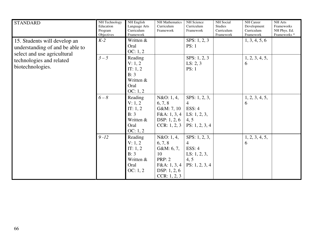| <b>STANDARD</b>                                                                                | NH Technology<br>Education<br>Program<br>Objectives | NH English<br>Language Arts<br>Curriculum<br>Framework                    | NH Mathematics<br>Curriculum<br>Framework                                                                  | NH Science<br>Curriculum<br>Framework                                                            | NH Social<br><b>Studies</b><br>Curriculum<br>Framework | NH Career<br>Development<br>Curriculum<br>Framework | NH Arts<br>Frameworks<br>NH Phys. Ed.<br>Frameworks <sup>*</sup> |
|------------------------------------------------------------------------------------------------|-----------------------------------------------------|---------------------------------------------------------------------------|------------------------------------------------------------------------------------------------------------|--------------------------------------------------------------------------------------------------|--------------------------------------------------------|-----------------------------------------------------|------------------------------------------------------------------|
| 15. Students will develop an<br>understanding of and be able to<br>select and use agricultural | $K-2$                                               | Written &<br>Oral<br>OC: 1, 2                                             |                                                                                                            | SPS: 1, 2, 3<br>PS: 1                                                                            |                                                        | 1, 3, 4, 5, 6                                       |                                                                  |
| technologies and related<br>biotechnologies.                                                   | $3-5$                                               | Reading<br>V: 1, 2<br>IT: $1, 2$<br>B: 3<br>Written &<br>Oral<br>OC: 1, 2 |                                                                                                            | SPS: 1, 2, 3<br>LS: 2, 3<br><b>PS: 1</b>                                                         |                                                        | 1, 2, 3, 4, 5,<br>6                                 |                                                                  |
|                                                                                                | $6 - 8$                                             | Reading<br>V: 1, 2<br>IT: $1, 2$<br>B: 3<br>Written &<br>Oral<br>OC: 1, 2 | N&O: 1, 4,<br>6, 7, 8<br>G&M: 7, 10<br>F&A: 1, 3, 4<br>DSP: 1, 2, 6<br>CCR: 1, 2, 3                        | SPS: $1, 2, 3$ ,<br>4<br>ESS: 4<br>LS: $1, 2, 3$ ,<br>4, 5<br>PS: 1, 2, 3, 4                     |                                                        | 1, 2, 3, 4, 5,<br>6                                 |                                                                  |
|                                                                                                | $9 - 12$                                            | Reading<br>V: 1, 2<br>IT: $1, 2$<br>B: 3<br>Written &<br>Oral<br>OC: 1, 2 | N&O: 1, 4,<br>6, 7, 8<br>G&M: 6, 7,<br>10<br><b>PRP: 2</b><br>F&A: 1, 3, 4<br>DSP: 1, 2, 6<br>CCR: 1, 2, 3 | SPS: $1, 2, 3$ ,<br>$\overline{4}$<br><b>ESS: 4</b><br>LS: $1, 2, 3$ ,<br>4, 5<br>PS: 1, 2, 3, 4 |                                                        | 1, 2, 3, 4, 5,<br>6                                 |                                                                  |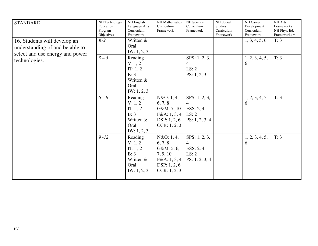| <b>STANDARD</b>                                                                                    | NH Technology<br>Education<br>Program<br>Objectives | NH English<br>Language Arts<br>Curriculum<br>Framework                         | <b>NH</b> Mathematics<br>Curriculum<br>Framework                                                  | NH Science<br>Curriculum<br>Framework                                        | NH Social<br><b>Studies</b><br>Curriculum<br>Framework | NH Career<br>Development<br>Curriculum<br>Framework | NH Arts<br>Frameworks<br>NH Phys. Ed.<br>Frameworks <sup>*</sup> |
|----------------------------------------------------------------------------------------------------|-----------------------------------------------------|--------------------------------------------------------------------------------|---------------------------------------------------------------------------------------------------|------------------------------------------------------------------------------|--------------------------------------------------------|-----------------------------------------------------|------------------------------------------------------------------|
| 16. Students will develop an<br>understanding of and be able to<br>select and use energy and power | $K-2$                                               | Written &<br>Oral<br>IW: $1, 2, 3$                                             |                                                                                                   |                                                                              |                                                        | 1, 3, 4, 5, 6                                       | T: 3                                                             |
| technologies.                                                                                      | $3-5$                                               | Reading<br>V: 1, 2<br>IT: $1, 2$<br>B: 3<br>Written &<br>Oral<br>IW: 1, 2, 3   |                                                                                                   | SPS: $1, 2, 3$ ,<br>$\overline{4}$<br>LS: 2<br>PS: 1, 2, 3                   |                                                        | 1, 2, 3, 4, 5,<br>6                                 | T: 3                                                             |
|                                                                                                    | $6 - 8$                                             | Reading<br>V: 1, 2<br>IT: $1, 2$<br>B: 3<br>Written &<br>Oral<br>IW: $1, 2, 3$ | N&O: 1, 4,<br>6, 7, 8<br>G&M: 7, 10<br>F&A: 1, 3, 4<br>DSP: 1, 2, 6<br>CCR: 1, 2, 3               | SPS: $1, 2, 3$ ,<br>$\overline{4}$<br>ESS: $2, 4$<br>LS: 2<br>PS: 1, 2, 3, 4 |                                                        | 1, 2, 3, 4, 5,<br>6                                 | T: 3                                                             |
|                                                                                                    | $9 - 12$                                            | Reading<br>V: 1, 2<br>IT: 1, 2<br>B: 3<br>Written &<br>Oral<br>IW: 1, 2, 3     | N&O: 1, 4,<br>6, 7, 8<br>G&M: 5, 6,<br>7, 9, 10<br>F&A: 1, 3, 4<br>DSP: $1, 2, 6$<br>CCR: 1, 2, 3 | SPS: 1, 2, 3,<br>$\overline{4}$<br>ESS: $2, 4$<br>LS: 2<br>PS: 1, 2, 3, 4    |                                                        | 1, 2, 3, 4, 5,<br>6                                 | T: 3                                                             |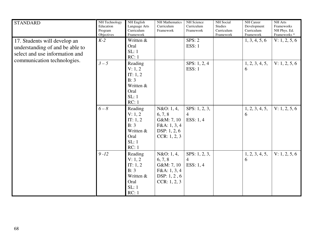| <b>STANDARD</b>                                                                                                                  | NH Technology<br>Education<br>Program<br>Objectives | NH English<br>Language Arts<br>Curriculum<br>Framework                        | <b>NH</b> Mathematics<br>Curriculum<br>Framework                                    | NH Science<br>Curriculum<br>Framework             | <b>NH</b> Social<br><b>Studies</b><br>Curriculum<br>Framework | NH Career<br>Development<br>Curriculum<br>Framework | NH Arts<br>Frameworks<br>NH Phys. Ed.<br>Frameworks <sup>*</sup> |
|----------------------------------------------------------------------------------------------------------------------------------|-----------------------------------------------------|-------------------------------------------------------------------------------|-------------------------------------------------------------------------------------|---------------------------------------------------|---------------------------------------------------------------|-----------------------------------------------------|------------------------------------------------------------------|
| 17. Students will develop an<br>understanding of and be able to<br>select and use information and<br>communication technologies. | $K-2$                                               | Written &<br>Oral<br>SL:1<br>RC:1                                             |                                                                                     | SPS: 2<br><b>ESS: 1</b>                           |                                                               | 1, 3, 4, 5, 6                                       | V: 1, 2, 5, 6                                                    |
|                                                                                                                                  | $3-5$                                               | Reading<br>V: 1, 2<br>IT: $1, 2$<br>B: 3<br>Written &<br>Oral<br>SL:1<br>RC:1 |                                                                                     | SPS: 1, 2, 4<br><b>ESS: 1</b>                     |                                                               | 1, 2, 3, 4, 5,<br>6                                 | V: 1, 2, 5, 6                                                    |
|                                                                                                                                  | $6 - 8$                                             | Reading<br>V: 1, 2<br>IT: 1, 2<br>B: 3<br>Written &<br>Oral<br>SL:1<br>RC:1   | N&O: 1, 4,<br>6, 7, 8<br>G&M: 7, 10<br>F&A: 1, 3, 4<br>DSP: 1, 2, 6<br>CCR: 1, 2, 3 | SPS: $1, 2, 3$ ,<br>$\overline{4}$<br>ESS: $1, 4$ |                                                               | 1, 2, 3, 4, 5,<br>6                                 | V: 1, 2, 5, 6                                                    |
|                                                                                                                                  | $9 - 12$                                            | Reading<br>V: 1, 2<br>IT: 1, 2<br>B: 3<br>Written &<br>Oral<br>SL:1<br>RC:1   | N&O: 1, 4,<br>6, 7, 8<br>G&M: 7, 10<br>F&A: 1, 3, 4<br>DSP: 1, 2, 6<br>CCR: 1, 2, 3 | SPS: $1, 2, 3$ ,<br>$\overline{4}$<br>ESS: $1, 4$ |                                                               | 1, 2, 3, 4, 5,<br>6                                 | V: 1, 2, 5, 6                                                    |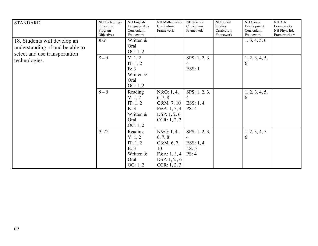| <b>STANDARD</b>                                                                                  | NH Technology<br>Education<br>Program<br>Objectives | NH English<br>Language Arts<br>Curriculum<br>Framework                  | NH Mathematics<br>Curriculum<br>Framework                                                   | NH Science<br>Curriculum<br>Framework                               | NH Social<br><b>Studies</b><br>Curriculum<br>Framework | NH Career<br>Development<br>Curriculum<br>Framework | NH Arts<br>Frameworks<br>NH Phys. Ed.<br>Frameworks <sup>*</sup> |
|--------------------------------------------------------------------------------------------------|-----------------------------------------------------|-------------------------------------------------------------------------|---------------------------------------------------------------------------------------------|---------------------------------------------------------------------|--------------------------------------------------------|-----------------------------------------------------|------------------------------------------------------------------|
| 18. Students will develop an<br>understanding of and be able to<br>select and use transportation | $K-2$                                               | Written &<br>Oral<br>OC: 1, 2                                           |                                                                                             |                                                                     |                                                        | 1, 3, 4, 5, 6                                       |                                                                  |
| technologies.                                                                                    | $3-5$                                               | V: 1, 2<br>IT: 1, 2<br>B: 3<br>Written &<br>Oral<br>OC: 1, 2            |                                                                                             | SPS: 1, 2, 3,<br>4<br><b>ESS: 1</b>                                 |                                                        | 1, 2, 3, 4, 5,<br>6                                 |                                                                  |
|                                                                                                  | $6-8$                                               | Reading<br>V: 1, 2<br>IT: 1, 2<br>B: 3<br>Written &<br>Oral<br>OC: 1, 2 | N&O: 1, 4,<br>6, 7, 8<br>G&M: 7, 10<br>F&A: 1, 3, 4<br>DSP: $1, 2, 6$<br>CCR: 1, 2, 3       | SPS: $1, 2, 3$ ,<br>$\overline{4}$<br>ESS: $1, 4$<br>PS: 4          |                                                        | 1, 2, 3, 4, 5,<br>6                                 |                                                                  |
|                                                                                                  | $9 - 12$                                            | Reading<br>V: 1, 2<br>IT: 1, 2<br>B: 3<br>Written &<br>Oral<br>OC: 1, 2 | N&O: 1, 4,<br>6, 7, 8<br>G&M: 6, 7,<br>10<br>F&A: 1, 3, 4<br>DSP: $1, 2, 6$<br>CCR: 1, 2, 3 | SPS: $1, 2, 3$ ,<br>$\overline{4}$<br>ESS: $1, 4$<br>LS: 5<br>PS: 4 |                                                        | 1, 2, 3, 4, 5,<br>6                                 |                                                                  |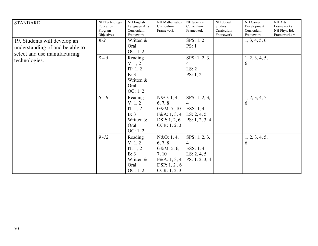| <b>STANDARD</b>                                                                                 | NH Technology<br>Education<br>Program<br>Objectives | <b>NH</b> English<br>Language Arts<br>Curriculum<br>Framework             | NH Mathematics<br>Curriculum<br>Framework                                                    | NH Science<br>Curriculum<br>Framework                                              | NH Social<br><b>Studies</b><br>Curriculum<br>Framework | NH Career<br>Development<br>Curriculum<br>Framework | NH Arts<br>Frameworks<br>NH Phys. Ed.<br>Frameworks <sup>*</sup> |
|-------------------------------------------------------------------------------------------------|-----------------------------------------------------|---------------------------------------------------------------------------|----------------------------------------------------------------------------------------------|------------------------------------------------------------------------------------|--------------------------------------------------------|-----------------------------------------------------|------------------------------------------------------------------|
| 19. Students will develop an<br>understanding of and be able to<br>select and use manufacturing | $K-2$                                               | Written &<br>Oral<br>OC: 1, 2                                             |                                                                                              | SPS: $1, 2$<br>PS: 1                                                               |                                                        | 1, 3, 4, 5, 6                                       |                                                                  |
| technologies.                                                                                   | $3-5$                                               | Reading<br>V: 1, 2<br>IT: 1, 2<br>B: 3<br>Written &<br>Oral<br>OC: 1, 2   |                                                                                              | SPS: 1, 2, 3,<br>4<br>LS: 2<br>PS: 1, 2                                            |                                                        | 1, 2, 3, 4, 5,<br>6                                 |                                                                  |
|                                                                                                 | $6-8$                                               | Reading<br>V: 1, 2<br>IT: $1, 2$<br>B: 3<br>Written &<br>Oral<br>OC: 1, 2 | N&O: 1, 4,<br>6, 7, 8<br>G&M: 7, 10<br>F&A: 1, 3, 4<br>DSP: $1, 2, 6$<br>CCR: 1, 2, 3        | SPS: $1, 2, 3$ ,<br>$\overline{4}$<br>ESS: $1, 4$<br>LS: 2, 4, 5<br>PS: 1, 2, 3, 4 |                                                        | 1, 2, 3, 4, 5,<br>6                                 |                                                                  |
|                                                                                                 | $9 - 12$                                            | Reading<br>V: 1, 2<br>IT: $1, 2$<br>B: 3<br>Written &<br>Oral<br>OC: 1, 2 | N&O: 1, 4,<br>6, 7, 8<br>G&M: 5, 6,<br>7, 10<br>F&A: 1, 3, 4<br>DSP: 1, 2, 6<br>CCR: 1, 2, 3 | SPS: $1, 2, 3$ ,<br>$\overline{4}$<br>ESS: $1, 4$<br>LS: 2, 4, 5<br>PS: 1, 2, 3, 4 |                                                        | 1, 2, 3, 4, 5,<br>6                                 |                                                                  |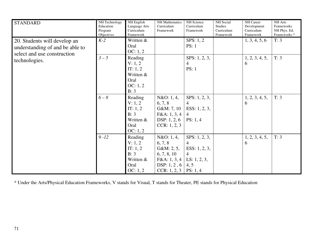| <b>STANDARD</b>                                                                                | NH Technology<br>Education<br>Program<br>Objectives | NH English<br>Language Arts<br>Curriculum<br>Framework                    | NH Mathematics<br>Curriculum<br>Framework                                                              | NH Science<br>Curriculum<br>Framework                                                           | <b>NH</b> Social<br><b>Studies</b><br>Curriculum<br>Framework | <b>NH</b> Career<br>Development<br>Curriculum<br>Framework | NH Arts<br>Frameworks<br>NH Phys. Ed.<br>Frameworks <sup>*</sup> |
|------------------------------------------------------------------------------------------------|-----------------------------------------------------|---------------------------------------------------------------------------|--------------------------------------------------------------------------------------------------------|-------------------------------------------------------------------------------------------------|---------------------------------------------------------------|------------------------------------------------------------|------------------------------------------------------------------|
| 20. Students will develop an<br>understanding of and be able to<br>select and use construction | $K-2$                                               | Written &<br>Oral<br>OC: 1, 2                                             |                                                                                                        | SPS: $1, 2$<br>PS: 1                                                                            |                                                               | 1, 3, 4, 5, 6                                              | T: 3                                                             |
| technologies.                                                                                  | $3-5$                                               | Reading<br>V: 1, 2<br>IT: 1, 2<br>Written &<br>Oral<br>OC: 1, 2<br>B: 3   |                                                                                                        | SPS: 1, 2, 3,<br>4<br>PS: 1                                                                     |                                                               | 1, 2, 3, 4, 5,<br>6                                        | T: 3                                                             |
|                                                                                                | $6 - 8$                                             | Reading<br>V: 1, 2<br>IT: $1, 2$<br>B: 3<br>Written &<br>Oral<br>OC: 1, 2 | N&O: 1, 4,<br>6, 7, 8<br>G&M:7,10<br>F&A: 1, 3, 4<br>DSP: 1, 2, 6<br>CCR: 1, 2, 3                      | SPS: 1, 2, 3,<br>4<br>ESS: 1, 2, 3,<br>4<br>PS: 1, 4                                            |                                                               | 1, 2, 3, 4, 5,<br>6                                        | T: 3                                                             |
|                                                                                                | $9 - 12$                                            | Reading<br>V: 1, 2<br>IT: $1, 2$<br>B: 3<br>Written &<br>Oral<br>OC: 1, 2 | N&O: 1, 4,<br>6, 7, 8<br>G&M: 2, 5,<br>6, 7, 8, 10<br>F&A: 1, 3, 4<br>DSP: $1, 2, 6$<br>CCR: $1, 2, 3$ | SPS: $1, 2, 3$ ,<br>$\overline{4}$<br>ESS: 1, 2, 3,<br>4<br>LS: $1, 2, 3$ ,<br>4, 5<br>PS: 1, 4 |                                                               | 1, 2, 3, 4, 5,<br>6                                        | T: 3                                                             |

\* Under the Arts/Physical Education Frameworks, V stands for Visual, T stands for Theater, PE stands for Physical Education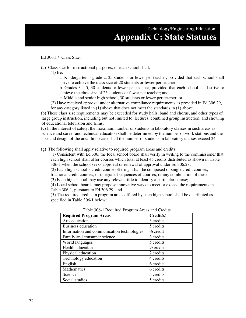## Technology/Engineering Education: **Appendix C: State Statutes**

## Ed 306.17 Class Size.

- (a) Class size for instructional purposes, in each school shall:
	- (1) Be:
		- a. Kindergarten grade 2, 25 students or fewer per teacher, provided that each school shall strive to achieve the class size of 20 students or fewer per teacher;
		- b. Grades  $3 5$ , 30 students or fewer per teacher, provided that each school shall strive to achieve the class size of 25 students or fewer per teacher; and
		- c. Middle and senior high school, 30 students or fewer per teacher; or
	- (2) Have received approval under alternative compliance requirements as provided in Ed 306.29, for any category listed in (1) above that does not meet the standards in (1) above.

 (b) These class size requirements may be exceeded for study halls, band and chorus, and other types of large group instruction, including but not limited to, lectures, combined group instruction, and showing of educational television and films.

 (c) In the interest of safety, the maximum number of students in laboratory classes in such areas as science and career and technical education shall be determined by the number of work stations and the size and design of the area. In no case shall the number of students in laboratory classes exceed 24.

(g) The following shall apply relative to required program areas and credits:

(1) Consistent with Ed 306, the local school board shall verify in writing to the commissioner that each high school shall offer courses which total at least 45 credits distributed as shown in Table 306-1 when the school seeks approval or renewal of approval under Ed 306.28;

(2) Each high school's credit course offerings shall be composed of single credit courses, fractional credit courses, or integrated sequences of courses, or any combination of these;

(3) Each high school may use any relevant title to identify a particular course;

(4) Local school boards may propose innovative ways to meet or exceed the requirements in Table 306-1, pursuant to Ed 306.29; and

(5) The required credits in program areas offered by each high school shall be distributed as specified in Table 306-1 below:

| <b>Required Program Areas</b>              | Credit(s)            |
|--------------------------------------------|----------------------|
| Arts education                             | 3 credits            |
| <b>Business education</b>                  | 5 credits            |
| Information and communication technologies | $\frac{1}{2}$ credit |
| Family and consumer science                | 3 credits            |
| World languages                            | 5 credits            |
| Health education                           | $\frac{1}{2}$ credit |
| Physical education                         | 2 credits            |
| Technology education                       | 4 credits            |
| English                                    | 6 credits            |
| Mathematics                                | 6 credits            |
| Science                                    | 5 credits            |
| Social studies                             | 5 credits            |

Table 306-1 Required Program Areas and Credits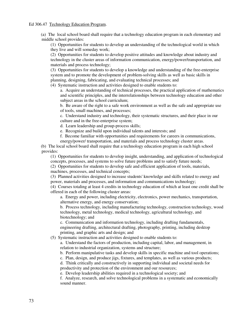(a) The local school board shall require that a technology education program in each elementary and middle school provides:

(1) Opportunities for students to develop an understanding of the technological world in which they live and will someday work;

(2) Opportunities for students to develop positive attitudes and knowledge about industry and technology in the cluster areas of information communication, energy/power/transportation, and materials and process technology;

(3) Opportunities for students to develop a knowledge and understanding of the free-enterprise system and to promote the development of problem-solving skills as well as basic skills in planning, designing, fabricating, and evaluating technical processes; and

(4) Systematic instruction and activities designed to enable students to:

a. Acquire an understanding of technical processes, the practical application of mathematics and scientific principles, and the interrelationships between technology education and other subject areas in the school curriculum;

b. Be aware of the right to a safe work environment as well as the safe and appropriate use of tools, small machines, and processes;

c. Understand industry and technology, their systematic structures, and their place in our culture and in the free-enterprise system;

d. Learn leadership and group-process skills;

e. Recognize and build upon individual talents and interests; and

f. Become familiar with opportunities and requirements for careers in communications,

energy/power/ transportation, and materials and process technology cluster areas.

 (b) The local school board shall require that a technology education program in each high school provides:

(1) Opportunities for students to develop insight, understanding, and application of technological concepts, processes, and systems to solve future problems and to satisfy future needs;

(2) Opportunities for students to develop safe and efficient application of tools, materials, machines, processes, and technical concepts;

(3) Planned activities designed to increase students' knowledge and skills related to energy and power, materials and processes, and information and communications technology;

(4) Courses totaling at least 4 credits in technology education of which at least one credit shall be offered in each of the following cluster areas:

a. Energy and power, including electricity, electronics, power mechanics, transportation, alternative energy, and energy conservation;

b. Process technology, including manufacturing technology, construction technology, wood technology, metal technology, medical technology, agricultural technology, and biotechnology; and

c. Communication and information technology, including drafting fundamentals, engineering drafting, architectural drafting, photography, printing, including desktop printing, and graphic arts and design; and

(5) Systematic instruction and activities designed to enable students to:

a. Understand the factors of production, including capital, labor, and management, in relation to industrial organization, systems and structure;

b. Perform manipulative tasks and develop skills in specific machine and tool operations;

c. Plan, design, and produce jigs, fixtures, and templates, as well as various products;

d. Think critically and constructively in supporting individual and societal needs for productivity and protection of the environment and our resources;

e. Develop leadership abilities required in a technological society; and

f. Analyze, research, and solve technological problems in a systematic and economically sound manner.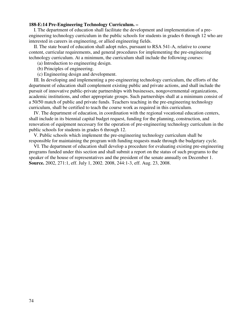#### **188-E:14 Pre-Engineering Technology Curriculum. –**

 I. The department of education shall facilitate the development and implementation of a preengineering technology curriculum in the public schools for students in grades 6 through 12 who are interested in careers in engineering, or allied engineering fields.

 II. The state board of education shall adopt rules, pursuant to RSA 541-A, relative to course content, curricular requirements, and general procedures for implementing the pre-engineering technology curriculum. At a minimum, the curriculum shall include the following courses:

- (a) Introduction to engineering design.
- (b) Principles of engineering.
- (c) Engineering design and development.

 III. In developing and implementing a pre-engineering technology curriculum, the efforts of the department of education shall complement existing public and private actions, and shall include the pursuit of innovative public-private partnerships with businesses, nongovernmental organizations, academic institutions, and other appropriate groups. Such partnerships shall at a minimum consist of a 50/50 match of public and private funds. Teachers teaching in the pre-engineering technology curriculum, shall be certified to teach the course work as required in this curriculum.

 IV. The department of education, in coordination with the regional vocational education centers, shall include in its biennial capital budget request, funding for the planning, construction, and renovation of equipment necessary for the operation of pre-engineering technology curriculum in the public schools for students in grades 6 through 12.

 V. Public schools which implement the pre-engineering technology curriculum shall be responsible for maintaining the program with funding requests made through the budgetary cycle.

 VI. The department of education shall develop a procedure for evaluating existing pre-engineering programs funded under this section and shall submit a report on the status of such programs to the speaker of the house of representatives and the president of the senate annually on December 1. **Source.** 2002, 271:1, eff. July 1, 2002. 2008, 244:1-3, eff. Aug. 23, 2008.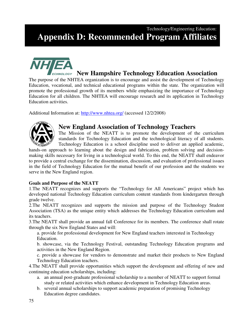# Technology/Engineering Education: **Appendix D: Recommended Program Affiliates**



# **New Hampshire Technology Education Association**

The purpose of the NHTEA organization is to encourage and assist the development of Technology Education, vocational, and technical educational programs within the state. The organization will promote the professional growth of its members while emphasizing the importance of Technology Education for all children. The NHTEA will encourage research and its application in Technology Education activities.

Additional Information at: http://www.nhtea.org/ (accessed 12/2/2008)



## **New England Association of Technology Teachers**

The Mission of the NEATT is to promote the development of the curriculum standards for Technology Education and the technological literacy of all students. Technology Education is a school discipline used to deliver an applied academic,

hands-on approach to learning about the design and fabrication, problem solving and decisionmaking skills necessary for living in a technological world. To this end, the NEATT shall endeavor to provide a central exchange for the dissemination, discussion, and evaluation of professional issues in the field of Technology Education for the mutual benefit of our profession and the students we serve in the New England region.

#### **Goals and Purpose of the NEATT**

1.The NEATT recognizes and supports the "Technology for All Americans" project which has developed national Technology Education curriculum content standards from kindergarten through grade twelve.

2.The NEATT recognizes and supports the mission and purpose of the Technology Student Association (TSA) as the unique entity which addresses the Technology Education curriculum and its teachers.

3.The NEATT shall provide an annual fall Conference for its members. The conference shall rotate through the six New England States and will:

a. provide for professional development for New England teachers interested in Technology Education.

b. showcase, via the Technology Festival, outstanding Technology Education programs and activities in the New England Region.

c. provide a showcase for vendors to demonstrate and market their products to New England Technology Education teachers.

4.The NEATT shall provide opportunities which support the development and offering of new and continuing education scholarships, including:

- a. an annual post-graduate professional scholarship to a member of NEATT to support formal study or related activities which enhance development in Technology Education areas.
- b. several annual scholarships to support academic preparation of promising Technology Education degree candidates.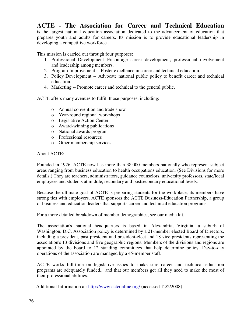## **ACTE - The Association for Career and Technical Education**

is the largest national education association dedicated to the advancement of education that prepares youth and adults for careers. Its mission is to provide educational leadership in developing a competitive workforce.

This mission is carried out through four purposes:

- 1. Professional Development--Encourage career development, professional involvement and leadership among members.
- 2. Program Improvement -- Foster excellence in career and technical education.
- 3. Policy Development -- Advocate national public policy to benefit career and technical education.
- 4. Marketing -- Promote career and technical to the general public.

ACTE offers many avenues to fulfill those purposes, including:

- o Annual convention and trade show
- o Year-round regional workshops
- o Legislative Action Center
- o Award-winning publications
- o National awards program
- o Professional resources
- o Other membership services

About ACTE:

Founded in 1926, ACTE now has more than 38,000 members nationally who represent subject areas ranging from business education to health occupations education. (See Divisions for more details.) They are teachers, administrators, guidance counselors, university professors, state/local employees and students at middle, secondary and postsecondary educational levels.

Because the ultimate goal of ACTE is preparing students for the workplace, its members have strong ties with employers. ACTE sponsors the ACTE Business-Education Partnership, a group of business and education leaders that supports career and technical education programs.

For a more detailed breakdown of member demographics, see our media kit.

The association's national headquarters is based in Alexandria, Virginia, a suburb of Washington, D.C. Association policy is determined by a 21-member elected Board of Directors, including a president, past president and president-elect and 18 vice presidents representing the association's 13 divisions and five geographic regions. Members of the divisions and regions are appointed by the board to 12 standing committees that help determine policy. Day-to-day operations of the association are managed by a 45-member staff.

ACTE works full-time on legislative issues to make sure career and technical education programs are adequately funded... and that our members get all they need to make the most of their professional abilities.

Additional Information at: http://www.acteonline.org/ (accessed 12/2/2008)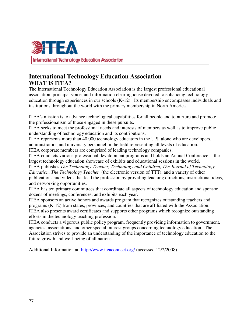

### **International Technology Education Association WHAT IS ITEA?**

The International Technology Education Association is the largest professional educational association, principal voice, and information clearinghouse devoted to enhancing technology education through experiences in our schools (K-12). Its membership encompasses individuals and institutions throughout the world with the primary membership in North America.

ITEA's mission is to advance technological capabilities for all people and to nurture and promote the professionalism of those engaged in these pursuits.

ITEA seeks to meet the professional needs and interests of members as well as to improve public understanding of technology education and its contributions.

ITEA represents more than 40,000 technology educators in the U.S. alone who are developers, administrators, and university personnel in the field representing all levels of education.

ITEA corporate members are comprised of leading technology companies.

ITEA conducts various professional development programs and holds an Annual Conference -- the largest technology education showcase of exhibits and educational sessions in the world.

ITEA publishes *The Technology Teacher, Technology and Children, The Journal of Technology Education, The Technology Teacher* (the electronic version of TTT), and a variety of other publications and videos that lead the profession by providing teaching directions, instructional ideas, and networking opportunities.

ITEA has ten primary committees that coordinate all aspects of technology education and sponsor dozens of meetings, conferences, and exhibits each year.

ITEA sponsors an active honors and awards program that recognizes outstanding teachers and programs (K-12) from states, provinces, and countries that are affiliated with the Association. ITEA also presents award certificates and supports other programs which recognize outstanding efforts in the technology teaching profession.

ITEA conducts a vigorous public policy program, frequently providing information to government, agencies, associations, and other special interest groups concerning technology education. The Association strives to provide an understanding of the importance of technology education to the future growth and well-being of all nations.

Additional Information at: http://www.iteaconnect.org/ (accessed 12/2/2008)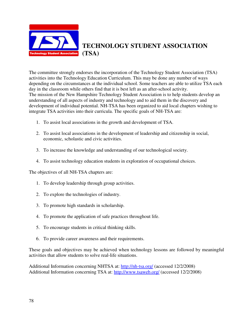

**TECHNOLOGY STUDENT ASSOCIATION (TSA)** 

The committee strongly endorses the incorporation of the Technology Student Association (TSA) activities into the Technology Education Curriculum. This may be done any number of ways depending on the circumstances at the individual school. Some teachers are able to utilize TSA each day in the classroom while others find that it is best left as an after-school activity. The mission of the New Hampshire Technology Student Association is to help students develop an understanding of all aspects of industry and technology and to aid them in the discovery and development of individual potential. NH-TSA has been organized to aid local chapters wishing to integrate TSA activities into their curricula. The specific goals of NH-TSA are:

- 1. To assist local associations in the growth and development of TSA.
- 2. To assist local associations in the development of leadership and citizenship in social, economic, scholastic and civic activities.
- 3. To increase the knowledge and understanding of our technological society.
- 4. To assist technology education students in exploration of occupational choices.

The objectives of all NH-TSA chapters are:

- 1. To develop leadership through group activities.
- 2. To explore the technologies of industry.
- 3. To promote high standards in scholarship.
- 4. To promote the application of safe practices throughout life.
- 5. To encourage students in critical thinking skills.
- 6. To provide career awareness and their requirements.

These goals and objectives may be achieved when technology lessons are followed by meaningful activities that allow students to solve real-life situations.

Additional Information concerning NHTSA at: http://nh-tsa.org/ (accessed 12/2/2008) Additional Information concerning TSA at: http://www.tsaweb.org/ (accessed 12/2/2008)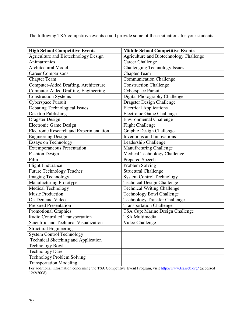The following TSA competitive events could provide some of these situations for your students:

| <b>High School Competitive Events</b>          | <b>Middle School Competitive Events</b> |  |
|------------------------------------------------|-----------------------------------------|--|
| Agriculture and Biotechnology Design           | Agriculture and Biotechnology Challenge |  |
| Animatronics                                   | <b>Career Challenge</b>                 |  |
| Architectural Model                            | <b>Challenging Technology Issues</b>    |  |
| <b>Career Comparisons</b>                      | <b>Chapter Team</b>                     |  |
| <b>Chapter Team</b>                            | <b>Communication Challenge</b>          |  |
| Computer-Aided Drafting, Architecture          | <b>Construction Challenge</b>           |  |
| Computer-Aided Drafting, Engineering           | Cyberspace Pursuit                      |  |
| <b>Construction Systems</b>                    | Digital Photography Challenge           |  |
| Cyberspace Pursuit                             | <b>Dragster Design Challenge</b>        |  |
| <b>Debating Technological Issues</b>           | <b>Electrical Applications</b>          |  |
| Desktop Publishing                             | <b>Electronic Game Challenge</b>        |  |
| <b>Dragster Design</b>                         | <b>Environmental Challenge</b>          |  |
| Electronic Game Design                         | <b>Flight Challenge</b>                 |  |
| <b>Electronic Research and Experimentation</b> | Graphic Design Challenge                |  |
| <b>Engineering Design</b>                      | <b>Inventions and Innovations</b>       |  |
| <b>Essays on Technology</b>                    | Leadership Challenge                    |  |
| <b>Extemporaneous Presentation</b>             | <b>Manufacturing Challenge</b>          |  |
| <b>Fashion Design</b>                          | Medical Technology Challenge            |  |
| Film                                           | <b>Prepared Speech</b>                  |  |
| <b>Flight Endurance</b>                        | Problem Solving                         |  |
| <b>Future Technology Teacher</b>               | Structural Challenge                    |  |
| <b>Imaging Technology</b>                      | <b>System Control Technology</b>        |  |
| Manufacturing Prototype                        | <b>Technical Design Challenge</b>       |  |
| <b>Medical Technology</b>                      | <b>Technical Writing Challenge</b>      |  |
| <b>Music Production</b>                        | <b>Technology Bowl Challenge</b>        |  |
| <b>On-Demand Video</b>                         | <b>Technology Transfer Challenge</b>    |  |
| <b>Prepared Presentation</b>                   | <b>Transportation Challenge</b>         |  |
| <b>Promotional Graphics</b>                    | TSA Cup: Marine Design Challenge        |  |
| Radio Controlled Transportation                | <b>TSA Multimedia</b>                   |  |
| Scientific and Technical Visualization         | Video Challenge                         |  |
| <b>Structural Engineering</b>                  |                                         |  |
| <b>System Control Technology</b>               |                                         |  |
| Technical Sketching and Application            |                                         |  |
| <b>Technology Bowl</b>                         |                                         |  |
| <b>Technology Dare</b>                         |                                         |  |
| <b>Technology Problem Solving</b>              |                                         |  |
| <b>Transportation Modeling</b>                 |                                         |  |

For additional information concerning the TSA Competitive Event Program, visit http://www.tsaweb.org/ (accessed 12/2/2008)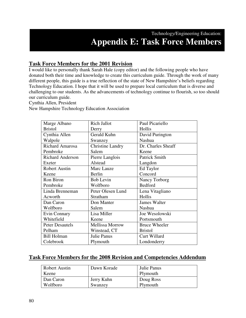### **Task Force Members for the 2001 Revision**

I would like to personally thank Sarah Hale (copy editor) and the following people who have donated both their time and knowledge to create this curriculum guide. Through the work of many different people, this guide is a true reflection of the state of New Hampshire's beliefs regarding Technology Education. I hope that it will be used to prepare local curriculum that is diverse and challenging to our students. As the advancements of technology continue to flourish, so too should our curriculum guide.

Cynthia Allen, President

New Hampshire Technology Education Association

| Marge Albano            | <b>Rich Jallot</b>      | Paul Picariello      |
|-------------------------|-------------------------|----------------------|
| <b>Bristol</b>          | Derry                   | Hollis               |
| Cynthia Allen           | Gerald Kuhn             | David Purington      |
| Walpole                 | Swanzey                 | <b>Nashua</b>        |
| <b>Richard Amarosa</b>  | <b>Christine Landry</b> | Dr. Charles Sheaff   |
| Pembroke                | Salem                   | Keene                |
| <b>Richard Anderson</b> | Pierre Langlois         | <b>Patrick Smith</b> |
| Exeter                  | Alstead                 | Langdon              |
| Robert Austin           | Marc Lauze              | Ed Taylor            |
| Keene                   | Berlin                  | Concord              |
| Ron Biron               | <b>Bob Levin</b>        | Nancy Torborg        |
| Pembroke                | Wolfboro                | Bedford              |
| Linda Brenneman         | Peter Olesen Lund       | Lena Vitagliano      |
| Acworth                 | Stratham                | Hollis               |
| Dan Caron               | Don Manter              | <b>James Walter</b>  |
| Wolfboro                | Salem                   | Nashua               |
| Evin Connary            | Lisa Miller             | Joe Wesolowski       |
| Whitefield              | Keene                   | Portsmouth           |
| <b>Peter Desautels</b>  | <b>Mellissa Morrow</b>  | <b>Bruce Wheeler</b> |
| Pelham                  | Winstead, CT            | <b>Bristol</b>       |
| <b>Bill Holman</b>      | Julie Panus             | Curt Willard         |
| Colebrook               | Plymouth                | Londonderry          |

#### **Task Force Members for the 2008 Revision and Competencies Addendum**

| <b>Robert Austin</b> | Dawn Korade | Julie Panus |
|----------------------|-------------|-------------|
| Keene                |             | Plymouth    |
| Dan Caron            | Jerry Kuhn  | Doug Ross   |
| Wolfboro             | Swanzey     | Plymouth    |